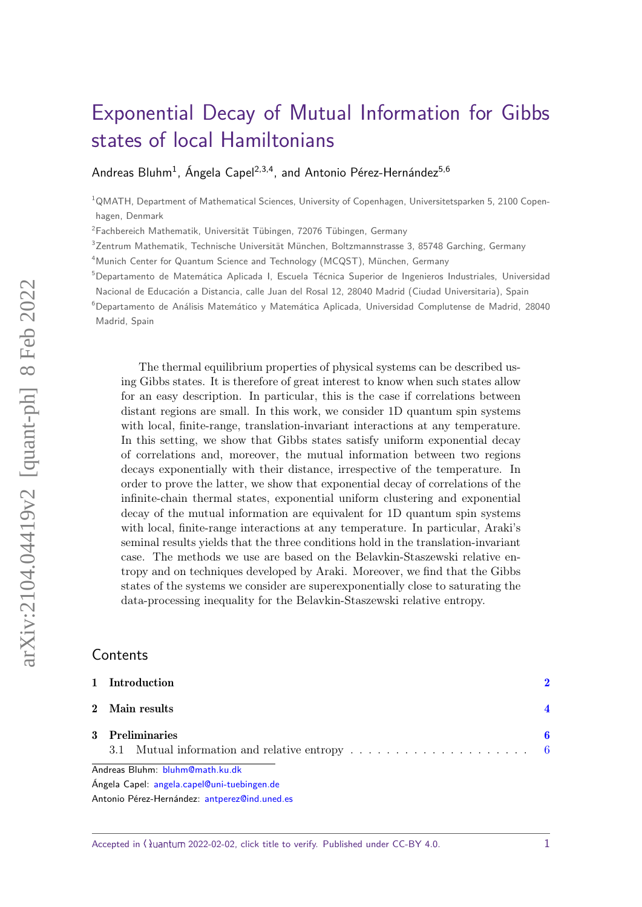# [Exponential Decay of Mutual Information for Gibbs](https://quantum-journal.org/?s=Exponential%20Decay%20of%20Mutual%20Information%20for%20Gibbs%20states%20of%20local%20Hamiltonians&reason=title-click) [states of local Hamiltonians](https://quantum-journal.org/?s=Exponential%20Decay%20of%20Mutual%20Information%20for%20Gibbs%20states%20of%20local%20Hamiltonians&reason=title-click)

### [Andreas Bluhm](https://orcid.org/0000-0003-4796-7633)<sup>1</sup>, [Ángela Capel](https://orcid.org/0000-0001-6713-6760)<sup>2,3,4</sup>, and [Antonio Pérez-Hernández](https://orcid.org/0000-0001-8600-7083)<sup>5,6</sup>

 $1$ QMATH, Department of Mathematical Sciences, University of Copenhagen, Universitetsparken 5, 2100 Copenhagen, Denmark

<sup>2</sup>Fachbereich Mathematik, Universität Tübingen, 72076 Tübingen, Germany

 $3$ Zentrum Mathematik, Technische Universität München, Boltzmannstrasse 3, 85748 Garching, Germany

<sup>4</sup>Munich Center for Quantum Science and Technology (MCQST), München, Germany

<sup>5</sup>Departamento de Matemática Aplicada I, Escuela Técnica Superior de Ingenieros Industriales, Universidad

Nacional de Educación a Distancia, calle Juan del Rosal 12, 28040 Madrid (Ciudad Universitaria), Spain

<sup>6</sup>Departamento de Análisis Matemático y Matemática Aplicada, Universidad Complutense de Madrid, 28040 Madrid, Spain

The thermal equilibrium properties of physical systems can be described using Gibbs states. It is therefore of great interest to know when such states allow for an easy description. In particular, this is the case if correlations between distant regions are small. In this work, we consider 1D quantum spin systems with local, finite-range, translation-invariant interactions at any temperature. In this setting, we show that Gibbs states satisfy uniform exponential decay of correlations and, moreover, the mutual information between two regions decays exponentially with their distance, irrespective of the temperature. In order to prove the latter, we show that exponential decay of correlations of the infinite-chain thermal states, exponential uniform clustering and exponential decay of the mutual information are equivalent for 1D quantum spin systems with local, finite-range interactions at any temperature. In particular, Araki's seminal results yields that the three conditions hold in the translation-invariant case. The methods we use are based on the Belavkin-Staszewski relative entropy and on techniques developed by Araki. Moreover, we find that the Gibbs states of the systems we consider are superexponentially close to saturating the data-processing inequality for the Belavkin-Staszewski relative entropy.

## **Contents**

| 1 Introduction                              |  |
|---------------------------------------------|--|
| 2 Main results                              |  |
| 3 Preliminaries                             |  |
| Andreas Bluhm: bluhm@math.ku.dk             |  |
| Ángela Capel: angela.capel@uni-tuebingen.de |  |

Antonio Pérez-Hernández: [antperez@ind.uned.es](mailto:antperez@ind.uned.es)

Accepted in  $\langle \rangle$ uantum 2022-02-02, click title to verify. Published under CC-BY 4.0.  $1$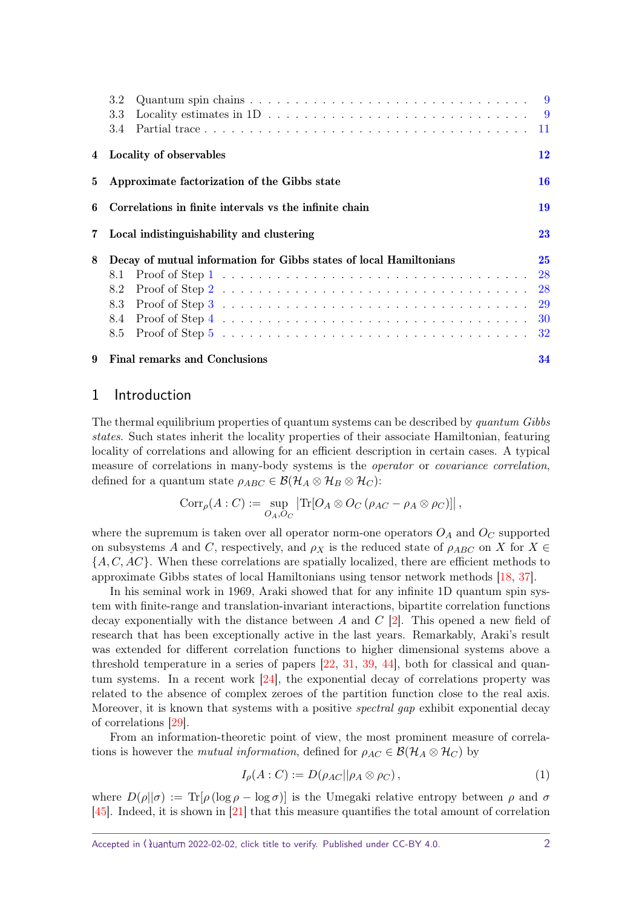<span id="page-1-2"></span>

|                | Quantum spin chains $\ldots \ldots \ldots \ldots \ldots \ldots \ldots \ldots \ldots \ldots \ldots$<br>3.2        |           |
|----------------|------------------------------------------------------------------------------------------------------------------|-----------|
|                | Locality estimates in $1D \ldots \ldots \ldots \ldots \ldots \ldots \ldots \ldots \ldots \ldots \qquad 9$<br>3.3 |           |
|                | 3.4                                                                                                              |           |
| 4              | Locality of observables                                                                                          | 12        |
| $5^{\circ}$    | Approximate factorization of the Gibbs state                                                                     | <b>16</b> |
| 6              | Correlations in finite intervals vs the infinite chain                                                           | 19        |
| $7\phantom{.}$ | Local indistinguishability and clustering                                                                        | 23        |
| 8              | Decay of mutual information for Gibbs states of local Hamiltonians                                               | 25        |
|                | 8.1                                                                                                              | 28        |
|                | 8.2                                                                                                              | <b>28</b> |
|                | 8.3                                                                                                              | <b>29</b> |
|                | 8.4                                                                                                              | 30        |
|                | 8.5                                                                                                              | <b>32</b> |
| 9              | <b>Final remarks and Conclusions</b>                                                                             | 34        |

# <span id="page-1-0"></span>1 Introduction

The thermal equilibrium properties of quantum systems can be described by quantum Gibbs states. Such states inherit the locality properties of their associate Hamiltonian, featuring locality of correlations and allowing for an efficient description in certain cases. A typical measure of correlations in many-body systems is the *operator* or *covariance correlation*, defined for a quantum state  $\rho_{ABC} \in \mathcal{B}(\mathcal{H}_A \otimes \mathcal{H}_B \otimes \mathcal{H}_C)$ :

$$
Corr_{\rho}(A:C) := \sup_{O_A, O_C} |\text{Tr}[O_A \otimes O_C(\rho_{AC} - \rho_A \otimes \rho_C)]|,
$$

where the supremum is taken over all operator norm-one operators  $O_A$  and  $O_C$  supported on subsystems *A* and *C*, respectively, and  $\rho_X$  is the reduced state of  $\rho_{ABC}$  on *X* for  $X \in$ {*A, C, AC*}. When these correlations are spatially localized, there are efficient methods to approximate Gibbs states of local Hamiltonians using tensor network methods [\[18,](#page-37-0) [37\]](#page-38-0).

In his seminal work in 1969, Araki showed that for any infinite 1D quantum spin system with finite-range and translation-invariant interactions, bipartite correlation functions decay exponentially with the distance between *A* and *C* [\[2\]](#page-36-0). This opened a new field of research that has been exceptionally active in the last years. Remarkably, Araki's result was extended for different correlation functions to higher dimensional systems above a threshold temperature in a series of papers [\[22,](#page-37-1) [31,](#page-38-1) [39,](#page-38-2) [44\]](#page-39-0), both for classical and quantum systems. In a recent work [\[24\]](#page-37-2), the exponential decay of correlations property was related to the absence of complex zeroes of the partition function close to the real axis. Moreover, it is known that systems with a positive *spectral gap* exhibit exponential decay of correlations [\[29\]](#page-38-3).

From an information-theoretic point of view, the most prominent measure of correlations is however the *mutual information*, defined for  $\rho_{AC} \in \mathcal{B}(\mathcal{H}_A \otimes \mathcal{H}_C)$  by

<span id="page-1-1"></span>
$$
I_{\rho}(A:C) := D(\rho_{AC}||\rho_A \otimes \rho_C), \qquad (1)
$$

where  $D(\rho||\sigma) := \text{Tr}[\rho(\log \rho - \log \sigma)]$  is the Umegaki relative entropy between  $\rho$  and  $\sigma$ [\[45\]](#page-39-1). Indeed, it is shown in [\[21\]](#page-37-3) that this measure quantifies the total amount of correlation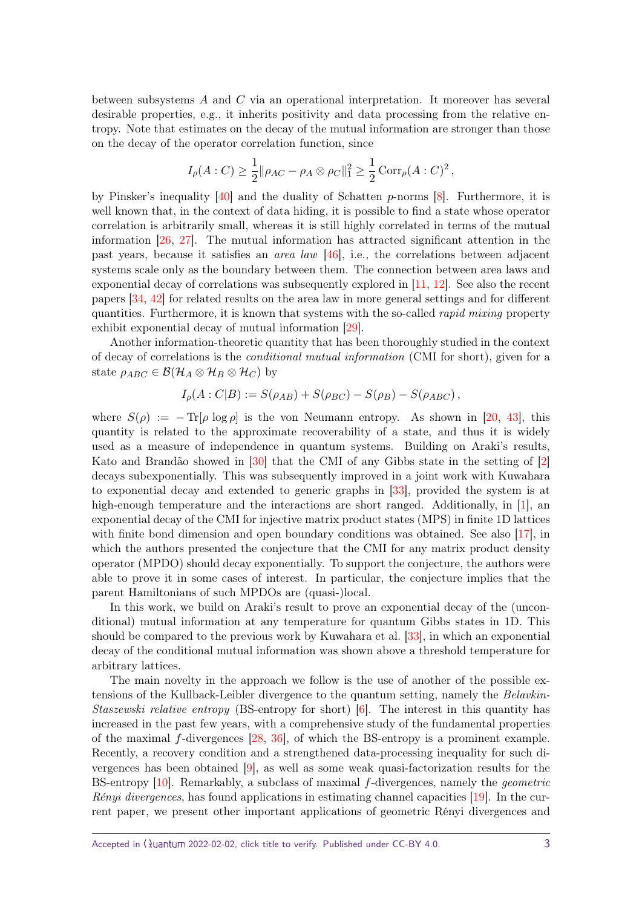<span id="page-2-0"></span>between subsystems *A* and *C* via an operational interpretation. It moreover has several desirable properties, e.g., it inherits positivity and data processing from the relative entropy. Note that estimates on the decay of the mutual information are stronger than those on the decay of the operator correlation function, since

$$
I_{\rho}(A: C) \ge \frac{1}{2} || \rho_{AC} - \rho_A \otimes \rho_C ||_1^2 \ge \frac{1}{2} \operatorname{Corr}_{\rho}(A: C)^2,
$$

by Pinsker's inequality [\[40\]](#page-38-4) and the duality of Schatten *p*-norms [\[8\]](#page-37-4). Furthermore, it is well known that, in the context of data hiding, it is possible to find a state whose operator correlation is arbitrarily small, whereas it is still highly correlated in terms of the mutual information [\[26,](#page-38-5) [27\]](#page-38-6). The mutual information has attracted significant attention in the past years, because it satisfies an area law [\[46\]](#page-39-2), i.e., the correlations between adjacent systems scale only as the boundary between them. The connection between area laws and exponential decay of correlations was subsequently explored in [\[11,](#page-37-5) [12\]](#page-37-6). See also the recent papers [\[34,](#page-38-7) [42\]](#page-38-8) for related results on the area law in more general settings and for different quantities. Furthermore, it is known that systems with the so-called *rapid mixing* property exhibit exponential decay of mutual information [\[29\]](#page-38-3).

Another information-theoretic quantity that has been thoroughly studied in the context of decay of correlations is the conditional mutual information (CMI for short), given for a state  $\rho_{ABC} \in \mathcal{B}(\mathcal{H}_A \otimes \mathcal{H}_B \otimes \mathcal{H}_C)$  by

$$
I_{\rho}(A:C|B) := S(\rho_{AB}) + S(\rho_{BC}) - S(\rho_B) - S(\rho_{ABC}),
$$

where  $S(\rho) := -\text{Tr}[\rho \log \rho]$  is the von Neumann entropy. As shown in [\[20,](#page-37-7) [43\]](#page-39-3), this quantity is related to the approximate recoverability of a state, and thus it is widely used as a measure of independence in quantum systems. Building on Araki's results, Kato and Brandão showed in [\[30\]](#page-38-9) that the CMI of any Gibbs state in the setting of [\[2\]](#page-36-0) decays subexponentially. This was subsequently improved in a joint work with Kuwahara to exponential decay and extended to generic graphs in [\[33\]](#page-38-10), provided the system is at high-enough temperature and the interactions are short ranged. Additionally, in [\[1\]](#page-36-1), an exponential decay of the CMI for injective matrix product states (MPS) in finite 1D lattices with finite bond dimension and open boundary conditions was obtained. See also [\[17\]](#page-37-8), in which the authors presented the conjecture that the CMI for any matrix product density operator (MPDO) should decay exponentially. To support the conjecture, the authors were able to prove it in some cases of interest. In particular, the conjecture implies that the parent Hamiltonians of such MPDOs are (quasi-)local.

In this work, we build on Araki's result to prove an exponential decay of the (unconditional) mutual information at any temperature for quantum Gibbs states in 1D. This should be compared to the previous work by Kuwahara et al. [\[33\]](#page-38-10), in which an exponential decay of the conditional mutual information was shown above a threshold temperature for arbitrary lattices.

The main novelty in the approach we follow is the use of another of the possible extensions of the Kullback-Leibler divergence to the quantum setting, namely the Belavkin-*Staszewski relative entropy* (BS-entropy for short)  $\vert 6 \vert$ . The interest in this quantity has increased in the past few years, with a comprehensive study of the fundamental properties of the maximal *f*-divergences [\[28,](#page-38-11) [36\]](#page-38-12), of which the BS-entropy is a prominent example. Recently, a recovery condition and a strengthened data-processing inequality for such divergences has been obtained [\[9\]](#page-37-9), as well as some weak quasi-factorization results for the BS-entropy [\[10\]](#page-37-10). Remarkably, a subclass of maximal *f*-divergences, namely the geometric Rényi divergences, has found applications in estimating channel capacities [\[19\]](#page-37-11). In the current paper, we present other important applications of geometric Rényi divergences and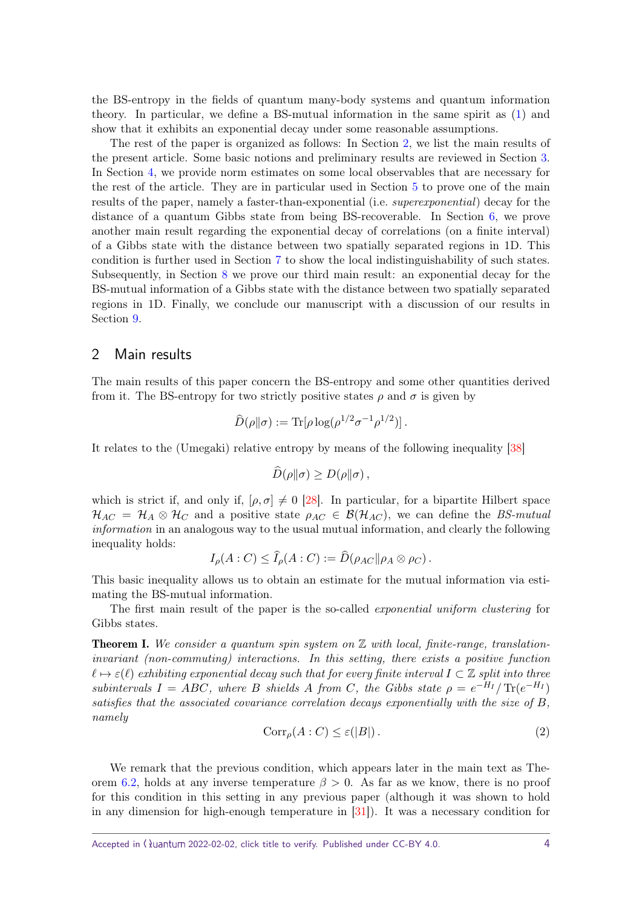<span id="page-3-2"></span>the BS-entropy in the fields of quantum many-body systems and quantum information theory. In particular, we define a BS-mutual information in the same spirit as [\(1\)](#page-1-1) and show that it exhibits an exponential decay under some reasonable assumptions.

The rest of the paper is organized as follows: In Section [2,](#page-3-0) we list the main results of the present article. Some basic notions and preliminary results are reviewed in Section [3.](#page-5-0) In Section [4,](#page-11-0) we provide norm estimates on some local observables that are necessary for the rest of the article. They are in particular used in Section [5](#page-15-0) to prove one of the main results of the paper, namely a faster-than-exponential (i.e. superexponential) decay for the distance of a quantum Gibbs state from being BS-recoverable. In Section [6,](#page-18-0) we prove another main result regarding the exponential decay of correlations (on a finite interval) of a Gibbs state with the distance between two spatially separated regions in 1D. This condition is further used in Section [7](#page-22-0) to show the local indistinguishability of such states. Subsequently, in Section [8](#page-24-0) we prove our third main result: an exponential decay for the BS-mutual information of a Gibbs state with the distance between two spatially separated regions in 1D. Finally, we conclude our manuscript with a discussion of our results in Section [9.](#page-33-0)

#### <span id="page-3-0"></span>2 Main results

The main results of this paper concern the BS-entropy and some other quantities derived from it. The BS-entropy for two strictly positive states  $\rho$  and  $\sigma$  is given by

$$
\widehat{D}(\rho||\sigma) := \text{Tr}[\rho \log(\rho^{1/2} \sigma^{-1} \rho^{1/2})].
$$

It relates to the (Umegaki) relative entropy by means of the following inequality [\[38\]](#page-38-13)

$$
\widehat{D}(\rho\|\sigma) \geq D(\rho\|\sigma)\,,
$$

which is strict if, and only if,  $[\rho, \sigma] \neq 0$  [\[28\]](#page-38-11). In particular, for a bipartite Hilbert space  $\mathcal{H}_{AC} = \mathcal{H}_{A} \otimes \mathcal{H}_{C}$  and a positive state  $\rho_{AC} \in \mathcal{B}(\mathcal{H}_{AC})$ , we can define the BS-mutual information in an analogous way to the usual mutual information, and clearly the following inequality holds:

$$
I_{\rho}(A:C) \leq I_{\rho}(A:C) := D(\rho_{AC} || \rho_A \otimes \rho_C).
$$

This basic inequality allows us to obtain an estimate for the mutual information via estimating the BS-mutual information.

The first main result of the paper is the so-called *exponential uniform clustering* for Gibbs states.

**Theorem I.** We consider a quantum spin system on  $\mathbb{Z}$  with local, finite-range, translationinvariant (non-commuting) interactions. In this setting, there exists a positive function  $\ell \mapsto \varepsilon(\ell)$  exhibiting exponential decay such that for every finite interval  $I \subset \mathbb{Z}$  split into three subintervals  $I = ABC$ , where *B* shields *A* from *C*, the Gibbs state  $\rho = e^{-H_I} / \text{Tr}(e^{-H_I})$ satisfies that the associated covariance correlation decays exponentially with the size of *B*, namely

<span id="page-3-1"></span>
$$
Corr_{\rho}(A:C) \le \varepsilon(|B|). \tag{2}
$$

We remark that the previous condition, which appears later in the main text as The-orem [6.2,](#page-19-0) holds at any inverse temperature  $\beta > 0$ . As far as we know, there is no proof for this condition in this setting in any previous paper (although it was shown to hold in any dimension for high-enough temperature in [\[31\]](#page-38-1)). It was a necessary condition for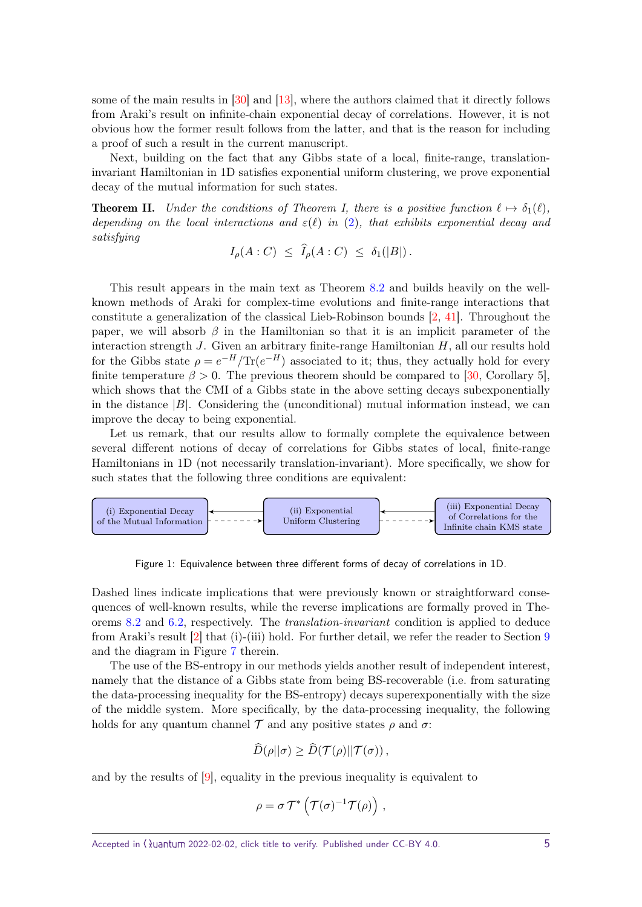<span id="page-4-0"></span>some of the main results in [\[30\]](#page-38-9) and [\[13\]](#page-37-12), where the authors claimed that it directly follows from Araki's result on infinite-chain exponential decay of correlations. However, it is not obvious how the former result follows from the latter, and that is the reason for including a proof of such a result in the current manuscript.

Next, building on the fact that any Gibbs state of a local, finite-range, translationinvariant Hamiltonian in 1D satisfies exponential uniform clustering, we prove exponential decay of the mutual information for such states.

**Theorem II.** Under the conditions of Theorem I, there is a positive function  $\ell \mapsto \delta_1(\ell)$ , depending on the local interactions and  $\varepsilon(\ell)$  in [\(2\)](#page-3-1), that exhibits exponential decay and satisfying

$$
I_{\rho}(A:C) \leq \widehat{I}_{\rho}(A:C) \leq \delta_1(|B|).
$$

This result appears in the main text as Theorem [8.2](#page-25-1) and builds heavily on the wellknown methods of Araki for complex-time evolutions and finite-range interactions that constitute a generalization of the classical Lieb-Robinson bounds [\[2,](#page-36-0) [41\]](#page-38-14). Throughout the paper, we will absorb  $\beta$  in the Hamiltonian so that it is an implicit parameter of the interaction strength *J*. Given an arbitrary finite-range Hamiltonian *H*, all our results hold for the Gibbs state  $\rho = e^{-H}/\text{Tr}(e^{-H})$  associated to it; thus, they actually hold for every finite temperature  $\beta > 0$ . The previous theorem should be compared to [\[30,](#page-38-9) Corollary 5], which shows that the CMI of a Gibbs state in the above setting decays subexponentially in the distance  $|B|$ . Considering the (unconditional) mutual information instead, we can improve the decay to being exponential.

Let us remark, that our results allow to formally complete the equivalence between several different notions of decay of correlations for Gibbs states of local, finite-range Hamiltonians in 1D (not necessarily translation-invariant). More specifically, we show for such states that the following three conditions are equivalent:



Figure 1: Equivalence between three different forms of decay of correlations in 1D.

Dashed lines indicate implications that were previously known or straightforward consequences of well-known results, while the reverse implications are formally proved in Theorems [8.2](#page-25-1) and [6.2,](#page-19-0) respectively. The translation-invariant condition is applied to deduce from Araki's result [\[2\]](#page-36-0) that (i)-(iii) hold. For further detail, we refer the reader to Section [9](#page-33-0) and the diagram in Figure [7](#page-35-0) therein.

The use of the BS-entropy in our methods yields another result of independent interest, namely that the distance of a Gibbs state from being BS-recoverable (i.e. from saturating the data-processing inequality for the BS-entropy) decays superexponentially with the size of the middle system. More specifically, by the data-processing inequality, the following holds for any quantum channel  $\mathcal T$  and any positive states  $\rho$  and  $\sigma$ :

$$
\widehat{D}(\rho||\sigma) \geq \widehat{D}(\mathcal{T}(\rho)||\mathcal{T}(\sigma)),
$$

and by the results of [\[9\]](#page-37-9), equality in the previous inequality is equivalent to

$$
\rho = \sigma \, \mathcal{T}^* \left( \mathcal{T}(\sigma)^{-1} \mathcal{T}(\rho) \right) \,,
$$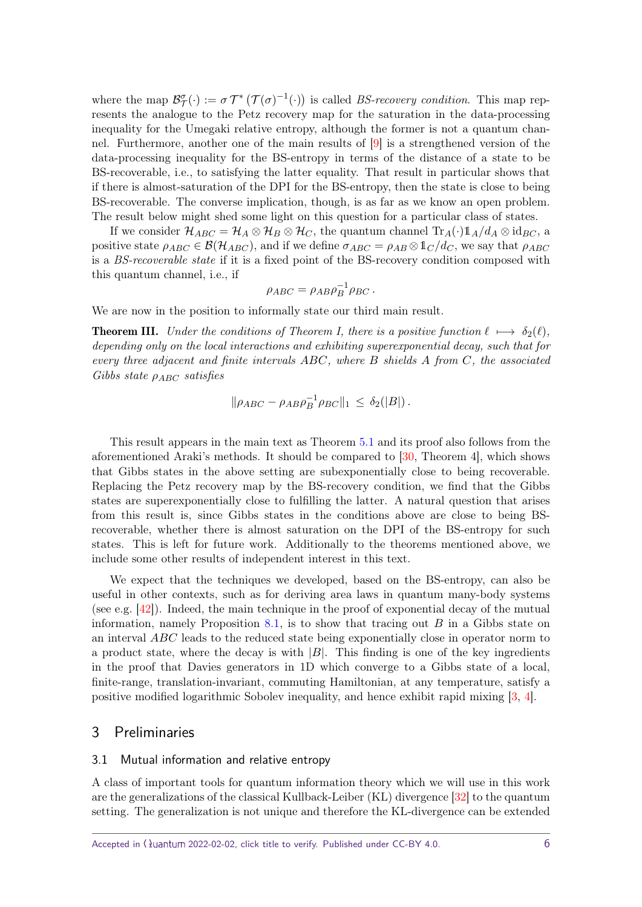<span id="page-5-2"></span>where the map  $\mathcal{B}_{\mathcal{T}}^{\sigma}(\cdot) := \sigma \mathcal{T}^* \left( \mathcal{T}(\sigma)^{-1}(\cdot) \right)$  is called *BS-recovery condition*. This map represents the analogue to the Petz recovery map for the saturation in the data-processing inequality for the Umegaki relative entropy, although the former is not a quantum channel. Furthermore, another one of the main results of [\[9\]](#page-37-9) is a strengthened version of the data-processing inequality for the BS-entropy in terms of the distance of a state to be BS-recoverable, i.e., to satisfying the latter equality. That result in particular shows that if there is almost-saturation of the DPI for the BS-entropy, then the state is close to being BS-recoverable. The converse implication, though, is as far as we know an open problem. The result below might shed some light on this question for a particular class of states.

If we consider  $\mathcal{H}_{ABC} = \mathcal{H}_A \otimes \mathcal{H}_B \otimes \mathcal{H}_C$ , the quantum channel  $\text{Tr}_A(\cdot) 1_A/d_A \otimes \text{id}_{BC}$ , a positive state  $\rho_{ABC} \in \mathcal{B}(\mathcal{H}_{ABC})$ , and if we define  $\sigma_{ABC} = \rho_{AB} \otimes \mathbb{1}_C/d_C$ , we say that  $\rho_{ABC}$ is a BS-recoverable state if it is a fixed point of the BS-recovery condition composed with this quantum channel, i.e., if

$$
\rho_{ABC} = \rho_{AB} \rho_B^{-1} \rho_{BC}.
$$

We are now in the position to informally state our third main result.

**Theorem III.** Under the conditions of Theorem I, there is a positive function  $\ell \mapsto \delta_2(\ell)$ , depending only on the local interactions and exhibiting superexponential decay, such that for every three adjacent and finite intervals *ABC*, where *B* shields *A* from *C*, the associated Gibbs state *ρABC* satisfies

$$
\|\rho_{ABC} - \rho_{AB}\rho_B^{-1}\rho_{BC}\|_1 \leq \delta_2(|B|).
$$

This result appears in the main text as Theorem [5.1](#page-15-1) and its proof also follows from the aforementioned Araki's methods. It should be compared to [\[30,](#page-38-9) Theorem 4], which shows that Gibbs states in the above setting are subexponentially close to being recoverable. Replacing the Petz recovery map by the BS-recovery condition, we find that the Gibbs states are superexponentially close to fulfilling the latter. A natural question that arises from this result is, since Gibbs states in the conditions above are close to being BSrecoverable, whether there is almost saturation on the DPI of the BS-entropy for such states. This is left for future work. Additionally to the theorems mentioned above, we include some other results of independent interest in this text.

We expect that the techniques we developed, based on the BS-entropy, can also be useful in other contexts, such as for deriving area laws in quantum many-body systems (see e.g. [\[42\]](#page-38-8)). Indeed, the main technique in the proof of exponential decay of the mutual information, namely Proposition [8.1,](#page-25-2) is to show that tracing out *B* in a Gibbs state on an interval *ABC* leads to the reduced state being exponentially close in operator norm to a product state, where the decay is with  $|B|$ . This finding is one of the key ingredients in the proof that Davies generators in 1D which converge to a Gibbs state of a local, finite-range, translation-invariant, commuting Hamiltonian, at any temperature, satisfy a positive modified logarithmic Sobolev inequality, and hence exhibit rapid mixing [\[3,](#page-36-3) [4\]](#page-36-4).

#### <span id="page-5-0"></span>3 Preliminaries

#### <span id="page-5-1"></span>3.1 Mutual information and relative entropy

A class of important tools for quantum information theory which we will use in this work are the generalizations of the classical Kullback-Leiber (KL) divergence [\[32\]](#page-38-15) to the quantum setting. The generalization is not unique and therefore the KL-divergence can be extended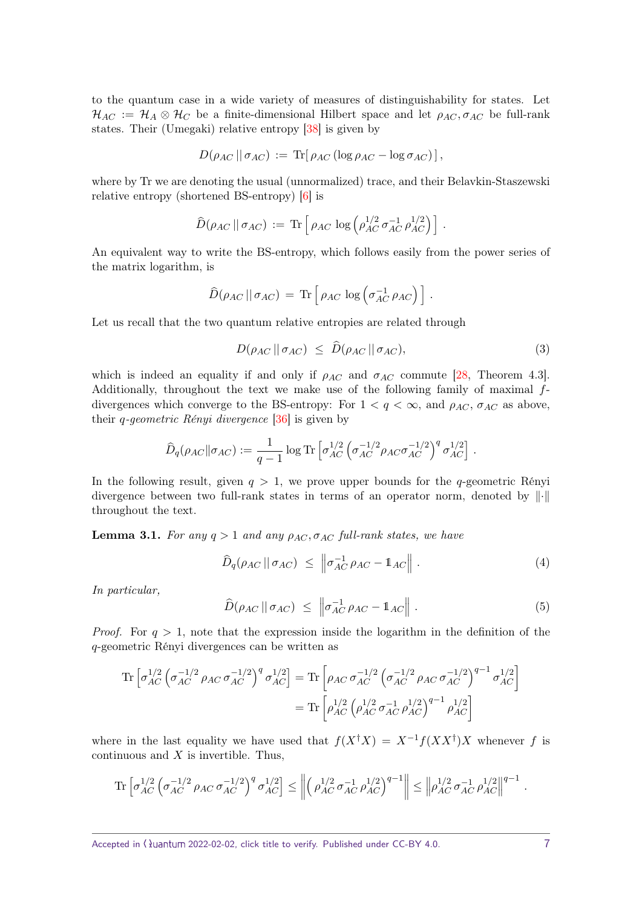<span id="page-6-4"></span>to the quantum case in a wide variety of measures of distinguishability for states. Let  $\mathcal{H}_{AC} := \mathcal{H}_A \otimes \mathcal{H}_C$  be a finite-dimensional Hilbert space and let  $\rho_{AC}$ ,  $\sigma_{AC}$  be full-rank states. Their (Umegaki) relative entropy [\[38\]](#page-38-13) is given by

$$
D(\rho_{AC} \|\sigma_{AC}) := \text{Tr}[\rho_{AC} (\log \rho_{AC} - \log \sigma_{AC})],
$$

where by Tr we are denoting the usual (unnormalized) trace, and their Belavkin-Staszewski relative entropy (shortened BS-entropy) [\[6\]](#page-36-2) is

$$
\widehat{D}(\rho_{AC} \,||\, \sigma_{AC}) := \text{Tr} \left[ \rho_{AC} \, \log \left( \rho_{AC}^{1/2} \, \sigma_{AC}^{-1} \, \rho_{AC}^{1/2} \right) \right].
$$

An equivalent way to write the BS-entropy, which follows easily from the power series of the matrix logarithm, is

$$
\widehat{D}(\rho_{AC} \,|| \, \sigma_{AC}) \,=\, \text{Tr}\left[\,\rho_{AC} \, \log \left(\sigma_{AC}^{-1} \,\rho_{AC}\right)\,\right]\,.
$$

Let us recall that the two quantum relative entropies are related through

<span id="page-6-0"></span>
$$
D(\rho_{AC} \parallel \sigma_{AC}) \leq \hat{D}(\rho_{AC} \parallel \sigma_{AC}), \tag{3}
$$

which is indeed an equality if and only if  $\rho_{AC}$  and  $\sigma_{AC}$  commute [\[28,](#page-38-11) Theorem 4.3]. Additionally, throughout the text we make use of the following family of maximal *f*divergences which converge to the BS-entropy: For  $1 < q < \infty$ , and  $\rho_{AC}$ ,  $\sigma_{AC}$  as above, their *q*-geometric Rényi divergence [\[36\]](#page-38-12) is given by

$$
\widehat{D}_q(\rho_{AC} \|\sigma_{AC}) := \frac{1}{q-1} \log \text{Tr} \left[ \sigma_{AC}^{1/2} \left( \sigma_{AC}^{-1/2} \rho_{AC} \sigma_{AC}^{-1/2} \right)^q \sigma_{AC}^{1/2} \right].
$$

In the following result, given  $q > 1$ , we prove upper bounds for the *q*-geometric Rényi divergence between two full-rank states in terms of an operator norm, denoted by  $\|\cdot\|$ throughout the text.

<span id="page-6-3"></span>**Lemma 3.1.** *For any*  $q > 1$  *and any*  $\rho_{AC}$ ,  $\sigma_{AC}$  *full-rank states, we have* 

<span id="page-6-1"></span>
$$
\widehat{D}_q(\rho_{AC} \, || \, \sigma_{AC}) \ \leq \ \left\| \sigma_{AC}^{-1} \, \rho_{AC} - \mathbb{1}_{AC} \right\| \,. \tag{4}
$$

*In particular,*

<span id="page-6-2"></span>
$$
\widehat{D}(\rho_{AC} \parallel \sigma_{AC}) \leq \left\| \sigma_{AC}^{-1} \rho_{AC} - \mathbb{1}_{AC} \right\|.
$$
 (5)

*Proof.* For  $q > 1$ , note that the expression inside the logarithm in the definition of the *q*-geometric Rényi divergences can be written as

$$
\begin{split} \operatorname{Tr}\left[\sigma_{AC}^{1/2}\left(\sigma_{AC}^{-1/2}\rho_{AC}\,\sigma_{AC}^{-1/2}\right)^q\sigma_{AC}^{1/2}\right] &= \operatorname{Tr}\left[\rho_{AC}\,\sigma_{AC}^{-1/2}\left(\sigma_{AC}^{-1/2}\,\rho_{AC}\,\sigma_{AC}^{-1/2}\right)^{q-1}\sigma_{AC}^{1/2}\right] \\ &= \operatorname{Tr}\left[\rho_{AC}^{1/2}\left(\rho_{AC}^{1/2}\,\sigma_{AC}^{-1}\,\rho_{AC}^{1/2}\right)^{q-1}\,\rho_{AC}^{1/2}\right] \end{split}
$$

where in the last equality we have used that  $f(X^{\dagger}X) = X^{-1}f(XX^{\dagger})X$  whenever *f* is continuous and *X* is invertible. Thus,

$$
\text{Tr}\left[\sigma_{AC}^{1/2}\left(\sigma_{AC}^{-1/2}\rho_{AC}\sigma_{AC}^{-1/2}\right)^q\sigma_{AC}^{1/2}\right] \leq \left\|\left(\rho_{AC}^{1/2}\sigma_{AC}^{-1}\rho_{AC}^{1/2}\right)^{q-1}\right\| \leq \left\|\rho_{AC}^{1/2}\sigma_{AC}^{-1}\rho_{AC}^{1/2}\right\|^{q-1}.
$$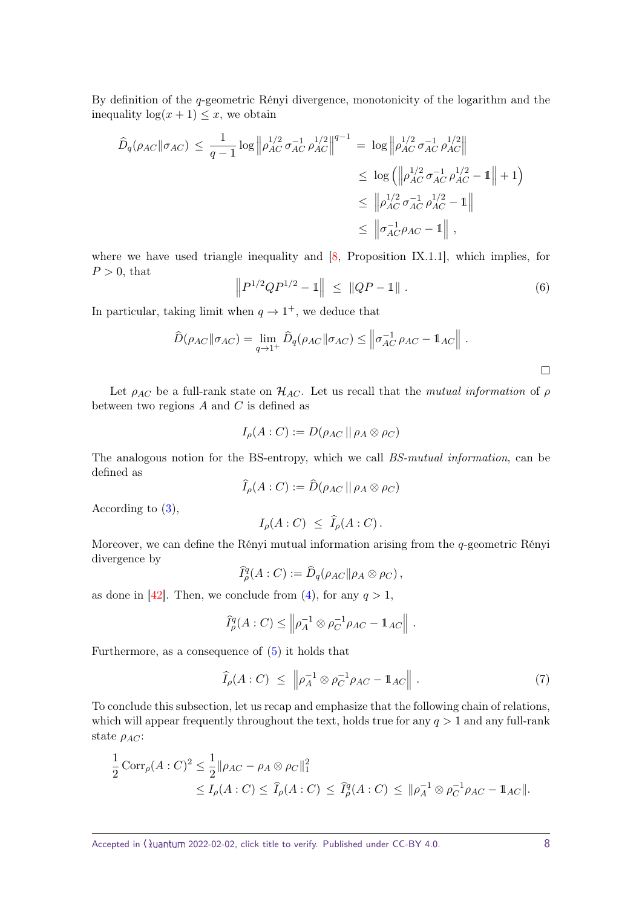<span id="page-7-0"></span>By definition of the *q*-geometric Rényi divergence, monotonicity of the logarithm and the inequality  $\log(x+1) \leq x$ , we obtain

$$
\hat{D}_q(\rho_{AC} || \sigma_{AC}) \leq \frac{1}{q-1} \log \left\| \rho_{AC}^{1/2} \sigma_{AC}^{-1} \rho_{AC}^{1/2} \right\|^{q-1} = \log \left\| \rho_{AC}^{1/2} \sigma_{AC}^{-1} \rho_{AC}^{1/2} \right\|
$$
\n
$$
\leq \log \left( \left\| \rho_{AC}^{1/2} \sigma_{AC}^{-1} \rho_{AC}^{1/2} - 1 \right\| + 1 \right)
$$
\n
$$
\leq \left\| \rho_{AC}^{1/2} \sigma_{AC}^{-1} \rho_{AC}^{1/2} - 1 \right\|
$$
\n
$$
\leq \left\| \sigma_{AC}^{1/2} \rho_{AC}^{-1} - 1 \right\|,
$$

where we have used triangle inequality and  $[8,$  Proposition IX.1.1], which implies, for  $P > 0$ , that

$$
\|P^{1/2}QP^{1/2} - \mathbb{1}\| \le \|QP - \mathbb{1}\|.
$$
 (6)

In particular, taking limit when  $q \to 1^+$ , we deduce that

$$
\widehat{D}(\rho_{AC}||\sigma_{AC}) = \lim_{q \to 1^{+}} \widehat{D}_{q}(\rho_{AC}||\sigma_{AC}) \le ||\sigma_{AC}^{-1} \rho_{AC} - 1_{AC}||.
$$

Let  $\rho_{AC}$  be a full-rank state on  $\mathcal{H}_{AC}$ . Let us recall that the *mutual information* of  $\rho$ between two regions *A* and *C* is defined as

$$
I_{\rho}(A:C) := D(\rho_{AC} \,|| \, \rho_A \otimes \rho_C)
$$

The analogous notion for the BS-entropy, which we call BS-mutual information, can be defined as

$$
\widehat{I}_{\rho}(A:C):=\widehat{D}(\rho_{AC}||\rho_A\otimes\rho_C)
$$

According to  $(3)$ ,

$$
I_{\rho}(A:C) \leq \widehat{I}_{\rho}(A:C).
$$

Moreover, we can define the Rényi mutual information arising from the *q*-geometric Rényi divergence by

$$
\widehat{I}_{\rho}^q(A:C):=\widehat{D}_q(\rho_{AC}||\rho_A\otimes\rho_C),
$$

as done in [\[42\]](#page-38-8). Then, we conclude from [\(4\)](#page-6-1), for any  $q > 1$ ,

$$
\widehat{I}_{\rho}^q(A:C) \leq \left\| \rho_A^{-1} \otimes \rho_C^{-1} \rho_{AC} - \mathbb{1}_{AC} \right\|.
$$

Furthermore, as a consequence of [\(5\)](#page-6-2) it holds that

$$
\widehat{I}_{\rho}(A:C) \leq \left\| \rho_A^{-1} \otimes \rho_C^{-1} \rho_{AC} - \mathbb{1}_{AC} \right\|.
$$
 (7)

To conclude this subsection, let us recap and emphasize that the following chain of relations, which will appear frequently throughout the text, holds true for any  $q > 1$  and any full-rank state *ρAC*:

$$
\frac{1}{2} \text{Corr}_{\rho}(A:C)^2 \le \frac{1}{2} ||\rho_{AC} - \rho_A \otimes \rho_C||_1^2
$$
  
 
$$
\le I_{\rho}(A:C) \le \hat{I}_{\rho}(A:C) \le \hat{I}_{\rho}^q(A:C) \le ||\rho_A^{-1} \otimes \rho_C^{-1} \rho_{AC} - 1_{AC}||.
$$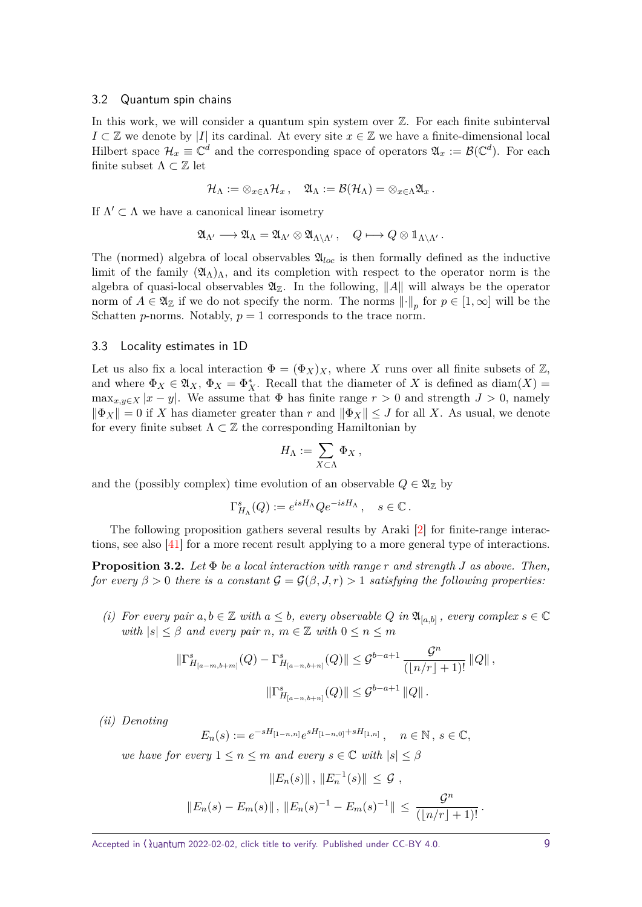#### <span id="page-8-3"></span><span id="page-8-0"></span>3.2 Quantum spin chains

In this work, we will consider a quantum spin system over  $\mathbb{Z}$ . For each finite subinterval  $I \subset \mathbb{Z}$  we denote by |*I*| its cardinal. At every site  $x \in \mathbb{Z}$  we have a finite-dimensional local Hilbert space  $\mathcal{H}_x \equiv \mathbb{C}^d$  and the corresponding space of operators  $\mathfrak{A}_x := \mathcal{B}(\mathbb{C}^d)$ . For each finite subset  $\Lambda \subset \mathbb{Z}$  let

$$
\mathcal{H}_\Lambda:=\otimes_{x\in\Lambda}\mathcal{H}_x\,,\quad \mathfrak{A}_\Lambda:=\mathcal{B}(\mathcal{H}_\Lambda)=\otimes_{x\in\Lambda}\mathfrak{A}_x\,.
$$

If  $\Lambda' \subset \Lambda$  we have a canonical linear isometry

$$
\mathfrak{A}_{\Lambda'} \longrightarrow \mathfrak{A}_{\Lambda} = \mathfrak{A}_{\Lambda'} \otimes \mathfrak{A}_{\Lambda \backslash \Lambda'}, \quad Q \longmapsto Q \otimes \mathbb{1}_{\Lambda \backslash \Lambda'}.
$$

The (normed) algebra of local observables  $\mathfrak{A}_{loc}$  is then formally defined as the inductive limit of the family  $(\mathfrak{A}_{\Lambda})_{\Lambda}$ , and its completion with respect to the operator norm is the algebra of quasi-local observables  $\mathfrak{A}_{\mathbb{Z}}$ . In the following,  $||A||$  will always be the operator norm of  $A \in \mathfrak{A}_{\mathbb{Z}}$  if we do not specify the norm. The norms  $\lVert \cdot \rVert_p$  for  $p \in [1, \infty]$  will be the Schatten *p*-norms. Notably,  $p = 1$  corresponds to the trace norm.

#### <span id="page-8-1"></span>3.3 Locality estimates in 1D

Let us also fix a local interaction  $\Phi = (\Phi_X)_X$ , where X runs over all finite subsets of Z, and where  $\Phi_X \in \mathfrak{A}_X$ ,  $\Phi_X = \Phi_X^*$ . Recall that the diameter of *X* is defined as diam $(X)$  =  $\max_{x,y\in X} |x-y|$ . We assume that  $\Phi$  has finite range  $r>0$  and strength  $J>0$ , namely  $\|\Phi_X\| = 0$  if *X* has diameter greater than *r* and  $\|\Phi_X\| \leq J$  for all *X*. As usual, we denote for every finite subset  $\Lambda\subset\mathbb{Z}$  the corresponding Hamiltonian by

$$
H_{\Lambda} := \sum_{X \subset \Lambda} \Phi_X \,,
$$

and the (possibly complex) time evolution of an observable  $Q \in \mathfrak{A}_{\mathbb{Z}}$  by

$$
\Gamma^s_{H_\Lambda}(Q) := e^{isH_\Lambda} Q e^{-isH_\Lambda} \,, \quad s \in \mathbb{C} \,.
$$

The following proposition gathers several results by Araki [\[2\]](#page-36-0) for finite-range interactions, see also [\[41\]](#page-38-14) for a more recent result applying to a more general type of interactions.

<span id="page-8-2"></span>**Proposition 3.2.** *Let* Φ *be a local interaction with range r and strength J as above. Then, for every*  $\beta > 0$  *there is a constant*  $\mathcal{G} = \mathcal{G}(\beta, J, r) > 1$  *satisfying the following properties:* 

*(i)* For every pair  $a, b \in \mathbb{Z}$  with  $a \leq b$ , every observable  $Q$  in  $\mathfrak{A}_{[a,b]}$ , every complex  $s \in \mathbb{C}$ *with*  $|s| \leq \beta$  *and every pair*  $n, m \in \mathbb{Z}$  *with*  $0 \leq n \leq m$ 

$$
\|\Gamma^s_{H_{[a-m,b+m]}}(Q) - \Gamma^s_{H_{[a-n,b+n]}}(Q)\| \leq \mathcal{G}^{b-a+1} \frac{\mathcal{G}^n}{(\lfloor n/r \rfloor + 1)!} \|Q\|,
$$
  

$$
\|\Gamma^s_{H_{[a-n,b+n]}}(Q)\| \leq \mathcal{G}^{b-a+1} \|Q\|.
$$

*(ii) Denoting*

$$
E_n(s) := e^{-sH_{[1-n,n]}} e^{sH_{[1-n,0]} + sH_{[1,n]}}, \quad n \in \mathbb{N}, s \in \mathbb{C},
$$

*we have for every*  $1 \leq n \leq m$  *and every*  $s \in \mathbb{C}$  *with*  $|s| \leq \beta$ 

$$
||E_n(s)||, ||E_n^{-1}(s)|| \leq \mathcal{G},
$$
  

$$
||E_n(s) - E_m(s)||, ||E_n(s)^{-1} - E_m(s)^{-1}|| \leq \frac{\mathcal{G}^n}{(|n/r| + 1)!}.
$$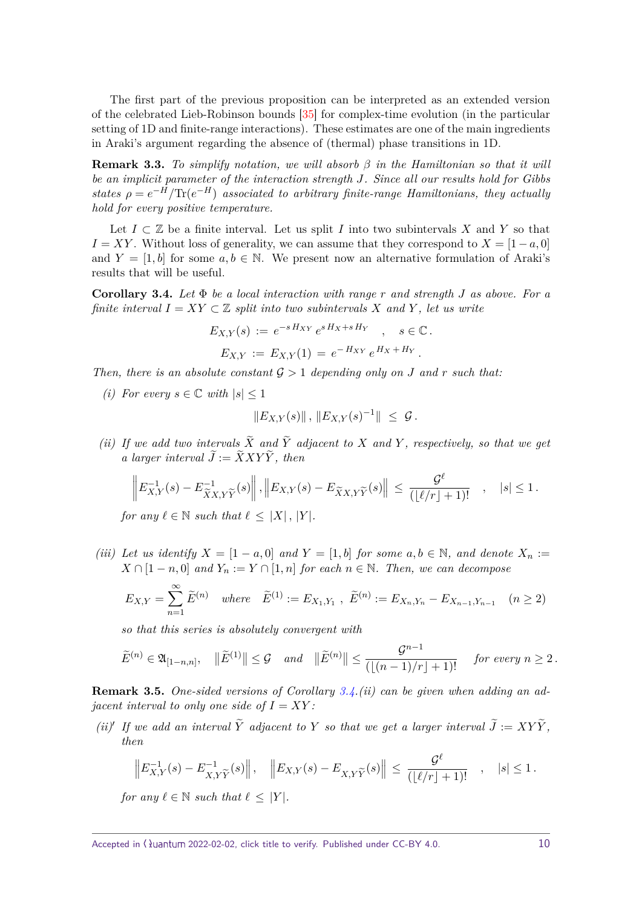<span id="page-9-2"></span>The first part of the previous proposition can be interpreted as an extended version of the celebrated Lieb-Robinson bounds [\[35\]](#page-38-16) for complex-time evolution (in the particular setting of 1D and finite-range interactions). These estimates are one of the main ingredients in Araki's argument regarding the absence of (thermal) phase transitions in 1D.

**Remark 3.3.** *To simplify notation, we will absorb β in the Hamiltonian so that it will be an implicit parameter of the interaction strength J. Since all our results hold for Gibbs states*  $\rho = e^{-H}/\text{Tr}(e^{-H})$  *associated to arbitrary finite-range Hamiltonians, they actually hold for every positive temperature.*

Let  $I \subset \mathbb{Z}$  be a finite interval. Let us split *I* into two subintervals X and Y so that  $I = XY$ . Without loss of generality, we can assume that they correspond to  $X = [1 - a, 0]$ and  $Y = [1, b]$  for some  $a, b \in \mathbb{N}$ . We present now an alternative formulation of Araki's results that will be useful.

<span id="page-9-0"></span>**Corollary 3.4.** *Let* Φ *be a local interaction with range r and strength J as above. For a finite interval*  $I = XY \subset \mathbb{Z}$  *split into two subintervals X* and *Y*, let us write

$$
E_{X,Y}(s) := e^{-sH_{XY}} e^{sH_X + sH_Y} , s \in \mathbb{C}.
$$
  

$$
E_{X,Y} := E_{X,Y}(1) = e^{-H_{XY}} e^{H_X + H_Y}.
$$

*Then, there is an absolute constant*  $\mathcal{G} > 1$  *depending only on J and r such that:* 

*(i)* For every  $s \in \mathbb{C}$  with  $|s| \leq 1$ 

$$
||E_{X,Y}(s)||, ||E_{X,Y}(s)^{-1}|| \leq \mathcal{G}.
$$

*(ii)* If we add two intervals  $X$  and  $Y$  adjacent to  $X$  and  $Y$ , respectively, so that we get  $a$  *larger interval*  $J := XXXY$ , *then* 

$$
\left\| E_{X,Y}^{-1}(s) - E_{\widetilde{X}X,Y\widetilde{Y}}^{-1}(s) \right\|, \left\| E_{X,Y}(s) - E_{\widetilde{X}X,Y\widetilde{Y}}(s) \right\| \leq \frac{\mathcal{G}^{\ell}}{(\lfloor \ell/r \rfloor + 1)!}, \quad |s| \leq 1.
$$

*for any*  $\ell \in \mathbb{N}$  *such that*  $\ell \leq |X|$ ,  $|Y|$ *.* 

*(iii)* Let us identify  $X = \begin{bmatrix} 1 - a, 0 \end{bmatrix}$  and  $Y = \begin{bmatrix} 1, b \end{bmatrix}$  for some  $a, b \in \mathbb{N}$ , and denote  $X_n :=$  $X \cap [1 - n, 0]$  *and*  $Y_n := Y \cap [1, n]$  *for each*  $n \in \mathbb{N}$ *. Then, we can decompose* 

$$
E_{X,Y} = \sum_{n=1}^{\infty} \tilde{E}^{(n)} \quad \text{where} \quad \tilde{E}^{(1)} := E_{X_1,Y_1} \ , \ \tilde{E}^{(n)} := E_{X_n,Y_n} - E_{X_{n-1},Y_{n-1}} \quad (n \ge 2)
$$

*so that this series is absolutely convergent with*

$$
\widetilde{E}^{(n)} \in \mathfrak{A}_{[1-n,n]}, \quad \|\widetilde{E}^{(1)}\| \leq \mathcal{G} \quad and \quad \|\widetilde{E}^{(n)}\| \leq \frac{\mathcal{G}^{n-1}}{(\lfloor (n-1)/r \rfloor + 1)!} \quad \text{ for every } n \geq 2.
$$

<span id="page-9-1"></span>**Remark 3.5.** *One-sided versions of Corollary [3.4.](#page-9-0)(ii) can be given when adding an adjacent interval to only one side of*  $I = XY$ :

*(ii)*<sup> $\prime$ </sup> If we add an interval  $\tilde{Y}$  adjacent to  $Y$  so that we get a larger interval  $\tilde{J} := XY\tilde{Y}$ , *then*

$$
\left\| E_{X,Y}^{-1}(s) - E_{X,Y\widetilde{Y}}^{-1}(s) \right\|, \quad \left\| E_{X,Y}(s) - E_{X,Y\widetilde{Y}}(s) \right\| \leq \frac{\mathcal{G}^{\ell}}{(\lfloor \ell/r \rfloor + 1)!} \quad , \quad |s| \leq 1.
$$

*for any*  $\ell \in \mathbb{N}$  *such that*  $\ell \leq |Y|$ *.*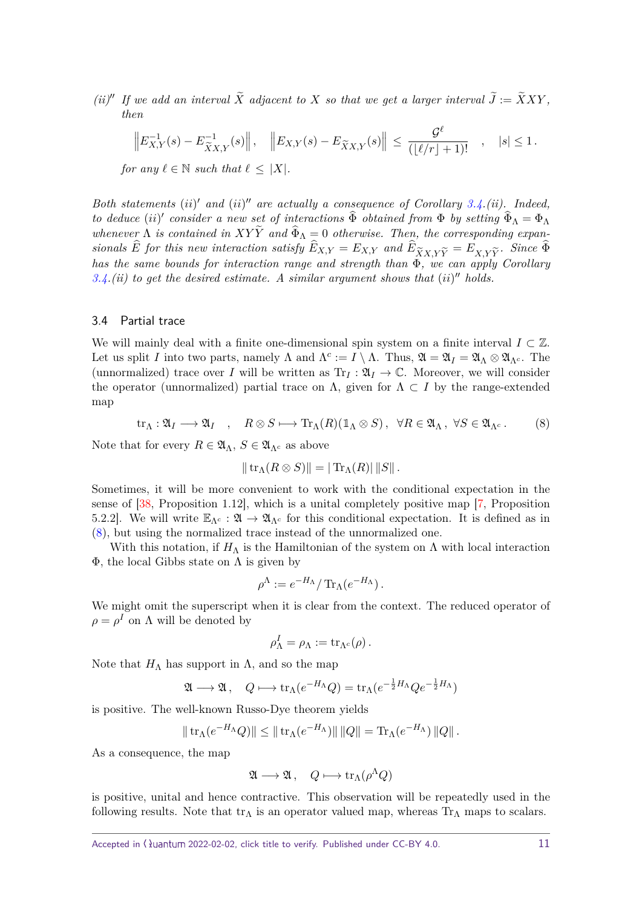<span id="page-10-2"></span>*(ii)*<sup> $\prime\prime$ </sup> *If we add an interval*  $\widetilde{X}$  *adjacent to*  $X$  *so that we get a larger interval*  $\widetilde{J} := \widetilde{X}XY$ , *then*

$$
\left\| E_{X,Y}^{-1}(s) - E_{\widetilde{X}X,Y}^{-1}(s) \right\|, \quad \left\| E_{X,Y}(s) - E_{\widetilde{X}X,Y}(s) \right\| \leq \frac{\mathcal{G}^{\ell}}{(\lfloor \ell/r \rfloor + 1)!} \quad , \quad |s| \leq 1 \, .
$$

*for any*  $\ell \in \mathbb{N}$  *such that*  $\ell \leq |X|$ *.* 

*Both statements* (*ii*)' and (*ii*)" are actually a consequence of Corollary [3.4.](#page-9-0)(*ii*). Indeed, *to deduce* (*ii*)' consider a new set of interactions  $\widehat{\Phi}$  obtained from  $\Phi$  by setting  $\widehat{\Phi}_\Lambda = \Phi_\Lambda$ *whenever*  $\Lambda$  *is contained in XYY and*  $\Phi_{\Lambda} = 0$  *otherwise. Then, the corresponding expansionals E for this new interaction satisfy*  $E_{X,Y} = E_{X,Y}$  *and*  $E_{\widetilde{X}X,Y\widetilde{Y}} = E_{X,Y\widetilde{Y}}$ *. Since*  $\Phi$  *has the same bounds for interaction range and strength than*  $\Phi$  *<i>we can amply Corollary has the same bounds for interaction range and strength than* Φ*, we can apply Corollary*  $3.4$ *(ii)* to get the desired estimate. A similar argument shows that (ii)" holds.

#### <span id="page-10-0"></span>3.4 Partial trace

We will mainly deal with a finite one-dimensional spin system on a finite interval  $I \subset \mathbb{Z}$ . Let us split *I* into two parts, namely  $\Lambda$  and  $\Lambda^c := I \setminus \Lambda$ . Thus,  $\mathfrak{A} = \mathfrak{A}_I = \mathfrak{A}_\Lambda \otimes \mathfrak{A}_{\Lambda^c}$ . The (unnormalized) trace over *I* will be written as  $Tr_I : \mathfrak{A}_I \to \mathbb{C}$ . Moreover, we will consider the operator (unnormalized) partial trace on  $\Lambda$ , given for  $\Lambda \subset I$  by the range-extended map

<span id="page-10-1"></span>
$$
\operatorname{tr}_{\Lambda}: \mathfrak{A}_I \longrightarrow \mathfrak{A}_I \quad , \quad R \otimes S \longmapsto \operatorname{Tr}_{\Lambda}(R)(\mathbb{1}_{\Lambda} \otimes S) \,, \quad \forall R \in \mathfrak{A}_{\Lambda} \,, \ \forall S \in \mathfrak{A}_{\Lambda^c} \,. \tag{8}
$$

Note that for every  $R \in \mathfrak{A}_{\Lambda}$ ,  $S \in \mathfrak{A}_{\Lambda^c}$  as above

$$
\|\operatorname{tr}_{\Lambda}(R\otimes S)\| = |\operatorname{Tr}_{\Lambda}(R)| \|S\|.
$$

Sometimes, it will be more convenient to work with the conditional expectation in the sense of [\[38,](#page-38-13) Proposition 1.12], which is a unital completely positive map [\[7,](#page-37-13) Proposition 5.2.2]. We will write  $\mathbb{E}_{\Lambda^c} : \mathfrak{A} \to \mathfrak{A}_{\Lambda^c}$  for this conditional expectation. It is defined as in [\(8\)](#page-10-1), but using the normalized trace instead of the unnormalized one.

With this notation, if  $H_{\Lambda}$  is the Hamiltonian of the system on  $\Lambda$  with local interaction  $\Phi$ , the local Gibbs state on  $\Lambda$  is given by

$$
\rho^{\Lambda} := e^{-H_{\Lambda}} / \operatorname{Tr}_{\Lambda}(e^{-H_{\Lambda}}).
$$

We might omit the superscript when it is clear from the context. The reduced operator of  $\rho = \rho^I$  on  $\Lambda$  will be denoted by

$$
\rho^I_{\Lambda}=\rho_{\Lambda}:=\mathrm{tr}_{\Lambda^c}(\rho)\,.
$$

Note that  $H_{\Lambda}$  has support in  $\Lambda$ , and so the map

$$
\mathfrak{A}\longrightarrow \mathfrak{A}\,,\quad Q\longmapsto \text{tr}_{\Lambda}(e^{-H_{\Lambda}}Q)=\text{tr}_{\Lambda}(e^{-\frac{1}{2}H_{\Lambda}}Qe^{-\frac{1}{2}H_{\Lambda}})
$$

is positive. The well-known Russo-Dye theorem yields

$$
\|\operatorname{tr}_{\Lambda}(e^{-H_{\Lambda}}Q)\| \le \|\operatorname{tr}_{\Lambda}(e^{-H_{\Lambda}})\| \|Q\| = \operatorname{Tr}_{\Lambda}(e^{-H_{\Lambda}})\|Q\|.
$$

As a consequence, the map

$$
\mathfrak{A}\longrightarrow \mathfrak{A}\,,\quad Q\longmapsto \mathrm{tr}_\Lambda(\rho^\Lambda Q)
$$

is positive, unital and hence contractive. This observation will be repeatedly used in the following results. Note that  $tr_{\Lambda}$  is an operator valued map, whereas  $Tr_{\Lambda}$  maps to scalars.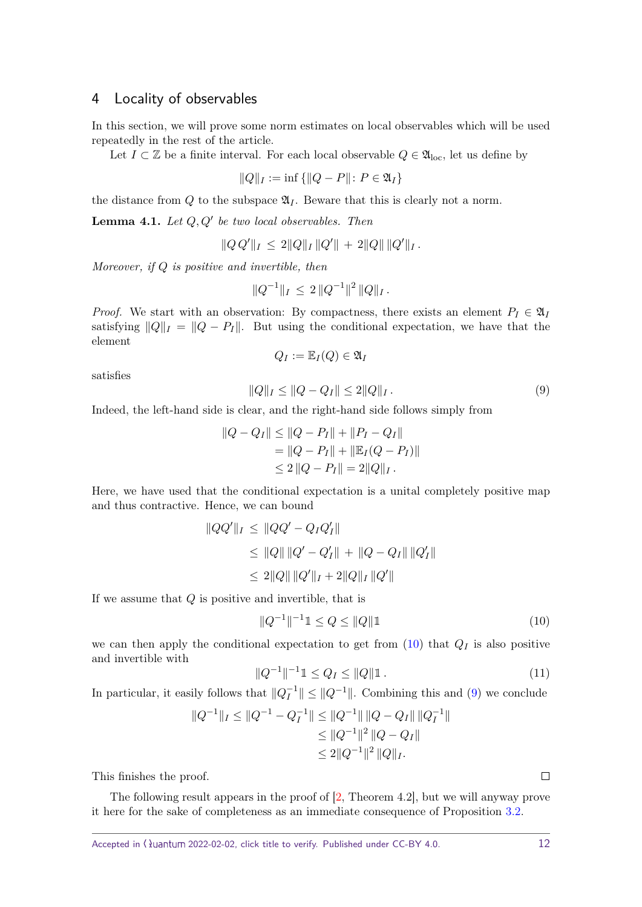## <span id="page-11-4"></span><span id="page-11-0"></span>4 Locality of observables

In this section, we will prove some norm estimates on local observables which will be used repeatedly in the rest of the article.

Let *I* ⊂ Z be a finite interval. For each local observable  $Q \in \mathfrak{A}_{loc}$ , let us define by

$$
||Q||_I := \inf \{ ||Q - P|| : P \in \mathfrak{A}_I \}
$$

the distance from  $Q$  to the subspace  $\mathfrak{A}_I$ . Beware that this is clearly not a norm.

<span id="page-11-3"></span>**Lemma 4.1.** Let  $Q, Q'$  be two local observables. Then

$$
||Q Q'||_I \leq 2||Q||_I ||Q'|| + 2||Q|| ||Q'||_I.
$$

*Moreover, if Q is positive and invertible, then*

$$
||Q^{-1}||_I \leq 2 ||Q^{-1}||^2 ||Q||_I.
$$

*Proof.* We start with an observation: By compactness, there exists an element  $P_I \in \mathfrak{A}_I$ satisfying  $||Q||_I = ||Q - P_I||$ . But using the conditional expectation, we have that the element

$$
Q_I := \mathbb{E}_I(Q) \in \mathfrak{A}_I
$$

satisfies

<span id="page-11-2"></span>
$$
||Q||_I \le ||Q - Q_I|| \le 2||Q||_I.
$$
\n(9)

Indeed, the left-hand side is clear, and the right-hand side follows simply from

$$
||Q - Q_I|| \le ||Q - P_I|| + ||P_I - Q_I||
$$
  
=  $||Q - P_I|| + ||\mathbb{E}_I(Q - P_I)||$   
 $\le 2 ||Q - P_I|| = 2 ||Q||_I.$ 

Here, we have used that the conditional expectation is a unital completely positive map and thus contractive. Hence, we can bound

$$
||QQ'||_I \le ||QQ' - Q_IQ'_I||
$$
  
\n
$$
\le ||Q|| ||Q' - Q'_I|| + ||Q - Q_I|| ||Q'_I||
$$
  
\n
$$
\le 2||Q|| ||Q'||_I + 2||Q||_I ||Q'||
$$

If we assume that *Q* is positive and invertible, that is

<span id="page-11-1"></span>
$$
||Q^{-1}||^{-1}1 \le Q \le ||Q||1 \tag{10}
$$

we can then apply the conditional expectation to get from  $(10)$  that  $Q_I$  is also positive and invertible with

$$
||Q^{-1}||^{-1} \mathbb{1} \le Q_I \le ||Q|| \mathbb{1}. \tag{11}
$$

In particular, it easily follows that  $||Q_I^{-1}|| \leq ||Q^{-1}||$ . Combining this and [\(9\)](#page-11-2) we conclude

$$
||Q^{-1}||_I \le ||Q^{-1} - Q_I^{-1}|| \le ||Q^{-1}|| ||Q - Q_I|| ||Q_I^{-1}||
$$
  
\n
$$
\le ||Q^{-1}||^2 ||Q - Q_I||
$$
  
\n
$$
\le 2||Q^{-1}||^2 ||Q||_I.
$$

This finishes the proof.

The following result appears in the proof of [\[2,](#page-36-0) Theorem 4.2], but we will anyway prove it here for the sake of completeness as an immediate consequence of Proposition [3.2.](#page-8-2)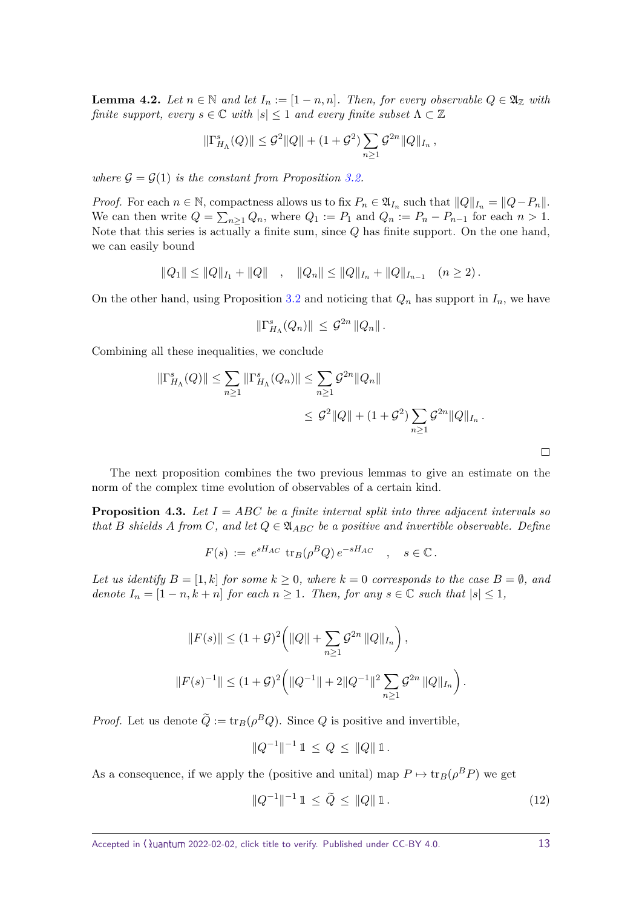<span id="page-12-0"></span>**Lemma 4.2.** *Let*  $n \in \mathbb{N}$  *and let*  $I_n := [1 - n, n]$ *. Then, for every observable*  $Q \in \mathfrak{A}_{\mathbb{Z}}$  *with finite support, every*  $s \in \mathbb{C}$  *with*  $|s| \leq 1$  *and every finite subset*  $\Lambda \subset \mathbb{Z}$ 

$$
\|\Gamma^s_{H_\Lambda}(Q)\| \leq \mathcal{G}^2\|Q\| + (1+\mathcal{G}^2) \sum_{n\geq 1} \mathcal{G}^{2n} \|Q\|_{I_n},
$$

*where*  $G = G(1)$  *is the constant from Proposition [3.2.](#page-8-2)* 

*Proof.* For each  $n \in \mathbb{N}$ , compactness allows us to fix  $P_n \in \mathfrak{A}_{I_n}$  such that  $||Q||_{I_n} = ||Q - P_n||$ . We can then write  $Q = \sum_{n \geq 1} Q_n$ , where  $Q_1 := P_1$  and  $Q_n := P_n - P_{n-1}$  for each  $n > 1$ . Note that this series is actually a finite sum, since *Q* has finite support. On the one hand, we can easily bound

$$
||Q_1|| \le ||Q||_{I_1} + ||Q|| \quad , \quad ||Q_n|| \le ||Q||_{I_n} + ||Q||_{I_{n-1}} \quad (n \ge 2).
$$

On the other hand, using Proposition [3.2](#page-8-2) and noticing that  $Q_n$  has support in  $I_n$ , we have

$$
\|\Gamma_{H_\Lambda}^s(Q_n)\| \,\leq\, \mathcal{G}^{2n}\,\|Q_n\|\,.
$$

Combining all these inequalities, we conclude

$$
\|\Gamma_{H_{\Lambda}}^{s}(Q)\| \leq \sum_{n\geq 1} \|\Gamma_{H_{\Lambda}}^{s}(Q_{n})\| \leq \sum_{n\geq 1} \mathcal{G}^{2n} \|Q_{n}\|
$$
  

$$
\leq \mathcal{G}^{2} \|Q\| + (1 + \mathcal{G}^{2}) \sum_{n\geq 1} \mathcal{G}^{2n} \|Q\|_{I_{n}}.
$$

The next proposition combines the two previous lemmas to give an estimate on the norm of the complex time evolution of observables of a certain kind.

<span id="page-12-2"></span>**Proposition 4.3.** *Let I* = *ABC be a finite interval split into three adjacent intervals so that B shields A from C, and let*  $Q \in \mathfrak{A}_{ABC}$  *be a positive and invertible observable. Define* 

$$
F(s) := e^{sH_{AC}} \operatorname{tr}_{B}(\rho^{B}Q) e^{-sH_{AC}} \quad , \quad s \in \mathbb{C}.
$$

*Let us identify*  $B = [1, k]$  *for some*  $k \geq 0$ *, where*  $k = 0$  *corresponds to the case*  $B = \emptyset$ *, and denote*  $I_n = [1 - n, k + n]$  *for each*  $n \geq 1$ *. Then, for any*  $s \in \mathbb{C}$  *such that*  $|s| \leq 1$ *,* 

$$
||F(s)|| \le (1+\mathcal{G})^2 \left( ||Q|| + \sum_{n\ge 1} \mathcal{G}^{2n} ||Q||_{I_n} \right),
$$
  

$$
||F(s)^{-1}|| \le (1+\mathcal{G})^2 \left( ||Q^{-1}|| + 2||Q^{-1}||^2 \sum_{n\ge 1} \mathcal{G}^{2n} ||Q||_{I_n} \right).
$$

*Proof.* Let us denote  $\tilde{Q} := \text{tr}_B(\rho^B Q)$ . Since *Q* is positive and invertible,

$$
||Q^{-1}||^{-1} 1 \leq Q \leq ||Q|| 1.
$$

As a consequence, if we apply the (positive and unital) map  $P \mapsto \text{tr}_B(\rho^B P)$  we get

<span id="page-12-1"></span>
$$
||Q^{-1}||^{-1} 1 \le \tilde{Q} \le ||Q|| 1.
$$
\n(12)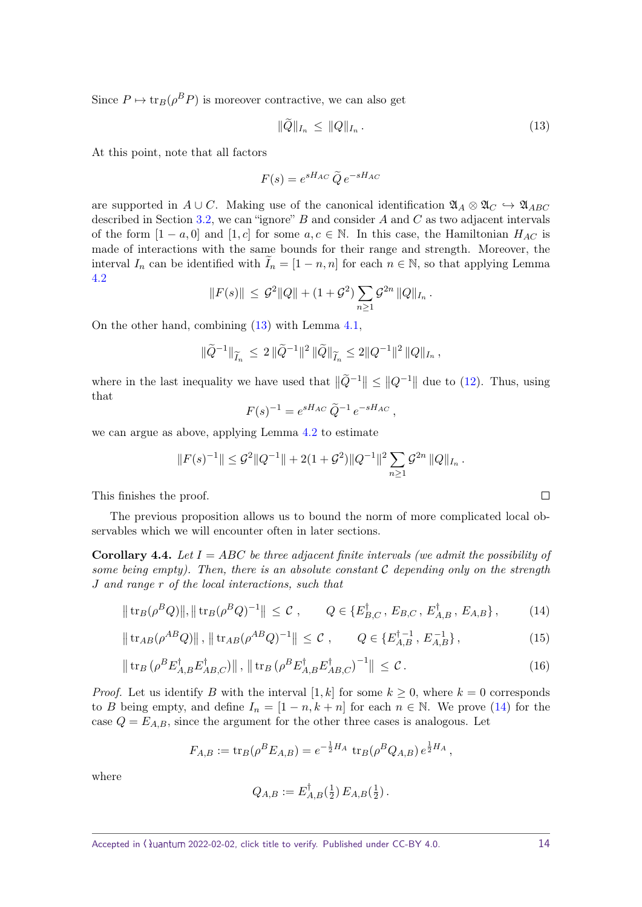Since  $P \mapsto \text{tr}_B(\rho^B P)$  is moreover contractive, we can also get

<span id="page-13-0"></span>
$$
\|Q\|_{I_n} \le \|Q\|_{I_n} \,. \tag{13}
$$

At this point, note that all factors

$$
F(s) = e^{sH_{AC}} \widetilde{Q} e^{-sH_{AC}}
$$

are supported in  $A \cup C$ . Making use of the canonical identification  $\mathfrak{A}_A \otimes \mathfrak{A}_C \hookrightarrow \mathfrak{A}_{ABC}$ described in Section [3.2,](#page-8-0) we can "ignore" *B* and consider *A* and *C* as two adjacent intervals of the form  $[1 - a, 0]$  and  $[1, c]$  for some  $a, c \in \mathbb{N}$ . In this case, the Hamiltonian  $H_{AC}$  is made of interactions with the same bounds for their range and strength. Moreover, the interval  $I_n$  can be identified with  $\bar{I}_n = [1 - n, n]$  for each  $n \in \mathbb{N}$ , so that applying Lemma [4.2](#page-12-0)

$$
||F(s)|| \leq \mathcal{G}^2 ||Q|| + (1 + \mathcal{G}^2) \sum_{n \geq 1} \mathcal{G}^{2n} ||Q||_{I_n}.
$$

On the other hand, combining [\(13\)](#page-13-0) with Lemma [4.1,](#page-11-3)

$$
\|\widetilde{Q}^{-1}\|_{\widetilde{I}_n} \leq 2 \|\widetilde{Q}^{-1}\|^2 \|\widetilde{Q}\|_{\widetilde{I}_n} \leq 2 \|Q^{-1}\|^2 \|Q\|_{I_n},
$$

where in the last inequality we have used that  $\|\tilde{Q}^{-1}\| \leq \|Q^{-1}\|$  due to [\(12\)](#page-12-1). Thus, using that

$$
F(s)^{-1} = e^{sH_{AC}} \tilde{Q}^{-1} e^{-sH_{AC}},
$$

we can argue as above, applying Lemma [4.2](#page-12-0) to estimate

$$
||F(s)^{-1}|| \leq \mathcal{G}^2 ||Q^{-1}|| + 2(1+\mathcal{G}^2)||Q^{-1}||^2 \sum_{n \geq 1} \mathcal{G}^{2n} ||Q||_{I_n}.
$$

This finishes the proof.

The previous proposition allows us to bound the norm of more complicated local observables which we will encounter often in later sections.

<span id="page-13-4"></span>**Corollary 4.4.** *Let I* = *ABC be three adjacent finite intervals (we admit the possibility of some being empty). Then, there is an absolute constant* C *depending only on the strength J and range r of the local interactions, such that*

$$
\|\operatorname{tr}_{B}(\rho^{B}Q)\|, \|\operatorname{tr}_{B}(\rho^{B}Q)^{-1}\| \leq C, \qquad Q \in \{E_{B,C}^{\dagger}, E_{B,C}, E_{A,B}^{\dagger}, E_{A,B}\},\tag{14}
$$

$$
\|\operatorname{tr}_{AB}(\rho^{AB}Q)\|, \|\operatorname{tr}_{AB}(\rho^{AB}Q)^{-1}\| \leq C, \qquad Q \in \{E_{A,B}^{\dagger-1}, E_{A,B}^{-1}\},\tag{15}
$$

$$
\|\operatorname{tr}_{B}\left(\rho^{B}E_{A,B}^{\dagger}E_{AB,C}^{\dagger}\right)\|, \|\operatorname{tr}_{B}\left(\rho^{B}E_{A,B}^{\dagger}E_{AB,C}^{\dagger}\right)^{-1}\| \leq \mathcal{C}.
$$
 (16)

*Proof.* Let us identify *B* with the interval [1, k] for some  $k \geq 0$ , where  $k = 0$  corresponds to *B* being empty, and define  $I_n = [1 - n, k + n]$  for each  $n \in \mathbb{N}$ . We prove [\(14\)](#page-13-1) for the case  $Q = E_{A,B}$ , since the argument for the other three cases is analogous. Let

$$
F_{A,B} := \text{tr}_B(\rho^B E_{A,B}) = e^{-\frac{1}{2}H_A} \text{ tr}_B(\rho^B Q_{A,B}) e^{\frac{1}{2}H_A},
$$

where

<span id="page-13-3"></span><span id="page-13-2"></span><span id="page-13-1"></span>
$$
Q_{A,B} := E_{A,B}^{\dagger}(\tfrac{1}{2}) E_{A,B}(\tfrac{1}{2}).
$$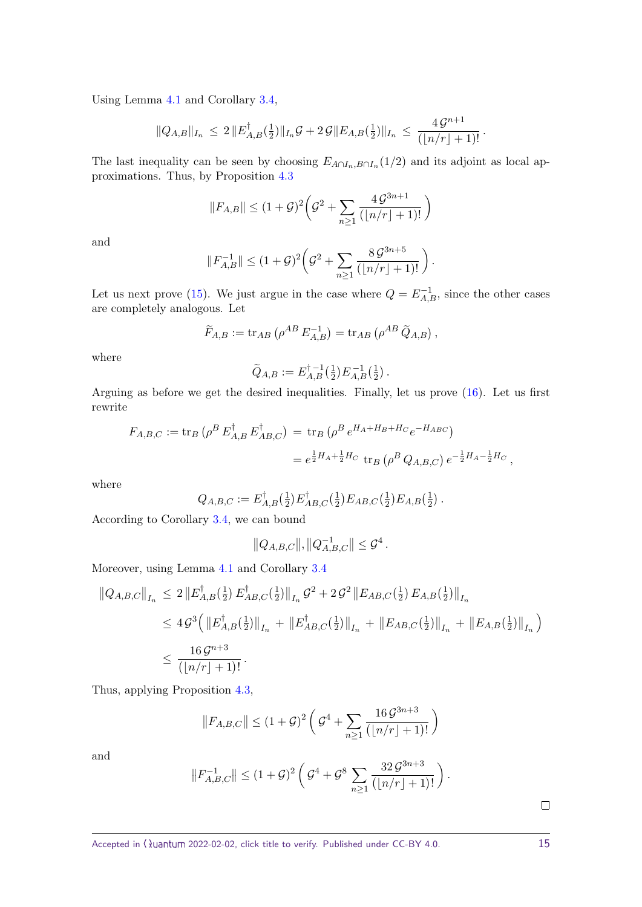Using Lemma [4.1](#page-11-3) and Corollary [3.4,](#page-9-0)

$$
||Q_{A,B}||_{I_n} \leq 2 ||E_{A,B}^{\dagger}(\tfrac{1}{2})||_{I_n} \mathcal{G} + 2 \mathcal{G}||E_{A,B}(\tfrac{1}{2})||_{I_n} \leq \frac{4 \mathcal{G}^{n+1}}{(|n/r|+1)!}.
$$

The last inequality can be seen by choosing  $E_{A \cap I_n, B \cap I_n}(1/2)$  and its adjoint as local approximations. Thus, by Proposition [4.3](#page-12-2)

$$
||F_{A,B}|| \le (1+\mathcal{G})^2 \bigg(\mathcal{G}^2 + \sum_{n\ge 1} \frac{4\,\mathcal{G}^{3n+1}}{(|n/r|+1)!} \bigg)
$$

and

$$
||F_{A,B}^{-1}|| \leq (1+\mathcal{G})^2 \left(\mathcal{G}^2 + \sum_{n\geq 1} \frac{8\,\mathcal{G}^{3n+5}}{(|n/r|+1)!}\right)
$$

*.*

Let us next prove [\(15\)](#page-13-2). We just argue in the case where  $Q = E_{A,B}^{-1}$ , since the other cases are completely analogous. Let

$$
\widetilde{F}_{A,B} := \text{tr}_{AB} \left( \rho^{AB} E_{A,B}^{-1} \right) = \text{tr}_{AB} \left( \rho^{AB} \widetilde{Q}_{A,B} \right),
$$

where

$$
\widetilde{Q}_{A,B} := E_{A,B}^{\dagger -1}(\frac{1}{2}) E_{A,B}^{-1}(\frac{1}{2}).
$$

Arguing as before we get the desired inequalities. Finally, let us prove [\(16\)](#page-13-3). Let us first rewrite

$$
F_{A,B,C} := \text{tr}_B \left( \rho^B E_{A,B}^{\dagger} E_{AB,C}^{\dagger} \right) = \text{tr}_B \left( \rho^B e^{H_A + H_B + H_C} e^{-H_{ABC}} \right)
$$
  
=  $e^{\frac{1}{2} H_A + \frac{1}{2} H_C} \text{tr}_B \left( \rho^B Q_{A,B,C} \right) e^{-\frac{1}{2} H_A - \frac{1}{2} H_C},$ 

where

$$
Q_{A,B,C} := E_{A,B}^{\dagger}(\frac{1}{2}) E_{AB,C}^{\dagger}(\frac{1}{2}) E_{AB,C}(\frac{1}{2}) E_{A,B}(\frac{1}{2}) .
$$

According to Corollary [3.4,](#page-9-0) we can bound

$$
||Q_{A,B,C}||, ||Q_{A,B,C}^{-1}|| \leq \mathcal{G}^4.
$$

Moreover, using Lemma [4.1](#page-11-3) and Corollary [3.4](#page-9-0)

$$
\|Q_{A,B,C}\|_{I_n} \leq 2\|E_{A,B}^{\dagger}(\frac{1}{2})E_{AB,C}^{\dagger}(\frac{1}{2})\|_{I_n}\mathcal{G}^2 + 2\mathcal{G}^2\|E_{AB,C}(\frac{1}{2})E_{A,B}(\frac{1}{2})\|_{I_n}
$$
  
\n
$$
\leq 4\mathcal{G}^3\left(\|E_{A,B}^{\dagger}(\frac{1}{2})\|_{I_n} + \|E_{AB,C}^{\dagger}(\frac{1}{2})\|_{I_n} + \|E_{AB,C}(\frac{1}{2})\|_{I_n} + \|E_{A,B}(\frac{1}{2})\|_{I_n}\right)
$$
  
\n
$$
\leq \frac{16\mathcal{G}^{n+3}}{(\lfloor n/r \rfloor + 1)!}.
$$

Thus, applying Proposition [4.3,](#page-12-2)

$$
||F_{A,B,C}|| \le (1+\mathcal{G})^2 \left( \mathcal{G}^4 + \sum_{n\ge 1} \frac{16 \mathcal{G}^{3n+3}}{(|n/r|+1)!} \right)
$$

and

$$
||F_{A,B,C}^{-1}|| \leq (1+\mathcal{G})^2 \left( \mathcal{G}^4 + \mathcal{G}^8 \sum_{n\geq 1} \frac{32 \mathcal{G}^{3n+3}}{(|n/r|+1)!} \right).
$$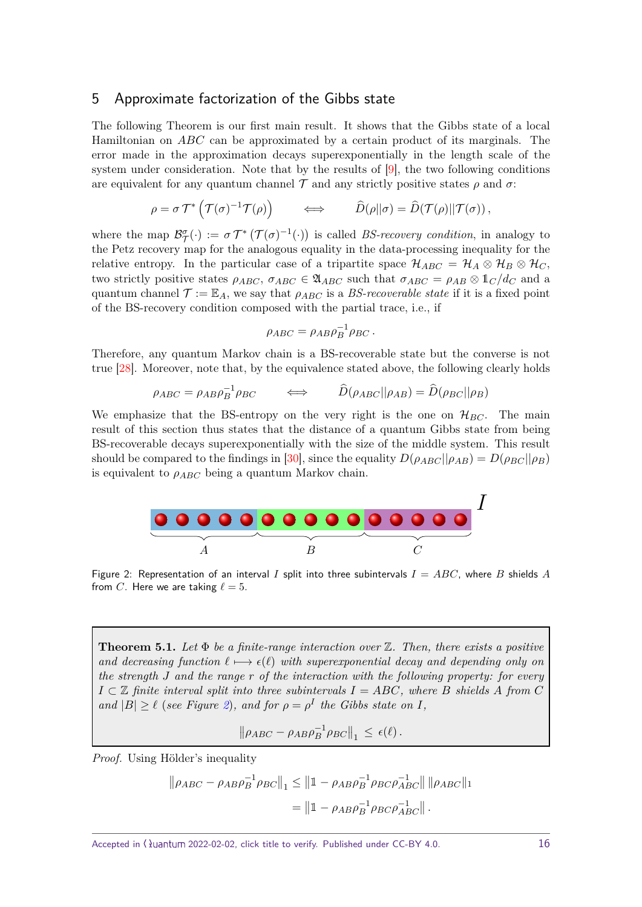#### <span id="page-15-3"></span><span id="page-15-0"></span>5 Approximate factorization of the Gibbs state

The following Theorem is our first main result. It shows that the Gibbs state of a local Hamiltonian on *ABC* can be approximated by a certain product of its marginals. The error made in the approximation decays superexponentially in the length scale of the system under consideration. Note that by the results of [\[9\]](#page-37-9), the two following conditions are equivalent for any quantum channel  $\mathcal T$  and any strictly positive states  $\rho$  and  $\sigma$ :

$$
\rho = \sigma \mathcal{T}^* \left( \mathcal{T}(\sigma)^{-1} \mathcal{T}(\rho) \right) \qquad \Longleftrightarrow \qquad \widehat{D}(\rho || \sigma) = \widehat{D}(\mathcal{T}(\rho) || \mathcal{T}(\sigma)),
$$

where the map  $\mathcal{B}_{\mathcal{T}}^{\sigma}(\cdot) := \sigma \mathcal{T}^* \left( \mathcal{T}(\sigma)^{-1}(\cdot) \right)$  is called *BS-recovery condition*, in analogy to the Petz recovery map for the analogous equality in the data-processing inequality for the relative entropy. In the particular case of a tripartite space  $\mathcal{H}_{ABC} = \mathcal{H}_A \otimes \mathcal{H}_B \otimes \mathcal{H}_C$ , two strictly positive states  $\rho_{ABC}$ ,  $\sigma_{ABC} \in \mathfrak{A}_{ABC}$  such that  $\sigma_{ABC} = \rho_{AB} \otimes \mathbb{1}_C / d_C$  and a quantum channel  $\mathcal{T} := \mathbb{E}_A$ , we say that  $\rho_{ABC}$  is a BS-recoverable state if it is a fixed point of the BS-recovery condition composed with the partial trace, i.e., if

$$
\rho_{ABC} = \rho_{AB}\rho_B^{-1}\rho_{BC}.
$$

Therefore, any quantum Markov chain is a BS-recoverable state but the converse is not true [\[28\]](#page-38-11). Moreover, note that, by the equivalence stated above, the following clearly holds

$$
\rho_{ABC} = \rho_{AB}\rho_B^{-1}\rho_{BC} \qquad \Longleftrightarrow \qquad \widehat{D}(\rho_{ABC}||\rho_{AB}) = \widehat{D}(\rho_{BC}||\rho_B)
$$

We emphasize that the BS-entropy on the very right is the one on  $\mathcal{H}_{BC}$ . The main result of this section thus states that the distance of a quantum Gibbs state from being BS-recoverable decays superexponentially with the size of the middle system. This result should be compared to the findings in [\[30\]](#page-38-9), since the equality  $D(\rho_{ABC}||\rho_{AB}) = D(\rho_{BC}||\rho_B)$ is equivalent to  $\rho_{ABC}$  being a quantum Markov chain.

<span id="page-15-2"></span>

Figure 2: Representation of an interval *I* split into three subintervals *I* = *ABC*, where *B* shields *A* from *C*. Here we are taking  $\ell = 5$ .

<span id="page-15-1"></span>**Theorem 5.1.** *Let* Φ *be a finite-range interaction over* Z*. Then, there exists a positive and decreasing function*  $\ell \mapsto \epsilon(\ell)$  *with superexponential decay and depending only on the strength J and the range r of the interaction with the following property: for every*  $I \subset \mathbb{Z}$  *finite interval split into three subintervals*  $I = ABC$ *, where B shields A from C and*  $|B| \geq \ell$  (*see Figure [2](#page-15-2)*)*, and for*  $\rho = \rho^I$  *the Gibbs state on I,* 

$$
\|\rho_{ABC} - \rho_{AB}\rho_B^{-1}\rho_{BC}\|_1 \leq \epsilon(\ell).
$$

Proof. Using Hölder's inequality

$$
\|\rho_{ABC} - \rho_{AB}\rho_B^{-1}\rho_{BC}\|_1 \le \|1 - \rho_{AB}\rho_B^{-1}\rho_{BC}\rho_{ABC}^{-1}\| \|\rho_{ABC}\|_1
$$
  
=  $\|1 - \rho_{AB}\rho_B^{-1}\rho_{BC}\rho_{ABC}^{-1}\|.$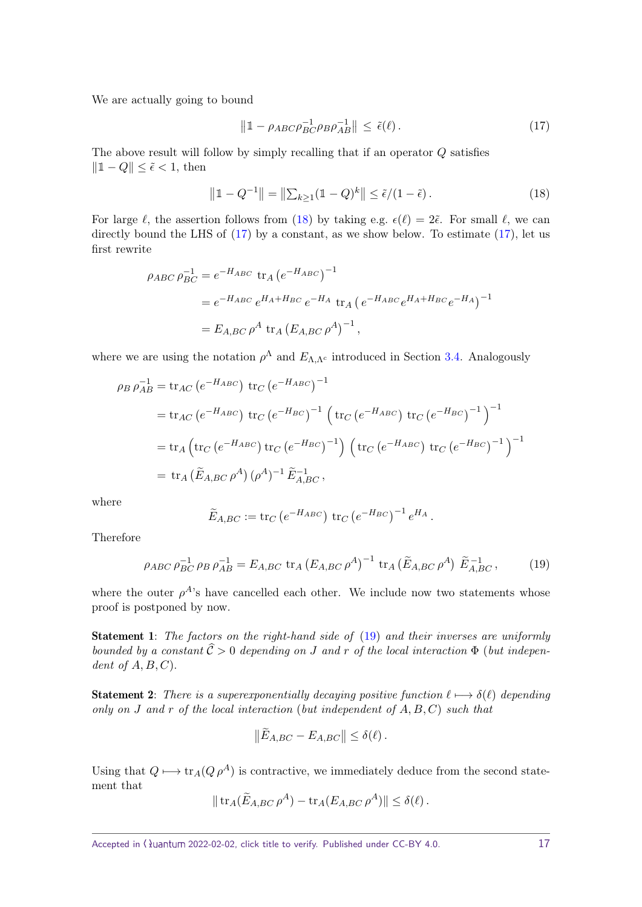We are actually going to bound

<span id="page-16-1"></span>
$$
\left\|1 - \rho_{ABC}\rho_{BC}^{-1}\rho_B\rho_{AB}^{-1}\right\| \leq \tilde{\epsilon}(\ell). \tag{17}
$$

The above result will follow by simply recalling that if an operator *Q* satisfies  $||1 - Q|| \leq \tilde{\epsilon}$  < 1, then

<span id="page-16-0"></span>
$$
\|1 - Q^{-1}\| = \|\sum_{k \ge 1} (1 - Q)^k\| \le \tilde{\epsilon}/(1 - \tilde{\epsilon}).
$$
\n(18)

For large  $\ell$ , the assertion follows from [\(18\)](#page-16-0) by taking e.g.  $\epsilon(\ell) = 2\tilde{\epsilon}$ . For small  $\ell$ , we can directly bound the LHS of  $(17)$  by a constant, as we show below. To estimate  $(17)$ , let us first rewrite

$$
\rho_{ABC} \rho_{BC}^{-1} = e^{-H_{ABC}} \operatorname{tr}_A (e^{-H_{ABC}})^{-1}
$$
  
=  $e^{-H_{ABC}} e^{H_A + H_{BC}} e^{-H_A} \operatorname{tr}_A (e^{-H_{ABC}} e^{H_A + H_{BC}} e^{-H_A})^{-1}$   
=  $E_{A,BC} \rho^A \operatorname{tr}_A (E_{A,BC} \rho^A)^{-1}$ ,

where we are using the notation  $\rho^{\Lambda}$  and  $E_{\Lambda,\Lambda^c}$  introduced in Section [3.4.](#page-10-0) Analogously

$$
\rho_B \rho_{AB}^{-1} = \text{tr}_{AC} (e^{-H_{ABC}}) \text{ tr}_{C} (e^{-H_{ABC}})^{-1}
$$
  
= tr\_{AC} (e^{-H\_{ABC}}) tr\_{C} (e^{-H\_{BC}})^{-1} (tr\_{C} (e^{-H\_{ABC}}) tr\_{C} (e^{-H\_{BC}})^{-1})^{-1}  
= tr\_{A} (tr\_{C} (e^{-H\_{ABC}}) tr\_{C} (e^{-H\_{BC}})^{-1}) (tr\_{C} (e^{-H\_{ABC}}) tr\_{C} (e^{-H\_{BC}})^{-1})^{-1}  
= tr\_{A} (\widetilde{E}\_{A,BC} \rho^{A}) (\rho^{A})^{-1} \widetilde{E}\_{A,BC}^{-1},

where

$$
\widetilde{E}_{A,BC} := \text{tr}_C \left( e^{-H_{ABC}} \right) \, \text{tr}_C \left( e^{-H_{BC}} \right)^{-1} e^{H_A}.
$$

Therefore

<span id="page-16-2"></span>
$$
\rho_{ABC} \rho_{BC}^{-1} \rho_B \rho_{AB}^{-1} = E_{A,BC} \text{ tr}_A (E_{A,BC} \rho^A)^{-1} \text{ tr}_A (\tilde{E}_{A,BC} \rho^A) \tilde{E}_{A,BC}^{-1}, \qquad (19)
$$

where the outer  $\rho^{A}$ 's have cancelled each other. We include now two statements whose proof is postponed by now.

Statement 1: The factors on the right-hand side of [\(19\)](#page-16-2) and their inverses are uniformly bounded by a constant  $\hat{C} > 0$  depending on *J* and *r* of the local interaction  $\Phi$  (but independent of *A, B, C*).

**Statement 2:** There is a superexponentially decaying positive function  $\ell \mapsto \delta(\ell)$  depending only on *J* and *r* of the local interaction (but independent of *A, B, C*) such that

$$
\|\tilde{E}_{A,BC} - E_{A,BC}\| \leq \delta(\ell).
$$

Using that  $Q \mapsto \text{tr}_A(Q \rho^A)$  is contractive, we immediately deduce from the second statement that

$$
\|\operatorname{tr}_A(\widetilde{E}_{A,BC}\,\rho^A)-\operatorname{tr}_A(E_{A,BC}\,\rho^A)\|\leq \delta(\ell)\,.
$$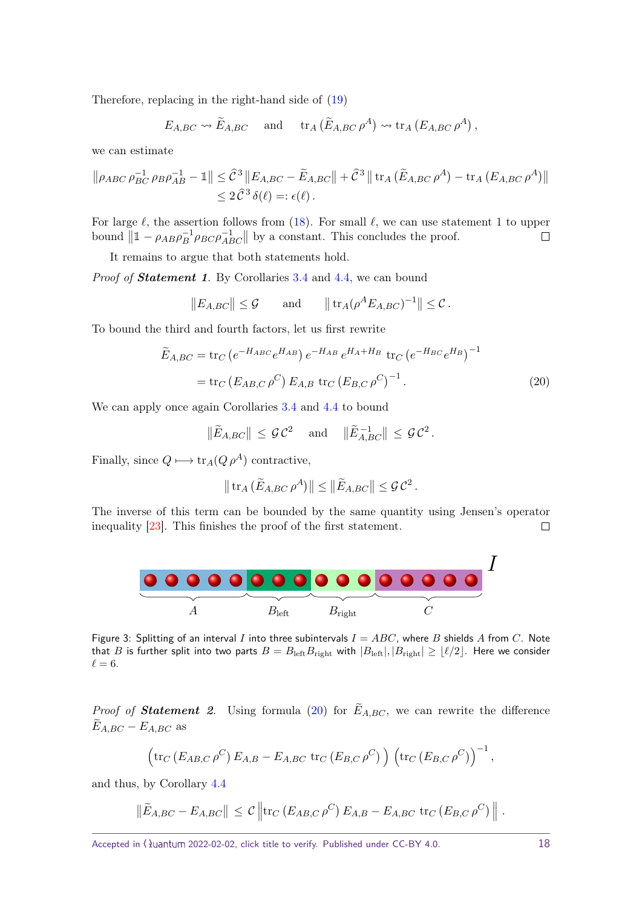<span id="page-17-2"></span>Therefore, replacing in the right-hand side of [\(19\)](#page-16-2)

$$
E_{A,BC} \rightsquigarrow \widetilde{E}_{A,BC}
$$
 and  $\operatorname{tr}_A(\widetilde{E}_{A,BC} \rho^A) \rightsquigarrow \operatorname{tr}_A(E_{A,BC} \rho^A)$ ,

we can estimate

$$
\|\rho_{ABC}\,\rho_{BC}^{-1}\,\rho_{B}\rho_{AB}^{-1} - \mathbb{1}\| \leq \hat{C}^3 \, \|E_{A,BC} - \tilde{E}_{A,BC}\| + \hat{C}^3 \, \|\operatorname{tr}_A (\tilde{E}_{A,BC}\,\rho^A) - \operatorname{tr}_A (E_{A,BC}\,\rho^A)\|
$$
  

$$
\leq 2\,\hat{C}^3\,\delta(\ell) =: \epsilon(\ell) \, .
$$

For large  $\ell$ , the assertion follows from [\(18\)](#page-16-0). For small  $\ell$ , we can use statement 1 to upper bound  $\|\mathbb{I} - \rho_{AB}\rho_B^{-1}\rho_{BC}\rho_{ABC}^{-1}\|$  by a constant. This concludes the proof.  $\Box$ 

It remains to argue that both statements hold.

Proof of **Statement 1**. By Corollaries [3.4](#page-9-0) and [4.4,](#page-13-4) we can bound

$$
||E_{A,BC}|| \leq \mathcal{G}
$$
 and  $||tr_A(\rho^A E_{A,BC})^{-1}|| \leq \mathcal{C}$ .

To bound the third and fourth factors, let us first rewrite

$$
\widetilde{E}_{A,BC} = \text{tr}_C \left( e^{-H_{ABC}} e^{H_{AB}} \right) e^{-H_{AB}} e^{H_A + H_B} \text{ tr}_C \left( e^{-H_{BC}} e^{H_B} \right)^{-1}
$$
\n
$$
= \text{tr}_C \left( E_{AB,C} \rho^C \right) E_{A,B} \text{ tr}_C \left( E_{B,C} \rho^C \right)^{-1} . \tag{20}
$$

We can apply once again Corollaries [3.4](#page-9-0) and [4.4](#page-13-4) to bound

$$
\|\widetilde{E}_{A,BC}\| \leq \mathcal{GC}^2 \quad \text{ and } \quad \|\widetilde{E}_{A,BC}^{-1}\| \leq \mathcal{GC}^2.
$$

Finally, since  $Q \mapsto \text{tr}_A(Q \rho^A)$  contractive,

<span id="page-17-0"></span>
$$
\|\operatorname{tr}_A(\widetilde{E}_{A,BC}\,\rho^A)\| \le \|\widetilde{E}_{A,BC}\| \le \mathcal{G}\,\mathcal{C}^2.
$$

The inverse of this term can be bounded by the same quantity using Jensen's operator inequality [\[23\]](#page-37-14). This finishes the proof of the first statement.  $\Box$ 

<span id="page-17-1"></span>

Figure 3: Splitting of an interval *I* into three subintervals  $I = ABC$ , where *B* shields *A* from *C*. Note that *B* is further split into two parts  $B = B_{\text{left}}B_{\text{right}}$  with  $|B_{\text{left}}|, |B_{\text{right}}| \geq \lfloor \ell/2 \rfloor$ . Here we consider  $\ell = 6$ .

*Proof of Statement 2.* Using formula [\(20\)](#page-17-0) for  $E_{A,BC}$ , we can rewrite the difference  $E_{A,BC} - E_{A,BC}$  as

$$
\left(\text{tr}_C\left(E_{AB,C}\,\rho^C\right)E_{A,B}-E_{A,BC}\,\,\text{tr}_C\left(E_{B,C}\,\rho^C\right)\right)\,\left(\text{tr}_C\left(E_{B,C}\,\rho^C\right)\right)^{-1},
$$

and thus, by Corollary [4.4](#page-13-4)

$$
\|\widetilde{E}_{A,BC} - E_{A,BC}\| \leq C \left\| \operatorname{tr}_C \left( E_{AB,C} \rho^C \right) E_{A,B} - E_{A,BC} \operatorname{tr}_C \left( E_{B,C} \rho^C \right) \right\|.
$$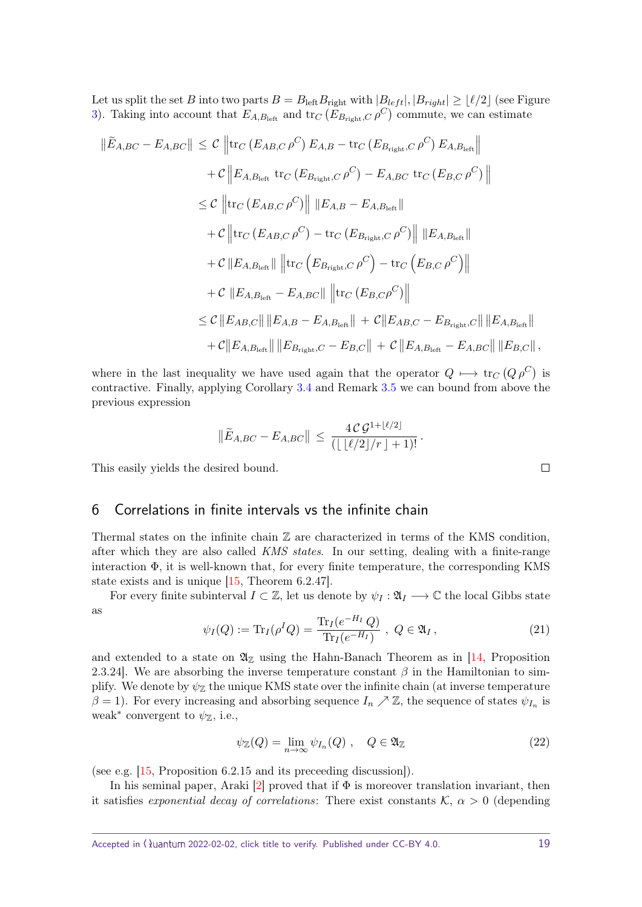<span id="page-18-1"></span>Let us split the set *B* into two parts  $B = B_{\text{left}}B_{\text{right}}$  with  $|B_{\text{left}}|, |B_{\text{right}}| \geq \lfloor \ell/2 \rfloor$  (see Figure [3\)](#page-17-1). Taking into account that  $E_{A,B_{\text{left}}}$  and  $\text{tr}_C(E_{B_{\text{right}},C} \rho^C)$  commute, we can estimate

$$
\|\widetilde{E}_{A,BC} - E_{A,BC}\| \leq C \left\| \text{tr}_{C} \left( E_{AB,C} \rho^{C} \right) E_{A,B} - \text{tr}_{C} \left( E_{B_{\text{right}},C} \rho^{C} \right) E_{A,B_{\text{left}}} \right\| \n+ C \left\| E_{A,B_{\text{left}}} \text{tr}_{C} \left( E_{B_{\text{right}},C} \rho^{C} \right) - E_{A,BC} \text{tr}_{C} \left( E_{B,C} \rho^{C} \right) \right\| \n\leq C \left\| \text{tr}_{C} \left( E_{AB,C} \rho^{C} \right) \right\| \| E_{A,B} - E_{A,B_{\text{left}}} \| \n+ C \left\| \text{tr}_{C} \left( E_{AB,C} \rho^{C} \right) - \text{tr}_{C} \left( E_{B_{\text{right}},C} \rho^{C} \right) \right\| \| E_{A,B_{\text{left}}} \| \n+ C \left\| E_{A,B_{\text{left}}} \right\| \left\| \text{tr}_{C} \left( E_{B_{\text{right}},C} \rho^{C} \right) - \text{tr}_{C} \left( E_{B,C} \rho^{C} \right) \right\| \n+ C \left\| E_{A,B_{\text{left}}} - E_{A,BC} \right\| \left\| \text{tr}_{C} \left( E_{B,C} \rho^{C} \right) \right\| \n\leq C \left\| E_{AB,C} \right\| \| E_{A,B} - E_{A,B_{\text{left}}} \right\| + C \left\| E_{AB,C} - E_{B_{\text{right}},C} \right\| \| E_{A,B_{\text{left}}} \| \n+ C \left\| E_{A,B_{\text{left}}} \right\| \| E_{B_{\text{right}},C} - E_{B,C} \right\| + C \left\| E_{A,B_{\text{left}}} - E_{A,BC} \right\| \| E_{B,C} \right\|,
$$

where in the last inequality we have used again that the operator  $Q \mapsto \text{tr}_C(Q \rho^C)$  is contractive. Finally, applying Corollary [3.4](#page-9-0) and Remark [3.5](#page-9-1) we can bound from above the previous expression

$$
\|\widetilde{E}_{A,BC} - E_{A,BC}\| \, \leq \, \frac{4\,\mathcal{C}\,\mathcal{G}^{1+\lfloor \ell/2 \rfloor}}{\left( \lfloor \, \lfloor \ell/2 \rfloor /r \, \rfloor + 1 \right)!} \, .
$$

This easily yields the desired bound.

### <span id="page-18-0"></span>6 Correlations in finite intervals vs the infinite chain

Thermal states on the infinite chain  $\mathbb Z$  are characterized in terms of the KMS condition, after which they are also called KMS states. In our setting, dealing with a finite-range interaction  $\Phi$ , it is well-known that, for every finite temperature, the corresponding KMS state exists and is unique [\[15,](#page-37-15) Theorem 6.2.47].

For every finite subinterval  $I \subset \mathbb{Z}$ , let us denote by  $\psi_I : \mathfrak{A}_I \longrightarrow \mathbb{C}$  the local Gibbs state as

$$
\psi_I(Q) := \text{Tr}_I(\rho^I Q) = \frac{\text{Tr}_I(e^{-H_I} Q)}{\text{Tr}_I(e^{-H_I})}, \ Q \in \mathfrak{A}_I,
$$
\n(21)

and extended to a state on  $\mathfrak{A}_{\mathbb{Z}}$  using the Hahn-Banach Theorem as in [\[14,](#page-37-16) Proposition 2.3.24]. We are absorbing the inverse temperature constant  $\beta$  in the Hamiltonian to simplify. We denote by  $\psi_{\mathbb{Z}}$  the unique KMS state over the infinite chain (at inverse temperature  $\beta = 1$ ). For every increasing and absorbing sequence  $I_n \nearrow \mathbb{Z}$ , the sequence of states  $\psi_{I_n}$  is weak<sup>\*</sup> convergent to  $\psi$ <sub>Z</sub>, i.e.,

$$
\psi_{\mathbb{Z}}(Q) = \lim_{n \to \infty} \psi_{I_n}(Q) , \quad Q \in \mathfrak{A}_{\mathbb{Z}} \tag{22}
$$

(see e.g. [\[15,](#page-37-15) Proposition 6.2.15 and its preceeding discussion]).

In his seminal paper, Araki  $[2]$  proved that if  $\Phi$  is moreover translation invariant, then it satisfies *exponential decay of correlations*: There exist constants  $K$ ,  $\alpha > 0$  (depending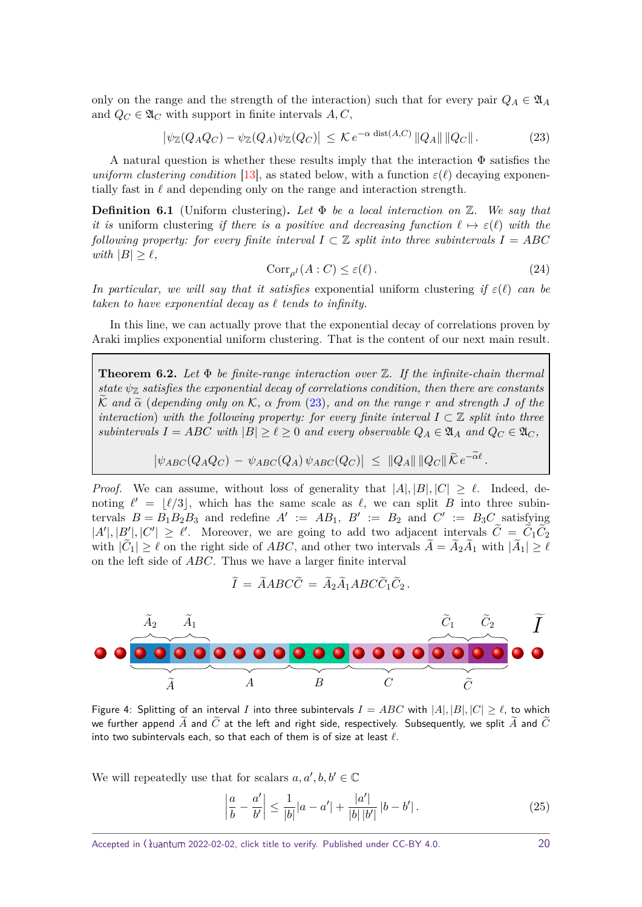<span id="page-19-5"></span>only on the range and the strength of the interaction) such that for every pair  $Q_A \in \mathfrak{A}_A$ and  $Q_C \in \mathfrak{A}_C$  with support in finite intervals  $A, C$ ,

<span id="page-19-1"></span>
$$
\left|\psi_{\mathbb{Z}}(Q_A Q_C) - \psi_{\mathbb{Z}}(Q_A)\psi_{\mathbb{Z}}(Q_C)\right| \leq \mathcal{K} e^{-\alpha \text{ dist}(A,C)} \|Q_A\| \|Q_C\|.
$$
 (23)

A natural question is whether these results imply that the interaction  $\Phi$  satisfies the uniform clustering condition [\[13\]](#page-37-12), as stated below, with a function  $\varepsilon(\ell)$  decaying exponentially fast in  $\ell$  and depending only on the range and interaction strength.

<span id="page-19-3"></span>**Definition 6.1** (Uniform clustering)**.** *Let* Φ *be a local interaction on* Z*. We say that it is* uniform clustering *if there is a positive and decreasing function*  $\ell \mapsto \varepsilon(\ell)$  *with the following property: for every finite interval*  $I \subset \mathbb{Z}$  *split into three subintervals*  $I = ABC$ *with*  $|B| > \ell$ ,

<span id="page-19-4"></span>
$$
Corr_{\rho^I}(A:C) \le \varepsilon(\ell). \tag{24}
$$

*.*

*In particular, we will say that it satisfies* exponential uniform clustering *if ε*(*`*) *can be taken to have exponential decay as*  $\ell$  *tends to infinity.* 

In this line, we can actually prove that the exponential decay of correlations proven by Araki implies exponential uniform clustering. That is the content of our next main result.

<span id="page-19-0"></span>**Theorem 6.2.** *Let* Φ *be finite-range interaction over* Z*. If the infinite-chain thermal state*  $\psi_{\mathbb{Z}}$  *satisfies the exponential decay of correlations condition, then there are constants* K and  $\tilde{\alpha}$  (*depending only on* K,  $\alpha$  *from* [\(23\)](#page-19-1), and on the range r and strength *J* of the *interaction*) with the following property: for every finite interval  $I \subset \mathbb{Z}$  split into three *subintervals*  $I = ABC$  *with*  $|B| \geq \ell \geq 0$  *and every observable*  $Q_A \in \mathfrak{A}_A$  *and*  $Q_C \in \mathfrak{A}_C$ *,* 

$$
\left|\psi_{ABC}(Q_AQ_C) - \psi_{ABC}(Q_A)\psi_{ABC}(Q_C)\right| \leq \|Q_A\| \|Q_C\| \widetilde{\mathcal{K}} e^{-\alpha \ell}
$$

*Proof.* We can assume, without loss of generality that  $|A|, |B|, |C| \geq \ell$ . Indeed, denoting  $\ell' = |\ell/3|$ , which has the same scale as  $\ell$ , we can split *B* into three subintervals  $B = B_1 B_2 B_3$  and redefine  $A' := AB_1$ ,  $B' := B_2$  and  $C' := B_3 C$  satisfying  $|A'|, |B'|, |C'| \geq \ell'$ . Moreover, we are going to add two adjacent intervals  $\widetilde{C} = \widetilde{C}_1 \widetilde{C}_2$ with  $|C_1| \geq \ell$  on the right side of *ABC*, and other two intervals  $A = A_2 A_1$  with  $|A_1| \geq \ell$ on the left side of *ABC*. Thus we have a larger finite interval

$$
\widetilde{I} = \widetilde{A}ABC\widetilde{C} = \widetilde{A}_2\widetilde{A}_1ABC\widetilde{C}_1\widetilde{C}_2.
$$



Figure 4: Splitting of an interval *I* into three subintervals  $I = ABC$  with  $|A|, |B|, |C| \geq \ell$ , to which we further append  $\widetilde{A}$  and  $\widetilde{C}$  at the left and right side, respectively. Subsequently, we split  $\widetilde{A}$  and  $\widetilde{C}$ into two subintervals each, so that each of them is of size at least  $\ell$ .

We will repeatedly use that for scalars  $a, a', b, b' \in \mathbb{C}$ 

<span id="page-19-2"></span>
$$
\left|\frac{a}{b} - \frac{a'}{b'}\right| \le \frac{1}{|b|} |a - a'| + \frac{|a'|}{|b| |b'|} |b - b'|.
$$
 (25)

Accepted in  $\lambda$ uantum 2022-02-02, click title to verify. Published under CC-BY 4.0. 20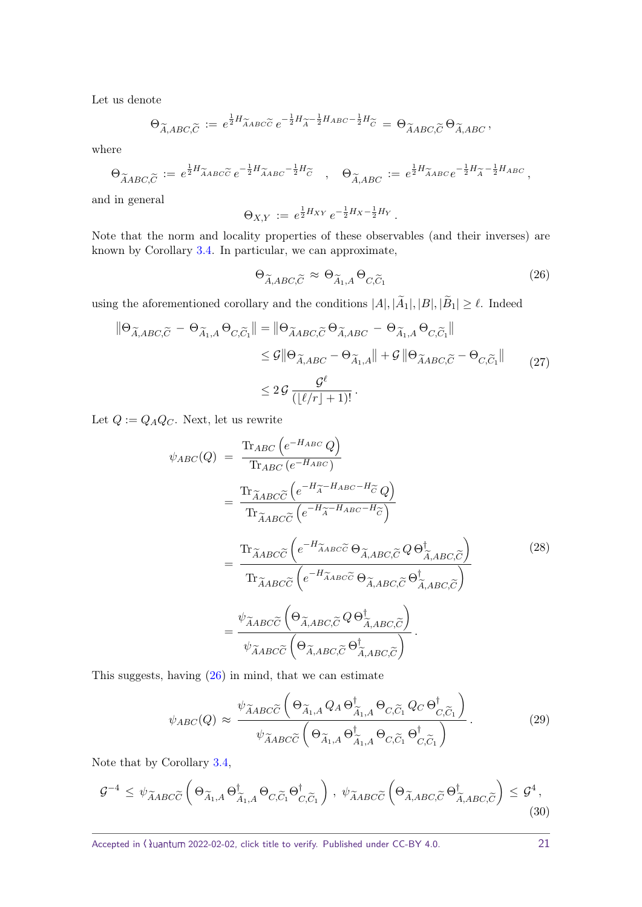Let us denote

$$
\Theta_{\widetilde{A},ABC,\widetilde{C}} := e^{\frac{1}{2}H_{\widetilde{A}ABC\widetilde{C}}} e^{-\frac{1}{2}H_{\widetilde{A}} - \frac{1}{2}H_{ABC} - \frac{1}{2}H_{\widetilde{C}}} = \Theta_{\widetilde{A}ABC,\widetilde{C}} \Theta_{\widetilde{A},ABC},
$$

where

$$
\Theta_{\widetilde{A}ABC,\widetilde{C}} := e^{\frac{1}{2}H_{\widetilde{A}ABC}\widetilde{C}} e^{-\frac{1}{2}H_{\widetilde{A}ABC}^{-1} - \frac{1}{2}H_{\widetilde{C}}} \quad , \quad \Theta_{\widetilde{A},ABC} := e^{\frac{1}{2}H_{\widetilde{A}ABC}} e^{-\frac{1}{2}H_{\widetilde{A}}^{-1} - \frac{1}{2}H_{ABC}} \,,
$$

and in general

$$
\Theta_{X,Y} := e^{\frac{1}{2}H_{XY}} e^{-\frac{1}{2}H_X - \frac{1}{2}H_Y}.
$$

Note that the norm and locality properties of these observables (and their inverses) are known by Corollary [3.4.](#page-9-0) In particular, we can approximate,

<span id="page-20-0"></span>
$$
\Theta_{\widetilde{A},ABC,\widetilde{C}} \approx \Theta_{\widetilde{A}_1,A} \Theta_{C,\widetilde{C}_1} \tag{26}
$$

using the aforementioned corollary and the conditions  $|A|, |A_1|, |B|, |B_1| \ge \ell$ . Indeed

$$
\|\Theta_{\widetilde{A},ABC,\widetilde{C}} - \Theta_{\widetilde{A}_1,A} \Theta_{C,\widetilde{C}_1}\| = \|\Theta_{\widetilde{A}ABC,\widetilde{C}} \Theta_{\widetilde{A},ABC} - \Theta_{\widetilde{A}_1,A} \Theta_{C,\widetilde{C}_1}\|
$$
  
\n
$$
\leq \mathcal{G} \|\Theta_{\widetilde{A},ABC} - \Theta_{\widetilde{A}_1,A}\| + \mathcal{G} \|\Theta_{\widetilde{A}ABC,\widetilde{C}} - \Theta_{C,\widetilde{C}_1}\|
$$
  
\n
$$
\leq 2\mathcal{G} \frac{\mathcal{G}^{\ell}}{([\ell/r] + 1)!}.
$$
 (27)

Let  $Q := Q_A Q_C$ . Next, let us rewrite

<span id="page-20-1"></span>
$$
\psi_{ABC}(Q) = \frac{\text{Tr}_{ABC}\left(e^{-H_{ABC}}Q\right)}{\text{Tr}_{ABC}\tilde{c}\left(e^{-H_{\tilde{A}}-H_{ABC}-H_{\tilde{C}}}\right)} \n= \frac{\text{Tr}_{\tilde{A}ABC}\tilde{c}\left(e^{-H_{\tilde{A}}-H_{ABC}-H_{\tilde{C}}}\right)}{\text{Tr}_{\tilde{A}ABC}\tilde{c}\left(e^{-H_{\tilde{A}}-H_{ABC}-H_{\tilde{C}}}\right)} \n= \frac{\text{Tr}_{\tilde{A}ABC}\tilde{c}\left(e^{-H_{\tilde{A}ABC}\tilde{c}}\Theta_{\tilde{A},ABC,\tilde{C}}Q\Theta_{\tilde{A},ABC,\tilde{C}}^{\dagger}\right)}{\text{Tr}_{\tilde{A}ABC}\tilde{c}\left(e^{-H_{\tilde{A}ABC}\tilde{c}}\Theta_{\tilde{A},ABC,\tilde{C}}\Theta_{\tilde{A},ABC,\tilde{C}}^{\dagger}\right)} \n= \frac{\psi_{\tilde{A}ABC}\tilde{c}\left(\Theta_{\tilde{A},ABC,\tilde{C}}Q\Theta_{\tilde{A},ABC,\tilde{C}}^{\dagger}\right)}{\psi_{\tilde{A}ABC}\tilde{c}\left(\Theta_{\tilde{A},ABC,\tilde{C}}\Theta_{\tilde{A},ABC,\tilde{C}}^{\dagger}\right)}.
$$
\n(28)

This suggests, having [\(26\)](#page-20-0) in mind, that we can estimate

 $\overline{a}$ 

$$
\psi_{ABC}(Q) \approx \frac{\psi_{\widetilde{A}ABC\widetilde{C}}\left(\Theta_{\widetilde{A}_{1},A}Q_{A}\Theta_{\widetilde{A}_{1},A}^{\dagger}\Theta_{C,\widetilde{C}_{1}}Q_{C}\Theta_{C,\widetilde{C}_{1}}^{\dagger}\right)}{\psi_{\widetilde{A}ABC\widetilde{C}}\left(\Theta_{\widetilde{A}_{1},A}\Theta_{\widetilde{A}_{1},A}^{\dagger}\Theta_{C,\widetilde{C}_{1}}\Theta_{C,\widetilde{C}_{1}}^{\dagger}\right)}.
$$
\n(29)

Note that by Corollary [3.4,](#page-9-0)

<span id="page-20-2"></span>
$$
\mathcal{G}^{-4} \leq \psi_{\widetilde{A}ABC\widetilde{C}}\left(\Theta_{\widetilde{A}_{1},A}\Theta_{\widetilde{A}_{1},A}^{\dagger}\Theta_{C,\widetilde{C}_{1}}\Theta_{C,\widetilde{C}_{1}}^{\dagger}\right), \ \psi_{\widetilde{A}ABC\widetilde{C}}\left(\Theta_{\widetilde{A},ABC,\widetilde{C}}\Theta_{\widetilde{A},ABC,\widetilde{C}}^{\dagger}\right) \leq \mathcal{G}^{4},\tag{30}
$$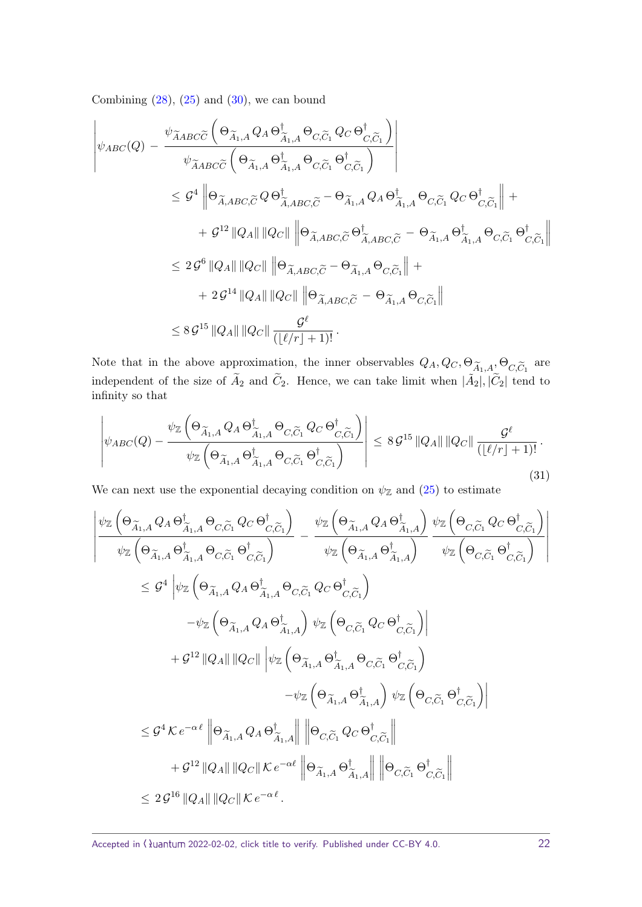Combining  $(28)$ ,  $(25)$  and  $(30)$ , we can bound

$$
\begin{split}\n&\left|\psi_{ABC}(Q) - \frac{\psi_{\widetilde{A}ABC}\widetilde{C}\left(\Theta_{\widetilde{A}_{1},A}Q_{A}\Theta_{\widetilde{A}_{1},A}^{\dagger}\Theta_{C,\widetilde{C}_{1}}Q_{C}\Theta_{C,\widetilde{C}_{1}}^{\dagger}\right)}{\psi_{\widetilde{A}ABC}\widetilde{C}\left(\Theta_{\widetilde{A}_{1},A}\Theta_{\widetilde{A}_{1},A}^{\dagger}\Theta_{C,\widetilde{C}_{1}}\Theta_{C,\widetilde{C}_{1}}^{\dagger}\right)}\right| \\
&\leq \mathcal{G}^{4}\left\|\Theta_{\widetilde{A},ABC,\widetilde{C}}Q\Theta_{\widetilde{A},ABC,\widetilde{C}}^{\dagger}-\Theta_{\widetilde{A}_{1},A}Q_{A}\Theta_{\widetilde{A}_{1},A}^{\dagger}\Theta_{C,\widetilde{C}_{1}}Q_{C}\Theta_{C,\widetilde{C}_{1}}^{\dagger}\right\|+ \\
&+ \mathcal{G}^{12}\left\|Q_{A}\right\|\left\|Q_{C}\right\|\left\|\Theta_{\widetilde{A},ABC,\widetilde{C}}\Theta_{\widetilde{A},ABC,\widetilde{C}}^{\dagger}-\Theta_{\widetilde{A}_{1},A}\Theta_{\widetilde{A}_{1},A}^{\dagger}\Theta_{C,\widetilde{C}_{1}}\Theta_{C,\widetilde{C}_{1}}^{\dagger}\right\| \\
&\leq 2\mathcal{G}^{6}\left\|Q_{A}\right\|\left\|Q_{C}\right\|\left\|\Theta_{\widetilde{A},ABC,\widetilde{C}}-\Theta_{\widetilde{A}_{1},A}\Theta_{C,\widetilde{C}_{1}}\right\| + \\
&+ 2\mathcal{G}^{14}\left\|Q_{A}\right\|\left\|Q_{C}\right\|\left\|\Theta_{\widetilde{A},ABC,\widetilde{C}}-\Theta_{\widetilde{A}_{1},A}\Theta_{C,\widetilde{C}_{1}}\right\| \\
&\leq 8\mathcal{G}^{15}\left\|Q_{A}\right\|\left\|Q_{C}\right\|\frac{\mathcal{G}^{\ell}}{\left(\left\lfloor \ell/r\right\rfloor+1\right)!}.\n\end{split}
$$

Note that in the above approximation, the inner observables  $Q_A, Q_C, \Theta_{\widetilde{A}_1, A}, \Theta_{C, \widetilde{C}_1}$  are independent of the size of  $\tilde{A}_2$  and  $\tilde{C}_2$ . Hence, we can take limit when  $|\tilde{A}_2|, |\tilde{C}_2|$  tend to infinity so that

$$
\left| \psi_{ABC}(Q) - \frac{\psi_{\mathbb{Z}}\left(\Theta_{\widetilde{A}_{1},A} Q_{A} \Theta_{\widetilde{A}_{1},A}^{\dagger} \Theta_{C,\widetilde{C}_{1}} Q_{C} \Theta_{C,\widetilde{C}_{1}}^{\dagger}\right)}{\psi_{\mathbb{Z}}\left(\Theta_{\widetilde{A}_{1},A} \Theta_{\widetilde{A}_{1},A}^{\dagger} \Theta_{C,\widetilde{C}_{1}} \Theta_{C,\widetilde{C}_{1}}^{\dagger}\right)} \right| \leq 8 \mathcal{G}^{15} \|Q_{A}\| \|Q_{C}\| \frac{\mathcal{G}^{\ell}}{(\lfloor \ell/r \rfloor + 1)!}.
$$
\n(31)

We can next use the exponential decaying condition on  $\psi_{\mathbb{Z}}$  and [\(25\)](#page-19-2) to estimate

$$
\begin{split} \left| \frac{\psi_{\mathbb{Z}} \left( \Theta_{\widetilde{A}_{1},A} \, Q_{A} \, \Theta_{\widetilde{A}_{1},A}^{\dagger} \, \Theta_{C,\widetilde{C}_{1}} \, Q_{C} \, \Theta_{C,\widetilde{C}_{1}}^{\dagger} \right) }{\psi_{\mathbb{Z}} \left( \Theta_{\widetilde{A}_{1},A} \, Q_{A} \, \Theta_{\widetilde{A}_{1},A}^{\dagger} \right)} \right|_{\psi_{\mathbb{Z}} \left( \Theta_{\widetilde{A}_{1},A} \, \Theta_{C,\widetilde{C}_{1}} \, \Theta_{C,\widetilde{C}_{1}}^{\dagger} \right) } \\ & \leq \mathcal{G}^{4} \left| \psi_{\mathbb{Z}} \left( \Theta_{\widetilde{A}_{1},A} \, \Theta_{C,\widetilde{C}_{1}} \, \Theta_{C,\widetilde{C}_{1}}^{\dagger} \, Q_{C} \, \Theta_{C,\widetilde{C}_{1}}^{\dagger} \right) \right|_{\psi_{\mathbb{Z}} \left( \Theta_{C,\widetilde{C}_{1}} \, \Theta_{C,\widetilde{C}_{1}}^{\dagger} \right)} \right| \\ & \quad \left. - \psi_{\mathbb{Z}} \left( \Theta_{\widetilde{A}_{1},A} \, Q_{A} \, \Theta_{\widetilde{A}_{1},A}^{\dagger} \right) \psi_{\mathbb{Z}} \left( \Theta_{C,\widetilde{C}_{1}} \, Q_{C} \, \Theta_{C,\widetilde{C}_{1}}^{\dagger} \right) \right| \\ & \quad \left. + \mathcal{G}^{12} \, \|\!\! \left[ Q_{A} \|\!\! \left\| \left[ Q_{C} \right| \right\| \left\langle \psi_{\mathbb{Z}} \left( \Theta_{\widetilde{A}_{1},A} \, \Theta_{\widetilde{A}_{1},A} \, \Theta_{C,\widetilde{C}_{1}} \, \Theta_{C,\widetilde{C}_{1}}^{\dagger} \right) \right] \right| \\ & \quad \left. - \psi_{\mathbb{Z}} \left( \Theta_{\widetilde{A}_{1},A} \, \Theta_{\widetilde{A}_{1},A} \, \Theta_{C,\widetilde{C}_{1}} \, \Theta_{C,\widetilde{C}_{1}}^{\dagger} \right) \right| \\ & \quad \left. - \psi
$$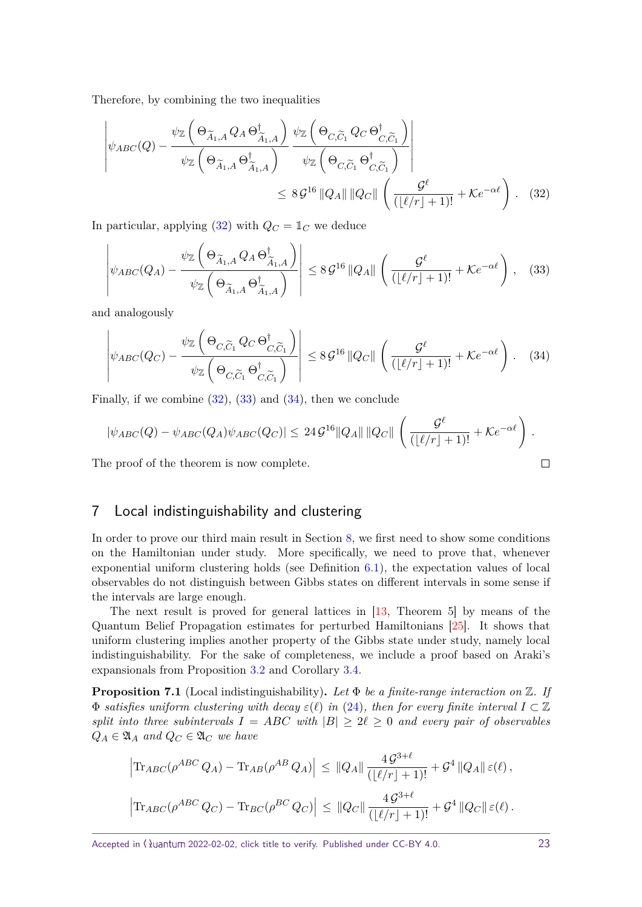<span id="page-22-5"></span>Therefore, by combining the two inequalities

$$
\left| \psi_{ABC}(Q) - \frac{\psi_{\mathbb{Z}}\left(\Theta_{\widetilde{A}_{1},A} Q_{A} \Theta_{\widetilde{A}_{1},A}^{\dagger}\right)}{\psi_{\mathbb{Z}}\left(\Theta_{\widetilde{A}_{1},A} \Theta_{\widetilde{A}_{1},A}^{\dagger}\right)} \frac{\psi_{\mathbb{Z}}\left(\Theta_{C,\widetilde{C}_{1}} Q_{C} \Theta_{C,\widetilde{C}_{1}}^{\dagger}\right)}{\psi_{\mathbb{Z}}\left(\Theta_{C,\widetilde{C}_{1}} \Theta_{C,\widetilde{C}_{1}}^{\dagger}\right)} \right|
$$
  
\$\leq 8 \mathcal{G}^{16} ||Q\_{A}|| ||Q\_{C}|| \left(\frac{\mathcal{G}^{\ell}}{(|\ell/r|+1)!} + \mathcal{K}e^{-\alpha \ell}\right). (32)

In particular, applying [\(32\)](#page-22-1) with  $Q_C = \mathbb{1}_C$  we deduce

<span id="page-22-2"></span><span id="page-22-1"></span>
$$
\left| \psi_{ABC}(Q_A) - \frac{\psi_{\mathbb{Z}}\left(\Theta_{\widetilde{A}_1,A} Q_A \Theta_{\widetilde{A}_1,A}^{\dagger}\right)}{\psi_{\mathbb{Z}}\left(\Theta_{\widetilde{A}_1,A} \Theta_{\widetilde{A}_1,A}^{\dagger}\right)} \right| \leq 8 \mathcal{G}^{16} \|Q_A\| \left(\frac{\mathcal{G}^{\ell}}{(\lfloor \ell/r \rfloor + 1)!} + \mathcal{K}e^{-\alpha \ell}\right), \quad (33)
$$

and analogously

<span id="page-22-3"></span>
$$
\left| \psi_{ABC}(Q_C) - \frac{\psi_{\mathbb{Z}}\left(\Theta_{C,\widetilde{C}_1} Q_C \Theta_{C,\widetilde{C}_1}^{\dagger}\right)}{\psi_{\mathbb{Z}}\left(\Theta_{C,\widetilde{C}_1} \Theta_{C,\widetilde{C}_1}^{\dagger}\right)} \right| \leq 8 \mathcal{G}^{16} \|Q_C\| \left(\frac{\mathcal{G}^{\ell}}{(|\ell/r|+1)!} + \mathcal{K}e^{-\alpha \ell}\right). \quad (34)
$$

Finally, if we combine  $(32)$ ,  $(33)$  and  $(34)$ , then we conclude

$$
|\psi_{ABC}(Q) - \psi_{ABC}(Q_A)\psi_{ABC}(Q_C)| \leq 24 \mathcal{G}^{16} \|Q_A\| \|Q_C\| \left( \frac{\mathcal{G}^{\ell}}{(\lfloor \ell/r \rfloor + 1)!} + \mathcal{K}e^{-\alpha \ell} \right).
$$
  
we proof of the theorem is now complete.

The proof of the theorem is now complete.

# <span id="page-22-0"></span>7 Local indistinguishability and clustering

In order to prove our third main result in Section [8,](#page-24-0) we first need to show some conditions on the Hamiltonian under study. More specifically, we need to prove that, whenever exponential uniform clustering holds (see Definition [6.1\)](#page-19-3), the expectation values of local observables do not distinguish between Gibbs states on different intervals in some sense if the intervals are large enough.

The next result is proved for general lattices in [\[13,](#page-37-12) Theorem 5] by means of the Quantum Belief Propagation estimates for perturbed Hamiltonians [\[25\]](#page-38-17). It shows that uniform clustering implies another property of the Gibbs state under study, namely local indistinguishability. For the sake of completeness, we include a proof based on Araki's expansionals from Proposition [3.2](#page-8-2) and Corollary [3.4.](#page-9-0)

<span id="page-22-4"></span>**Proposition 7.1** (Local indistinguishability)**.** *Let* Φ *be a finite-range interaction on* Z*. If*  $\Phi$  *satisfies uniform clustering with decay*  $\varepsilon(\ell)$  *in* [\(24\)](#page-19-4)*, then for every finite interval*  $I \subset \mathbb{Z}$ *split into three subintervals*  $I = ABC$  *with*  $|B| \geq 2\ell \geq 0$  *and every pair of observables*  $Q_A \in \mathfrak{A}_A$  *and*  $Q_C \in \mathfrak{A}_C$  *we have* 

$$
\left| \text{Tr}_{ABC}(\rho^{ABC} Q_A) - \text{Tr}_{AB}(\rho^{AB} Q_A) \right| \leq ||Q_A|| \frac{4 \mathcal{G}^{3+\ell}}{(\lfloor \ell/r \rfloor + 1)!} + \mathcal{G}^4 ||Q_A|| \varepsilon(\ell),
$$
  

$$
\left| \text{Tr}_{ABC}(\rho^{ABC} Q_C) - \text{Tr}_{BC}(\rho^{BC} Q_C) \right| \leq ||Q_C|| \frac{4 \mathcal{G}^{3+\ell}}{(\lfloor \ell/r \rfloor + 1)!} + \mathcal{G}^4 ||Q_C|| \varepsilon(\ell).
$$

Accepted in  $\lambda$ uantum 2022-02-02, click title to verify. Published under CC-BY 4.0. 23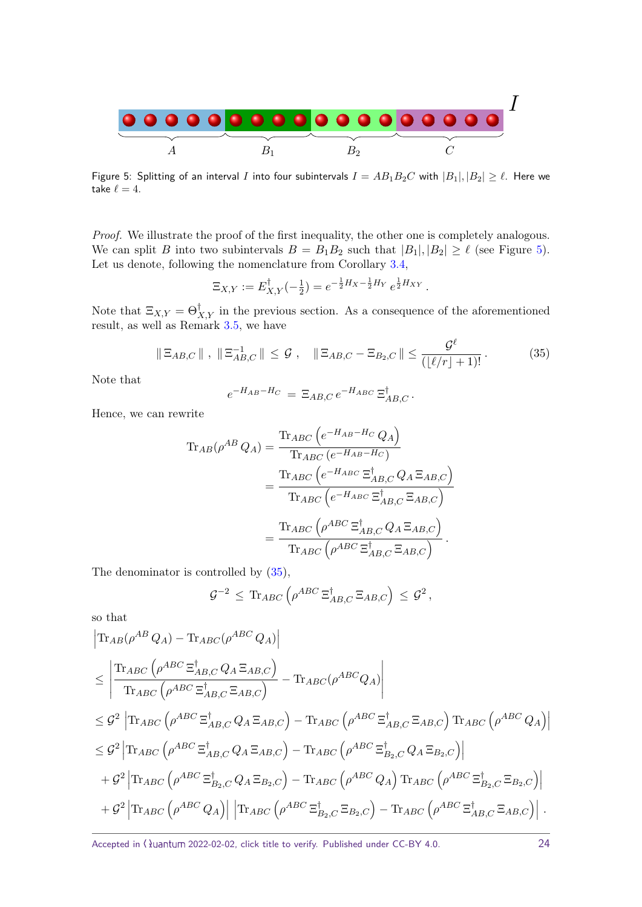<span id="page-23-0"></span>

Figure 5: Splitting of an interval *I* into four subintervals  $I = AB_1B_2C$  with  $|B_1|, |B_2| \ge \ell$ . Here we take  $\ell = 4$ .

Proof. We illustrate the proof of the first inequality, the other one is completely analogous. We can split *B* into two subintervals  $B = B_1 B_2$  such that  $|B_1|, |B_2| \geq \ell$  (see Figure [5\)](#page-23-0). Let us denote, following the nomenclature from Corollary [3.4,](#page-9-0)

$$
\Xi_{X,Y} := E_{X,Y}^{\dagger}(-\tfrac{1}{2}) = e^{-\frac{1}{2}H_X - \frac{1}{2}H_Y} e^{\frac{1}{2}H_{XY}}.
$$

Note that  $\Xi_{X,Y} = \Theta_{X,Y}^{\dagger}$  in the previous section. As a consequence of the aforementioned result, as well as Remark [3.5,](#page-9-1) we have

<span id="page-23-1"></span>
$$
\|\Xi_{AB,C}\| \ , \ \|\Xi_{AB,C}^{-1}\| \leq \mathcal{G} \ , \quad \|\Xi_{AB,C} - \Xi_{B_2,C}\| \leq \frac{\mathcal{G}^{\ell}}{(\lfloor \ell/r \rfloor + 1)!} \ . \tag{35}
$$

Note that

$$
e^{-H_{AB}-H_C} = \Xi_{AB,C} e^{-H_{ABC}} \Xi_{AB,C}^{\dagger}.
$$

Hence, we can rewrite

$$
\begin{split} \text{Tr}_{AB}(\rho^{AB}\,Q_A) &= \frac{\text{Tr}_{ABC}\left(e^{-H_{AB}-H_C}\,Q_A\right)}{\text{Tr}_{ABC}\left(e^{-H_{AB}-H_C}\right)}\\ &= \frac{\text{Tr}_{ABC}\left(e^{-H_{ABC}}\,\Xi_{AB,C}^{\dagger}\,Q_A\,\Xi_{AB,C}\right)}{\text{Tr}_{ABC}\left(e^{-H_{ABC}}\,\Xi_{AB,C}^{\dagger}\, \Xi_{AB,C}\right)}\\ &= \frac{\text{Tr}_{ABC}\left(\rho^{ABC}\,\Xi_{AB,C}^{\dagger}\,Q_A\,\Xi_{AB,C}\right)}{\text{Tr}_{ABC}\left(\rho^{ABC}\,\Xi_{AB,C}^{\dagger}\,\Xi_{AB,C}\right)}\,. \end{split}
$$

The denominator is controlled by [\(35\)](#page-23-1),

$$
\mathcal{G}^{-2} \, \leq \, \text{Tr}_{ABC} \left( \rho^{ABC} \, \Xi_{AB,C}^{\dagger} \, \Xi_{AB,C} \right) \, \leq \, \mathcal{G}^2 \, ,
$$

so that

$$
\begin{split}\n&\begin{aligned}\n&\begin{aligned}\n&\begin{aligned}\n&\begin{aligned}\n&\begin{aligned}\n&\begin{aligned}\n&\begin{aligned}\n&\begin{aligned}\n&\begin{aligned}\n&\begin{aligned}\n&\begin{aligned}\n&\begin{aligned}\n&\begin{aligned}\n&\begin{aligned}\n&\begin{aligned}\n&\begin{aligned}\n&\begin{aligned}\n&\begin{aligned}\n&\begin{aligned}\n&\begin{aligned}\n&\begin{aligned}\n&\begin{aligned}\n&\begin{aligned}\n&\begin{aligned}\n&\begin{aligned}\n&\begin{aligned}\n&\begin{aligned}\n&\begin{aligned}\n&\begin{aligned}\n&\begin{aligned}\n&\begin{aligned}\n&\begin{aligned}\n&\begin{aligned}\n&\begin{aligned}\n&\begin{aligned}\n&\begin{aligned}\n&\begin{aligned}\n&\begin{aligned}\n&\begin{aligned}\n&\begin{aligned}\n&\begin{aligned}\n&\begin{aligned}\n&\begin{aligned}\n&\begin{aligned}\n&\begin{aligned}\n&\begin{aligned}\n&\begin{aligned}\n&\begin{aligned}\n&\begin{aligned}\n&\begin{aligned}\n&\begin{aligned}\n&\begin{aligned}\n&\begin{aligned}\n&\begin{aligned}\n&\begin{aligned}\n&\begin{aligned}\n&\begin{aligned}\n&\begin{aligned}\n&\begin{aligned}\n&\begin{aligned}\n&\begin{aligned}\n&\begin{aligned}\n&\begin{aligned}\n&\begin{aligned}\n&\begin{aligned}\n&\begin{aligned}\n&\begin{aligned}\n&\begin{aligned}\n&\begin{aligned}\n&\begin{aligned}\n&\begin{aligned}\n&\begin{aligned}\n&\begin{aligned}\n&\begin{aligned}\n&\begin{aligned}\n&\end{aligned}\n&\end{aligned}\n&\end{aligned}\n&\end{aligned}\n\end{aligned}\n\end{aligned}\n\end{aligned}\n\end{aligned}\n\end{aligned}\n\end{aligned}\n\end{aligned}\n\end{aligned}\n\end{aligned}\n\end{split}\n\end{split}\n\end{split}\n\end{split}\n\end{split}\n\end{split}\n\end{split}\n\end{split}\n\end{split}\n\end{split}\n\end{split}\n\begin{split}\n&\begin{aligned}\n&\begin{aligned}\n&\begin{aligned}\n&\begin{aligned}\n&\begin{aligned}\n&\begin{aligned}\n&\begin{aligned}\n&\begin{aligned}\n&\begin{aligned}\n&\begin{aligned}\n&\begin{aligned
$$

Accepted in  $\lambda$ uantum 2022-02-02, click title to verify. Published under CC-BY 4.0. 24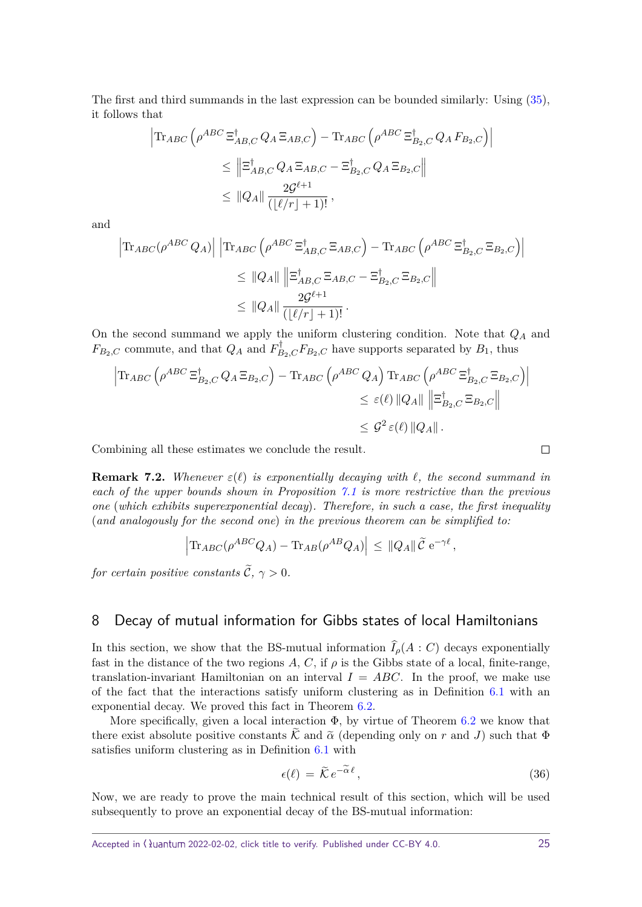The first and third summands in the last expression can be bounded similarly: Using [\(35\)](#page-23-1), it follows that

$$
\begin{aligned}\n\left| \text{Tr}_{ABC} \left( \rho^{ABC} \Xi_{AB,C}^{\dagger} Q_A \Xi_{AB,C} \right) - \text{Tr}_{ABC} \left( \rho^{ABC} \Xi_{B_2,C}^{\dagger} Q_A F_{B_2,C} \right) \right| \\
&\leq \left\| \Xi_{AB,C}^{\dagger} Q_A \Xi_{AB,C} - \Xi_{B_2,C}^{\dagger} Q_A \Xi_{B_2,C} \right\| \\
&\leq \| Q_A \| \frac{2\mathcal{G}^{\ell+1}}{(\lfloor \ell/r \rfloor + 1)!},\n\end{aligned}
$$

and

$$
\begin{aligned} \left| \text{Tr}_{ABC}(\rho^{ABC} Q_A) \right| \left| \text{Tr}_{ABC} \left( \rho^{ABC} \Xi_{AB,C}^{\dagger} \Xi_{AB,C} \right) - \text{Tr}_{ABC} \left( \rho^{ABC} \Xi_{B_2,C}^{\dagger} \Xi_{B_2,C} \right) \right| \\ &\leq \left\| Q_A \right\| \left\| \Xi_{AB,C}^{\dagger} \Xi_{AB,C} - \Xi_{B_2,C}^{\dagger} \Xi_{B_2,C} \right\| \\ &\leq \left\| Q_A \right\| \frac{2\mathcal{G}^{\ell+1}}{\left( \lfloor \ell/r \rfloor + 1 \right)!}. \end{aligned}
$$

On the second summand we apply the uniform clustering condition. Note that *Q<sup>A</sup>* and  $F_{B_2,C}$  commute, and that  $Q_A$  and  $F_{B_2,C}^{\dagger}F_{B_2,C}$  have supports separated by  $B_1$ , thus

$$
\begin{aligned}\n\left| \text{Tr}_{ABC} \left( \rho^{ABC} \Xi_{B_2,C}^{\dagger} Q_A \Xi_{B_2,C} \right) - \text{Tr}_{ABC} \left( \rho^{ABC} Q_A \right) \text{Tr}_{ABC} \left( \rho^{ABC} \Xi_{B_2,C}^{\dagger} \Xi_{B_2,C} \right) \right| \\
&\leq \varepsilon(\ell) \left\| Q_A \right\| \left\| \Xi_{B_2,C}^{\dagger} \Xi_{B_2,C} \right\| \\
&\leq \mathcal{G}^2 \varepsilon(\ell) \left\| Q_A \right\|. \n\end{aligned}
$$

Combining all these estimates we conclude the result.

**Remark 7.2.** *Whenever*  $\varepsilon(\ell)$  *is exponentially decaying with*  $\ell$ *, the second summand in each of the upper bounds shown in Proposition [7.1](#page-22-4) is more restrictive than the previous one* (*which exhibits superexponential decay*)*. Therefore, in such a case, the first inequality* (*and analogously for the second one*) *in the previous theorem can be simplified to:*

$$
\left|\text{Tr}_{ABC}(\rho^{ABC}Q_A) - \text{Tr}_{AB}(\rho^{AB}Q_A)\right| \leq ||Q_A|| \,\tilde{\mathcal{C}} e^{-\gamma \ell},
$$

*for certain positive constants*  $\widetilde{C}$ ,  $\gamma > 0$ *.* 

# <span id="page-24-0"></span>8 Decay of mutual information for Gibbs states of local Hamiltonians

In this section, we show that the BS-mutual information  $\widehat{I}_{\rho}(A:C)$  decays exponentially fast in the distance of the two regions  $A, C$ , if  $\rho$  is the Gibbs state of a local, finite-range, translation-invariant Hamiltonian on an interval  $I = ABC$ . In the proof, we make use of the fact that the interactions satisfy uniform clustering as in Definition [6.1](#page-19-3) with an exponential decay. We proved this fact in Theorem [6.2.](#page-19-0)

More specifically, given a local interaction  $\Phi$ , by virtue of Theorem [6.2](#page-19-0) we know that there exist absolute positive constants  $\hat{K}$  and  $\hat{\alpha}$  (depending only on r and *J*) such that  $\Phi$ satisfies uniform clustering as in Definition [6.1](#page-19-3) with

<span id="page-24-1"></span>
$$
\epsilon(\ell) = \tilde{\mathcal{K}} e^{-\tilde{\alpha}\ell},\tag{36}
$$

Now, we are ready to prove the main technical result of this section, which will be used subsequently to prove an exponential decay of the BS-mutual information: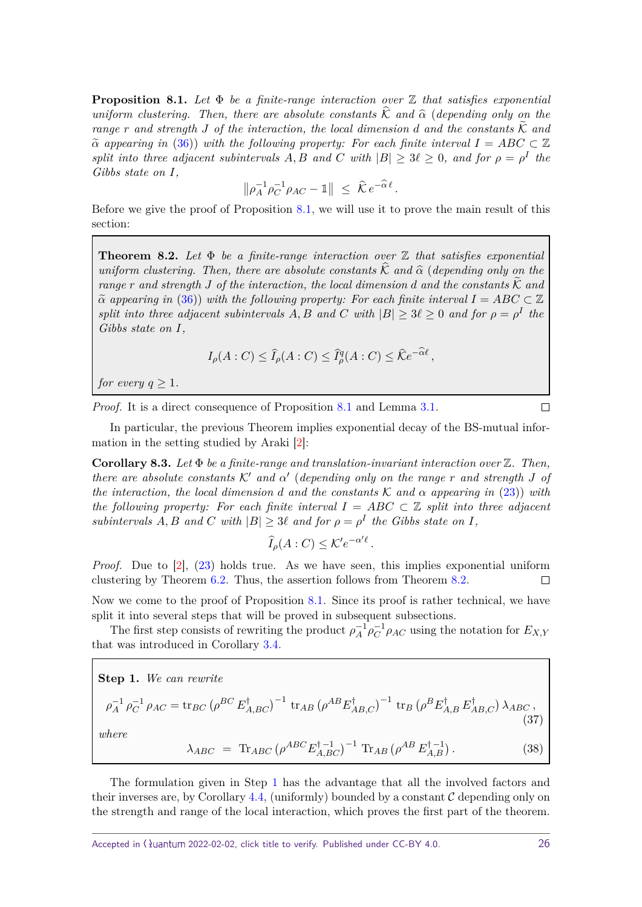<span id="page-25-3"></span><span id="page-25-2"></span>**Proposition 8.1.** *Let* Φ *be a finite-range interaction over* Z *that satisfies exponential uniform clustering. Then, there are absolute constants*  $\hat{\mathcal{K}}$  *and*  $\hat{\alpha}$  (*depending only on the range r* and strength *J* of the interaction, the local dimension *d* and the constants  $\widetilde{K}$  and  $\alpha$  *appearing in* [\(36\)](#page-24-1)) *with the following property: For each finite interval*  $I = ABC \subset \mathbb{Z}$ *split into three adjacent subintervals*  $A, B$  *and*  $C$  *with*  $|B| \geq 3\ell \geq 0$ *, and for*  $\rho = \rho^I$  *the Gibbs state on I,*

$$
\|\rho_A^{-1}\rho_C^{-1}\rho_{AC} - \mathbb{1}\| \leq \hat{\mathcal{K}}e^{-\hat{\alpha}\ell}.
$$

Before we give the proof of Proposition  $8.1$ , we will use it to prove the main result of this section:

<span id="page-25-1"></span>**Theorem 8.2.** *Let* Φ *be a finite-range interaction over* Z *that satisfies exponential uniform clustering. Then, there are absolute constants*  $\widehat{K}$  *and*  $\widehat{\alpha}$  (*depending only on the range*  $r$  *and strength*  $J$  *of the interaction, the local dimension*  $d$  *and the constants*  $K$  *and*  $\alpha$  *appearing in* [\(36\)](#page-24-1)) with the following property: For each finite interval  $I = ABC \subset \mathbb{Z}$ *split into three adjacent subintervals A, B* and *C* with  $|B| \geq 3\ell \geq 0$  and for  $\rho = \rho^I$  the *Gibbs state on I,*

$$
I_{\rho}(A: C) \leq \widehat{I}_{\rho}(A: C) \leq \widehat{I}_{\rho}^{q}(A:C) \leq \widehat{K}e^{-\widehat{\alpha}\ell},
$$

*for every*  $q \geq 1$ *.* 

Proof. It is a direct consequence of Proposition [8.1](#page-25-2) and Lemma [3.1.](#page-6-3)

 $\Box$ 

In particular, the previous Theorem implies exponential decay of the BS-mutual information in the setting studied by Araki [\[2\]](#page-36-0):

**Corollary 8.3.** *Let* Φ *be a finite-range and translation-invariant interaction over* Z*. Then, there are absolute constants*  $K'$  *and*  $\alpha'$  (*depending only on the range r and strength J of the interaction, the local dimension d and the constants*  $K$  *and*  $\alpha$  *appearing in* [\(23\)](#page-19-1)) *with the following property: For each finite interval*  $I = ABC \subset \mathbb{Z}$  *split into three adjacent subintervals A, B and C with*  $|B| \geq 3\ell$  *and for*  $\rho = \rho^I$  *the Gibbs state on I,* 

$$
\widehat{I}_{\rho}(A:C) \leq \mathcal{K}' e^{-\alpha'\ell}.
$$

*Proof.* Due to  $[2]$ ,  $(23)$  holds true. As we have seen, this implies exponential uniform clustering by Theorem [6.2.](#page-19-0) Thus, the assertion follows from Theorem [8.2.](#page-25-1)  $\Box$ 

Now we come to the proof of Proposition [8.1.](#page-25-2) Since its proof is rather technical, we have split it into several steps that will be proved in subsequent subsections.

The first step consists of rewriting the product  $\rho_A^{-1} \rho_C^{-1} \rho_{AC}$  using the notation for  $E_{X,Y}$ that was introduced in Corollary [3.4.](#page-9-0)

<span id="page-25-0"></span>**Step 1.** We can rewrite  
\n
$$
\rho_A^{-1} \rho_C^{-1} \rho_{AC} = \text{tr}_{BC} \left( \rho^{BC} E_{A,BC}^{\dagger} \right)^{-1} \text{tr}_{AB} \left( \rho^{AB} E_{AB,C}^{\dagger} \right)^{-1} \text{tr}_{B} \left( \rho^{B} E_{A,B}^{\dagger} E_{AB,C}^{\dagger} \right) \lambda_{ABC},
$$
\n(37)  
\nwhere  
\n
$$
\sum_{A, B, C, C} \left( \rho^{AB} E_{A,B}^{\dagger} E_{AB,C}^{\dagger} \right)^{-1} \sum_{A, C, C, C} \left( \rho^{AB} E_{AB}^{\dagger} E_{AB}^{\dagger} \right)^{-1} \left( \rho^{AB} E_{AB}^{\dagger} E_{AB}^{\dagger} \right)^{-1}
$$
\n(28)

$$
\lambda_{ABC} = \text{Tr}_{ABC} \left( \rho^{ABC} E_{A,BC}^{\dagger -1} \right)^{-1} \text{Tr}_{AB} \left( \rho^{AB} E_{A,B}^{\dagger -1} \right). \tag{38}
$$

The formulation given in Step [1](#page-25-0) has the advantage that all the involved factors and their inverses are, by Corollary [4.4,](#page-13-4) (uniformly) bounded by a constant  $\mathcal C$  depending only on the strength and range of the local interaction, which proves the first part of the theorem.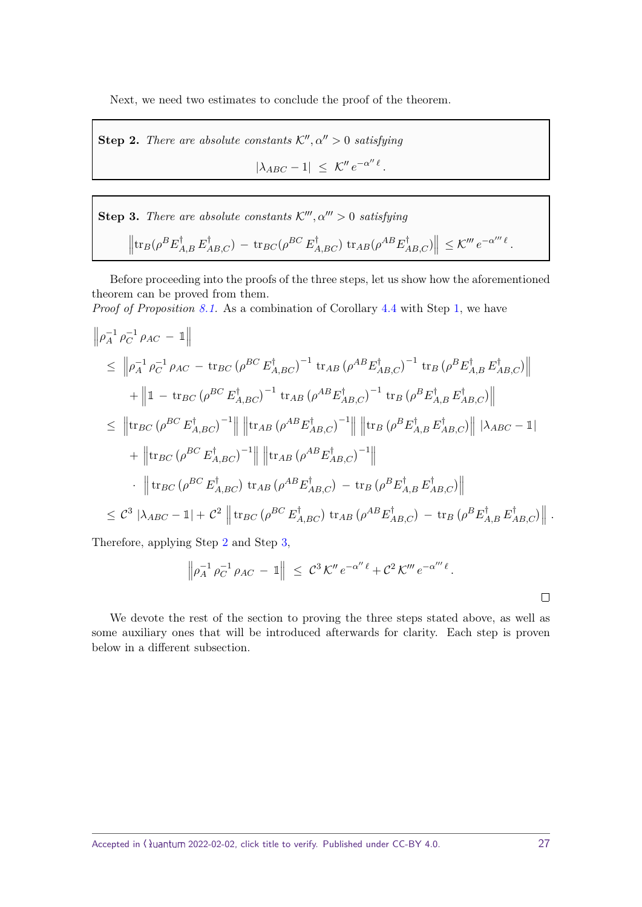Next, we need two estimates to conclude the proof of the theorem.

<span id="page-26-0"></span>**Step 2.** *There are absolute constants*  $K''$ ,  $\alpha'' > 0$  *satisfying* 

 $|\lambda_{ABC} - 1| \leq \mathcal{K}'' e^{-\alpha'' \ell}$ .

<span id="page-26-1"></span>**Step 3.** *There are absolute constants*  $K'''$ ,  $\alpha''' > 0$  *satisfying*  $\left\|\text{tr}_B(\rho^BE_{A,B}^\dagger E_{AB,C}^\dagger) - \text{tr}_{BC}(\rho^{BC} E_{A,BC}^\dagger) \text{tr}_{AB}(\rho^{AB} E_{AB,C}^\dagger)\right\| \leq \mathcal{K}''' e^{-\alpha'''} \ell.$ 

Before proceeding into the proofs of the three steps, let us show how the aforementioned theorem can be proved from them.

Proof of Proposition [8.1.](#page-25-2) As a combination of Corollary [4.4](#page-13-4) with Step [1,](#page-25-0) we have

$$
\begin{split}\n\left\|\rho_{A}^{-1}\rho_{C}^{-1}\rho_{AC} - \mathbb{1}\right\| \\
&\leq \left\|\rho_{A}^{-1}\rho_{C}^{-1}\rho_{AC} - \text{tr}_{BC}\left(\rho^{BC}E_{A,BC}^{\dagger}\right)^{-1} \text{tr}_{AB}\left(\rho^{AB}E_{AB,C}^{\dagger}\right)^{-1} \text{tr}_{B}\left(\rho^{B}E_{A,B}^{\dagger}E_{AB,C}^{\dagger}\right)\right\| \\
&+ \left\|\mathbb{1} - \text{tr}_{BC}\left(\rho^{BC}E_{A,BC}^{\dagger}\right)^{-1} \text{tr}_{AB}\left(\rho^{AB}E_{AB,C}^{\dagger}\right)^{-1} \text{tr}_{B}\left(\rho^{B}E_{A,B}^{\dagger}E_{AB,C}^{\dagger}\right)\right\| \\
&\leq \left\|\text{tr}_{BC}\left(\rho^{BC}E_{A,BC}^{\dagger}\right)^{-1}\right\| \left\|\text{tr}_{AB}\left(\rho^{AB}E_{AB,C}^{\dagger}\right)^{-1}\right\| \left\|\text{tr}_{B}\left(\rho^{B}E_{A,B}^{\dagger}E_{AB,C}^{\dagger}\right)\right\| |\lambda_{ABC} - \mathbb{1}| \\
&+ \left\|\text{tr}_{BC}\left(\rho^{BC}E_{A,BC}^{\dagger}\right)^{-1}\right\| \left\|\text{tr}_{AB}\left(\rho^{AB}E_{AB,C}^{\dagger}\right)^{-1}\right\| \\
&\cdot \left\|\text{tr}_{BC}\left(\rho^{BC}E_{A,BC}^{\dagger}\right)\text{tr}_{AB}\left(\rho^{AB}E_{AB,C}^{\dagger}\right) - \text{tr}_{B}\left(\rho^{B}E_{A,B}^{\dagger}E_{AB,C}^{\dagger}\right)\right\| \\
&\leq C^{3} |\lambda_{ABC} - \mathbb{1}| + C^{2} \left\|\text{tr}_{BC}\left(\rho^{BC}E_{A,BC}^{\dagger}\right)\text{tr}_{AB}\left(\rho^{AB}E_{AB,C}^{\dagger}\right) - \text{tr}_{B}\left(\rho^{B}E_{A,B}^{\dagger}E_{AB,C}^{\dagger}\right)\right\|.\n\end{split}
$$

Therefore, applying Step [2](#page-26-0) and Step [3,](#page-26-1)

$$
\left\|\rho_A^{-1}\,\rho_C^{-1}\,\rho_{AC}\,-\,1\right\| \,\,\leq\,\,C^3\,{\cal K}''\,e^{-\alpha''\,\ell}+C^2\,{\cal K}''' \,e^{-\alpha'''\,\ell}\,.
$$

We devote the rest of the section to proving the three steps stated above, as well as some auxiliary ones that will be introduced afterwards for clarity. Each step is proven below in a different subsection.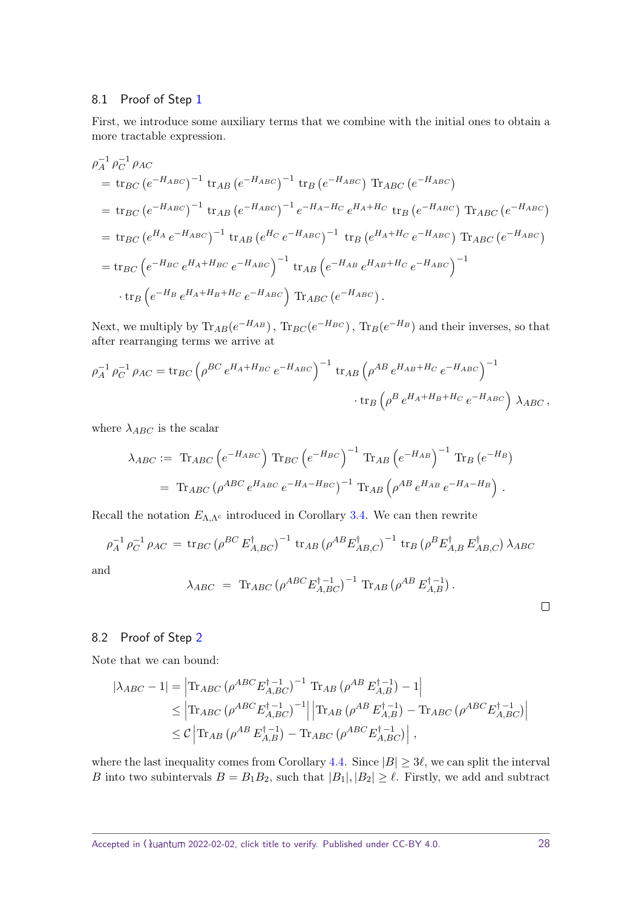#### <span id="page-27-0"></span>8.1 Proof of Step [1](#page-25-0)

First, we introduce some auxiliary terms that we combine with the initial ones to obtain a more tractable expression.

$$
\rho_A^{-1} \rho_C^{-1} \rho_{AC}
$$
\n
$$
= \text{tr}_{BC} (e^{-H_{ABC}})^{-1} \text{tr}_{AB} (e^{-H_{ABC}})^{-1} \text{tr}_{B} (e^{-H_{ABC}}) \text{Tr}_{ABC} (e^{-H_{ABC}})
$$
\n
$$
= \text{tr}_{BC} (e^{-H_{ABC}})^{-1} \text{tr}_{AB} (e^{-H_{ABC}})^{-1} e^{-H_{A}-H_{C}} e^{H_{A}+H_{C}} \text{tr}_{B} (e^{-H_{ABC}}) \text{Tr}_{ABC} (e^{-H_{ABC}})
$$
\n
$$
= \text{tr}_{BC} (e^{H_{A}} e^{-H_{ABC}})^{-1} \text{tr}_{AB} (e^{H_{C}} e^{-H_{ABC}})^{-1} \text{tr}_{B} (e^{H_{A}+H_{C}} e^{-H_{ABC}}) \text{Tr}_{ABC} (e^{-H_{ABC}})
$$
\n
$$
= \text{tr}_{BC} (e^{-H_{BC}} e^{H_{A}+H_{BC}} e^{-H_{ABC}})^{-1} \text{tr}_{AB} (e^{-H_{AB}} e^{H_{AB}+H_{C}} e^{-H_{ABC}})^{-1}
$$
\n
$$
\text{tr}_{B} (e^{-H_{B}} e^{H_{A}+H_{B}+H_{C}} e^{-H_{ABC}}) \text{Tr}_{ABC} (e^{-H_{ABC}}).
$$

Next, we multiply by  $\text{Tr}_{AB}(e^{-H_{AB}})$ ,  $\text{Tr}_{BC}(e^{-H_{BC}})$ ,  $\text{Tr}_{B}(e^{-H_{B}})$  and their inverses, so that after rearranging terms we arrive at

$$
\rho_A^{-1} \rho_C^{-1} \rho_{AC} = \text{tr}_{BC} \left( \rho^{BC} e^{H_A + H_{BC}} e^{-H_{ABC}} \right)^{-1} \text{tr}_{AB} \left( \rho^{AB} e^{H_{AB} + H_C} e^{-H_{ABC}} \right)^{-1} \cdot \text{tr}_{B} \left( \rho^{B} e^{H_A + H_B + H_C} e^{-H_{ABC}} \right) \lambda_{ABC},
$$

where  $\lambda_{ABC}$  is the scalar

$$
\lambda_{ABC} := \text{Tr}_{ABC} \left( e^{-H_{ABC}} \right) \text{Tr}_{BC} \left( e^{-H_{BC}} \right)^{-1} \text{Tr}_{AB} \left( e^{-H_{AB}} \right)^{-1} \text{Tr}_{B} \left( e^{-H_{B}} \right)
$$
  
=  $\text{Tr}_{ABC} \left( \rho^{ABC} e^{H_{ABC}} e^{-H_{A} - H_{BC}} \right)^{-1} \text{Tr}_{AB} \left( \rho^{AB} e^{H_{AB}} e^{-H_{A} - H_{B}} \right).$ 

Recall the notation  $E_{\Lambda,\Lambda^c}$  introduced in Corollary [3.4.](#page-9-0) We can then rewrite

$$
\rho_A^{-1} \rho_C^{-1} \rho_{AC} = \text{tr}_{BC} (\rho^{BC} E_{A,BC}^{\dagger})^{-1} \text{tr}_{AB} (\rho^{AB} E_{AB,C}^{\dagger})^{-1} \text{tr}_{B} (\rho^{B} E_{A,B}^{\dagger} E_{AB,C}^{\dagger}) \lambda_{ABC}
$$
and

an

$$
\lambda_{ABC} = \text{Tr}_{ABC} (\rho^{ABC} E_{A,BC}^{\dagger -1})^{-1} \text{Tr}_{AB} (\rho^{AB} E_{A,B}^{\dagger -1}).
$$

#### <span id="page-27-1"></span>8.2 Proof of Step [2](#page-26-0)

Note that we can bound:

$$
\begin{split} |\lambda_{ABC} - 1| &= \left| \text{Tr}_{ABC} \left( \rho^{ABC} E_{A,BC}^{\dagger - 1} \right)^{-1} \text{Tr}_{AB} \left( \rho^{AB} E_{A,B}^{\dagger - 1} \right) - 1 \right| \\ &\leq \left| \text{Tr}_{ABC} \left( \rho^{ABC} E_{A,BC}^{\dagger - 1} \right)^{-1} \right| \left| \text{Tr}_{AB} \left( \rho^{AB} E_{A,B}^{\dagger - 1} \right) - \text{Tr}_{ABC} \left( \rho^{ABC} E_{A,BC}^{\dagger - 1} \right) \right| \\ &\leq \mathcal{C} \left| \text{Tr}_{AB} \left( \rho^{AB} E_{A,B}^{\dagger - 1} \right) - \text{Tr}_{ABC} \left( \rho^{ABC} E_{A,BC}^{\dagger - 1} \right) \right| \,, \end{split}
$$

where the last inequality comes from Corollary [4.4.](#page-13-4) Since  $|B| \geq 3\ell$ , we can split the interval *B* into two subintervals  $B = B_1 B_2$ , such that  $|B_1|, |B_2| \geq \ell$ . Firstly, we add and subtract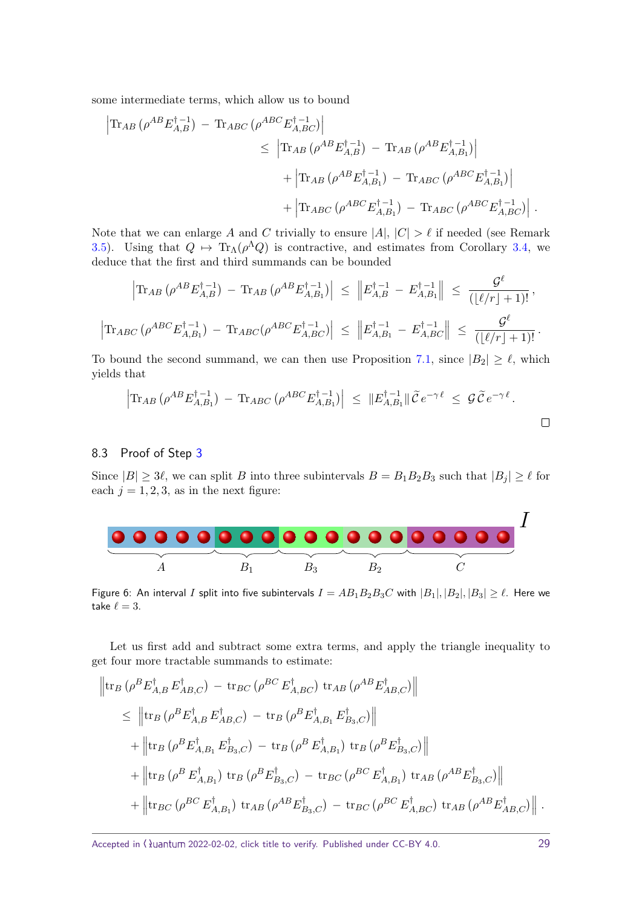some intermediate terms, which allow us to bound

$$
\begin{split} \left| {\rm Tr}_{AB} \left( \rho^{AB} E_{A,B}^{\dagger \, -1} \right) \, - \, {\rm Tr}_{ABC} \left( \rho^{ABC} E_{A,BC}^{\dagger \, -1} \right) \right| \\ & \leq \, \left| {\rm Tr}_{AB} \left( \rho^{AB} E_{A,B}^{\dagger \, -1} \right) \, - \, {\rm Tr}_{AB} \left( \rho^{AB} E_{A,B_1}^{\dagger \, -1} \right) \right| \\ & \quad + \left| {\rm Tr}_{AB} \left( \rho^{AB} E_{A,B_1}^{\dagger \, -1} \right) \, - \, {\rm Tr}_{ABC} \left( \rho^{ABC} E_{A,B_1}^{\dagger \, -1} \right) \right| \\ & \quad + \left| {\rm Tr}_{ABC} \left( \rho^{ABC} E_{A,B_1}^{\dagger \, -1} \right) \, - \, {\rm Tr}_{ABC} \left( \rho^{ABC} E_{A,BC}^{\dagger \, -1} \right) \right| \, . \end{split}
$$

Note that we can enlarge *A* and *C* trivially to ensure  $|A|, |C| > \ell$  if needed (see Remark [3.5\)](#page-9-1). Using that  $Q \mapsto \text{Tr}_{\Lambda}(\rho^{\Lambda}Q)$  is contractive, and estimates from Corollary [3.4,](#page-9-0) we deduce that the first and third summands can be bounded

$$
\left| \text{Tr}_{AB} \left( \rho^{AB} E_{A,B}^{\dagger -1} \right) - \text{Tr}_{AB} \left( \rho^{AB} E_{A,B_1}^{\dagger -1} \right) \right| \leq \left\| E_{A,B}^{\dagger -1} - E_{A,B_1}^{\dagger -1} \right\| \leq \frac{\mathcal{G}^{\ell}}{\left( \lfloor \ell/r \rfloor + 1 \right)!},
$$
\n
$$
\left| \text{Tr}_{ABC} \left( \rho^{ABC} E_{A,B_1}^{\dagger -1} \right) - \text{Tr}_{ABC} \left( \rho^{ABC} E_{A,BC}^{\dagger -1} \right) \right| \leq \left\| E_{A,B_1}^{\dagger -1} - E_{A,BC}^{\dagger -1} \right\| \leq \frac{\mathcal{G}^{\ell}}{\left( \lfloor \ell/r \rfloor + 1 \right)!}.
$$

To bound the second summand, we can then use Proposition [7.1,](#page-22-4) since  $|B_2| \geq \ell$ , which yields that

$$
\left|\text{Tr}_{AB}\left(\rho^{AB}E_{A,B_1}^{\dagger-1}\right) - \text{Tr}_{ABC}\left(\rho^{ABC}E_{A,B_1}^{\dagger-1}\right)\right| \leq \|E_{A,B_1}^{\dagger-1}\| \tilde{\mathcal{C}}e^{-\gamma \ell} \leq \mathcal{G}\tilde{\mathcal{C}}e^{-\gamma \ell}.
$$

#### <span id="page-28-0"></span>8.3 Proof of Step [3](#page-26-1)

Since  $|B| \geq 3\ell$ , we can split *B* into three subintervals  $B = B_1 B_2 B_3$  such that  $|B_j| \geq \ell$  for each  $j = 1, 2, 3$ , as in the next figure:



Figure 6: An interval *I* split into five subintervals  $I = AB_1B_2B_3C$  with  $|B_1|, |B_2|, |B_3| \ge \ell$ . Here we take  $\ell = 3$ .

Let us first add and subtract some extra terms, and apply the triangle inequality to get four more tractable summands to estimate:

$$
\|\text{tr}_{B} \left( \rho^{B} E_{A,B}^{\dagger} E_{AB,C}^{\dagger} \right) - \text{tr}_{BC} \left( \rho^{BC} E_{A,BC}^{\dagger} \right) \text{tr}_{AB} \left( \rho^{AB} E_{AB,C}^{\dagger} \right) \| \n\leq \|\text{tr}_{B} \left( \rho^{B} E_{A,B}^{\dagger} E_{AB,C}^{\dagger} \right) - \text{tr}_{B} \left( \rho^{B} E_{A,B_{1}}^{\dagger} E_{B_{3},C}^{\dagger} \right) \| \n+ \left\|\text{tr}_{B} \left( \rho^{B} E_{A,B_{1}}^{\dagger} E_{B_{3},C}^{\dagger} \right) - \text{tr}_{B} \left( \rho^{B} E_{A,B_{1}}^{\dagger} \right) \text{tr}_{B} \left( \rho^{B} E_{B_{3},C}^{\dagger} \right) \right\| \n+ \left\|\text{tr}_{B} \left( \rho^{B} E_{A,B_{1}}^{\dagger} \right) \text{tr}_{B} \left( \rho^{B} E_{B_{3},C}^{\dagger} \right) - \text{tr}_{BC} \left( \rho^{BC} E_{A,B_{1}}^{\dagger} \right) \text{tr}_{AB} \left( \rho^{AB} E_{B_{3},C}^{\dagger} \right) \right\| \n+ \left\|\text{tr}_{BC} \left( \rho^{BC} E_{A,B_{1}}^{\dagger} \right) \text{tr}_{AB} \left( \rho^{AB} E_{B_{3},C}^{\dagger} \right) - \text{tr}_{BC} \left( \rho^{BC} E_{A,BC}^{\dagger} \right) \text{tr}_{AB} \left( \rho^{AB} E_{AB,C}^{\dagger} \right) \right\|.
$$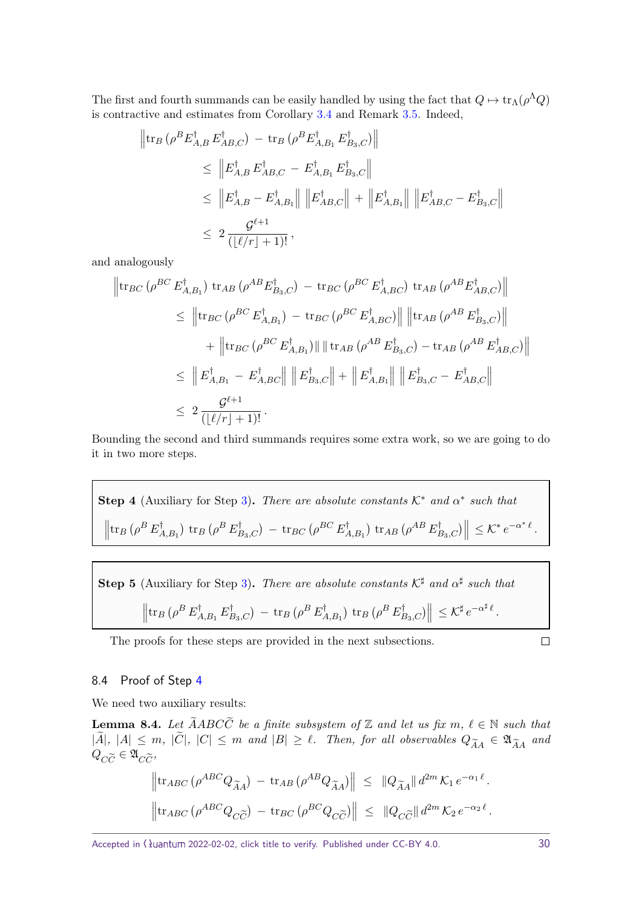The first and fourth summands can be easily handled by using the fact that  $Q \mapsto \text{tr}_{\Lambda}(\rho^{\Lambda}Q)$ is contractive and estimates from Corollary [3.4](#page-9-0) and Remark [3.5.](#page-9-1) Indeed,

$$
\begin{aligned}\n\left\|\operatorname{tr}_{B}\left(\rho^{B}E_{A,B}^{\dagger}E_{AB,C}^{\dagger}\right)-\operatorname{tr}_{B}\left(\rho^{B}E_{A,B_{1}}^{\dagger}E_{B_{3},C}^{\dagger}\right)\right\| \\
&\leq \left\|E_{A,B}^{\dagger}E_{AB,C}^{\dagger}-E_{A,B_{1}}^{\dagger}E_{B_{3},C}^{\dagger}\right\| \\
&\leq \left\|E_{A,B}^{\dagger}-E_{A,B_{1}}^{\dagger}\right\|\left\|E_{AB,C}^{\dagger}\right\|+\left\|E_{A,B_{1}}^{\dagger}\right\|\left\|E_{AB,C}^{\dagger}-E_{B_{3},C}^{\dagger}\right\| \\
&\leq 2\frac{\mathcal{G}^{\ell+1}}{(\lfloor \ell/r\rfloor+1)!},\n\end{aligned}
$$

and analogously

$$
\begin{aligned}\n\left\|\text{tr}_{BC}\left(\rho^{BC}E_{A,B_{1}}^{\dagger}\right)\text{tr}_{AB}\left(\rho^{AB}E_{B_{3},C}^{\dagger}\right)-\text{tr}_{BC}\left(\rho^{BC}E_{A,BC}^{\dagger}\right)\text{tr}_{AB}\left(\rho^{AB}E_{AB,C}^{\dagger}\right)\right\| \\
&\leq \left\|\text{tr}_{BC}\left(\rho^{BC}E_{A,B_{1}}^{\dagger}\right)-\text{tr}_{BC}\left(\rho^{BC}E_{A,BC}^{\dagger}\right)\right\|\left\|\text{tr}_{AB}\left(\rho^{AB}E_{B_{3},C}^{\dagger}\right)\right\| \\
&+ \left\|\text{tr}_{BC}\left(\rho^{BC}E_{A,B_{1}}^{\dagger}\right)\right\|\left\|\text{tr}_{AB}\left(\rho^{AB}E_{B_{3},C}^{\dagger}\right)-\text{tr}_{AB}\left(\rho^{AB}E_{AB,C}^{\dagger}\right)\right\| \\
&\leq \left\|E_{A,B_{1}}^{\dagger}-E_{A,BC}^{\dagger}\right\|\left\|E_{B_{3},C}^{\dagger}\right\| + \left\|E_{A,B_{1}}^{\dagger}\right\|\left\|E_{B_{3},C}^{\dagger}-E_{AB,C}^{\dagger}\right\| \\
&\leq 2\frac{\mathcal{G}^{\ell+1}}{(\lfloor \ell/r \rfloor+1)!}.\n\end{aligned}
$$

Bounding the second and third summands requires some extra work, so we are going to do it in two more steps.

<span id="page-29-0"></span>**Step 4** (Auxiliary for Step 3). *There are absolute constants* 
$$
K^*
$$
 *and*  $\alpha^*$  *such that*  

$$
\left\| \text{tr}_B \left( \rho^B E_{A,B_1}^{\dagger} \right) \text{tr}_B \left( \rho^B E_{B_3,C}^{\dagger} \right) - \text{tr}_{BC} \left( \rho^{BC} E_{A,B_1}^{\dagger} \right) \text{tr}_{AB} \left( \rho^{AB} E_{B_3,C}^{\dagger} \right) \right\| \leq K^* e^{-\alpha^* \ell}.
$$

<span id="page-29-2"></span>**Step 5** (Auxiliary for Step [3\)](#page-26-1). *There are absolute constants*  $K^{\sharp}$  *and*  $\alpha^{\sharp}$  *such that*  $\left\Vert \mathrm{tr}_{B}\left( \rho^{B}\,E_{\not\rho}^{\dagger}\right. \right.$  $E_{A,B_1}^\dagger$   $E_{B}^\dagger$  $\int_{B_3,C}^{\dagger}$ ) – tr $_B$  ( $\rho^B \, E_A^{\dagger}$  $\int_{A,B_1}^{\dagger} \rangle \; \mathrm{tr}_B \left( \rho^B \, E_{B}^{\dagger} \right)$  $\left\| \sum_{B_3,C} \right\| \leq \mathcal{K}^\sharp e^{-\alpha^\sharp \ell}.$ 

The proofs for these steps are provided in the next subsections.

 $\Box$ 

#### <span id="page-29-1"></span>8.4 Proof of Step [4](#page-29-0)

We need two auxiliary results:

<span id="page-29-3"></span>**Lemma 8.4.** *Let*  $\widetilde{A}ABC\widetilde{C}$  *be a finite subsystem of*  $\mathbb{Z}$  *and let us fix*  $m, \ell \in \mathbb{N}$  *such that*  $|A|, |A| \leq m, |C|, |C| \leq m$  and  $|B| \geq \ell$ . Then, for all observables  $Q_{\widetilde{A}A} \in \mathfrak{A}_{\widetilde{A}A}$  and  $Q \sim \epsilon \mathfrak{A}_{\widetilde{A}A}$  $Q_{C\widetilde{C}} \in \mathfrak{A}_{C\widetilde{C}}$ 

$$
\left\|\operatorname{tr}_{ABC} \left( \rho^{ABC} Q_{\widetilde{A}A} \right) - \operatorname{tr}_{AB} \left( \rho^{AB} Q_{\widetilde{A}A} \right) \right\| \leq \| Q_{\widetilde{A}A} \| d^{2m} \mathcal{K}_1 e^{-\alpha_1 \ell}.
$$
  

$$
\left\|\operatorname{tr}_{ABC} \left( \rho^{ABC} Q_{C\widetilde{C}} \right) - \operatorname{tr}_{BC} \left( \rho^{BC} Q_{C\widetilde{C}} \right) \right\| \leq \| Q_{C\widetilde{C}} \| d^{2m} \mathcal{K}_2 e^{-\alpha_2 \ell}.
$$

Accepted in  $\lambda$ uantum 2022-02-02, click title to verify. Published under CC-BY 4.0. 30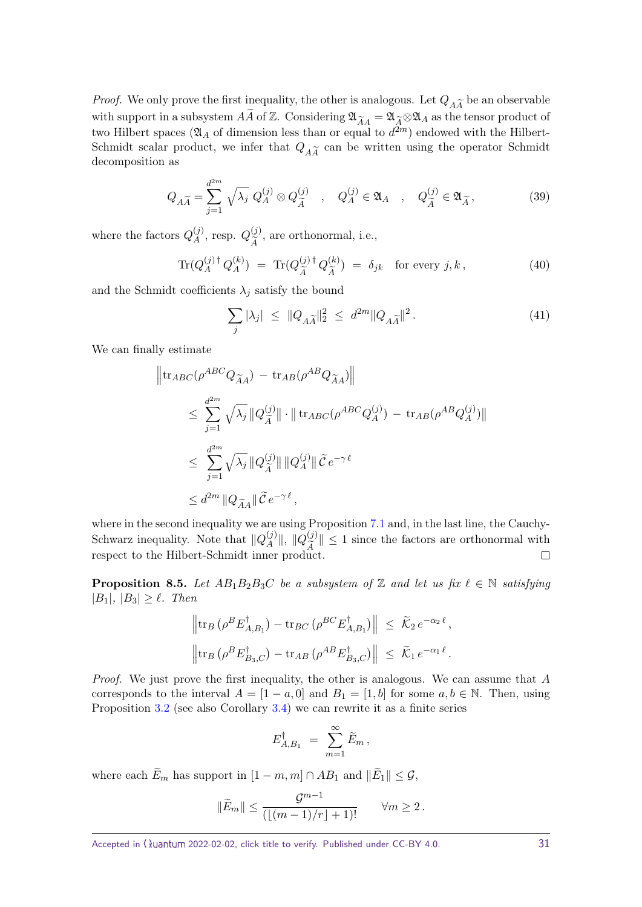*Proof.* We only prove the first inequality, the other is analogous. Let  $Q_{\tilde{A}\tilde{A}}$  be an observable with support in a subsetem  $\tilde{A}$  of  $\mathbb{Z}$ . Considering  $\mathfrak{A}_{\infty} = \mathfrak{A}_{\infty} \otimes \mathfrak{A}_{\infty}$  as the tensor with support in a subsystem  $\widetilde{A}$  of  $\mathbb{Z}$ . Considering  $\mathfrak{A}_{\widetilde{A}A} = \mathfrak{A}_{\widetilde{A}} \otimes \mathfrak{A}_{A}$  as the tensor product of two Hilbert spaces ( $\mathfrak{A}_A$  of dimension less than or equal to  $d^{2m}$ ) endowed with the Hilbert-Schmidt scalar product, we infer that  $Q_{\tilde{A}}\tilde{A}$  can be written using the operator Schmidt decomposition as decomposition as

$$
Q_{A\widetilde{A}} = \sum_{j=1}^{d^{2m}} \sqrt{\lambda_j} Q_A^{(j)} \otimes Q_{\widetilde{A}}^{(j)} \quad , \quad Q_A^{(j)} \in \mathfrak{A}_A \quad , \quad Q_{\widetilde{A}}^{(j)} \in \mathfrak{A}_{\widetilde{A}} \,, \tag{39}
$$

where the factors  $Q_A^{(j)}$  $Q_{\widetilde{A}}^{(j)}$ , resp.  $Q_{\widetilde{A}}^{(j)}$ *A*e , are orthonormal, i.e.,

$$
\text{Tr}(Q_A^{(j)\dagger} Q_A^{(k)}) = \text{Tr}(Q_{\widetilde{A}}^{(j)\dagger} Q_{\widetilde{A}}^{(k)}) = \delta_{jk} \quad \text{for every } j, k \,, \tag{40}
$$

and the Schmidt coefficients  $\lambda_j$  satisfy the bound

$$
\sum_{j} |\lambda_j| \leq ||Q_{A\widetilde{A}}||_2^2 \leq d^{2m} ||Q_{A\widetilde{A}}||^2. \tag{41}
$$

We can finally estimate

$$
\begin{aligned}\n\left\|\operatorname{tr}_{ABC}(\rho^{ABC}Q_{\widetilde{A}A}) - \operatorname{tr}_{AB}(\rho^{AB}Q_{\widetilde{A}A})\right\| \\
&\leq \sum_{j=1}^{d^{2m}} \sqrt{\lambda_j} \left\|Q_{\widetilde{A}}^{(j)}\right\| \cdot \left\|\operatorname{tr}_{ABC}(\rho^{ABC}Q_A^{(j)}) - \operatorname{tr}_{AB}(\rho^{AB}Q_A^{(j)})\right\| \\
&\leq \sum_{j=1}^{d^{2m}} \sqrt{\lambda_j} \left\|Q_{\widetilde{A}}^{(j)}\right\| \left\|Q_A^{(j)}\right\| \widetilde{\mathcal{C}} e^{-\gamma \ell} \\
&\leq d^{2m} \left\|Q_{\widetilde{A}A}\right\| \widetilde{\mathcal{C}} e^{-\gamma \ell},\n\end{aligned}
$$

where in the second inequality we are using Proposition [7.1](#page-22-4) and, in the last line, the Cauchy-Schwarz inequality. Note that  $\|Q_A^{(j)}\|$  $\|A^{(j)}\|$ ,  $\|Q_{\widetilde{A}}^{(j)}\| \leq 1$  since the factors are orthonormal with respect to the Hilbert-Schmidt inner product.  $\Box$ 

<span id="page-30-0"></span>**Proposition 8.5.** *Let*  $AB_1B_2B_3C$  *be a subsystem of* Z *and let us fix*  $\ell \in \mathbb{N}$  *satisfying*  $|B_1|, |B_3| \ge \ell$ . *Then* 

$$
\|\text{tr}_B \left( \rho^B E_{A,B_1}^{\dagger} \right) - \text{tr}_{BC} \left( \rho^{BC} E_{A,B_1}^{\dagger} \right) \| \leq \widetilde{\mathcal{K}}_2 e^{-\alpha_2 \ell},
$$
  

$$
\left\| \text{tr}_B \left( \rho^B E_{B_3,C}^{\dagger} \right) - \text{tr}_{AB} \left( \rho^{AB} E_{B_3,C}^{\dagger} \right) \right\| \leq \widetilde{\mathcal{K}}_1 e^{-\alpha_1 \ell}.
$$

Proof. We just prove the first inequality, the other is analogous. We can assume that *A* corresponds to the interval  $A = \begin{bmatrix} 1 - a, 0 \end{bmatrix}$  and  $B_1 = \begin{bmatrix} 1, b \end{bmatrix}$  for some  $a, b \in \mathbb{N}$ . Then, using Proposition [3.2](#page-8-2) (see also Corollary [3.4\)](#page-9-0) we can rewrite it as a finite series

$$
E_{A,B_1}^{\dagger} = \sum_{m=1}^{\infty} \widetilde{E}_m \,,
$$

where each  $E_m$  has support in  $[1 - m, m] \cap AB_1$  and  $||E_1|| \leq \mathcal{G}$ ,

$$
\|\widetilde{E}_m\| \le \frac{\mathcal{G}^{m-1}}{(\lfloor (m-1)/r \rfloor + 1)!} \qquad \forall m \ge 2.
$$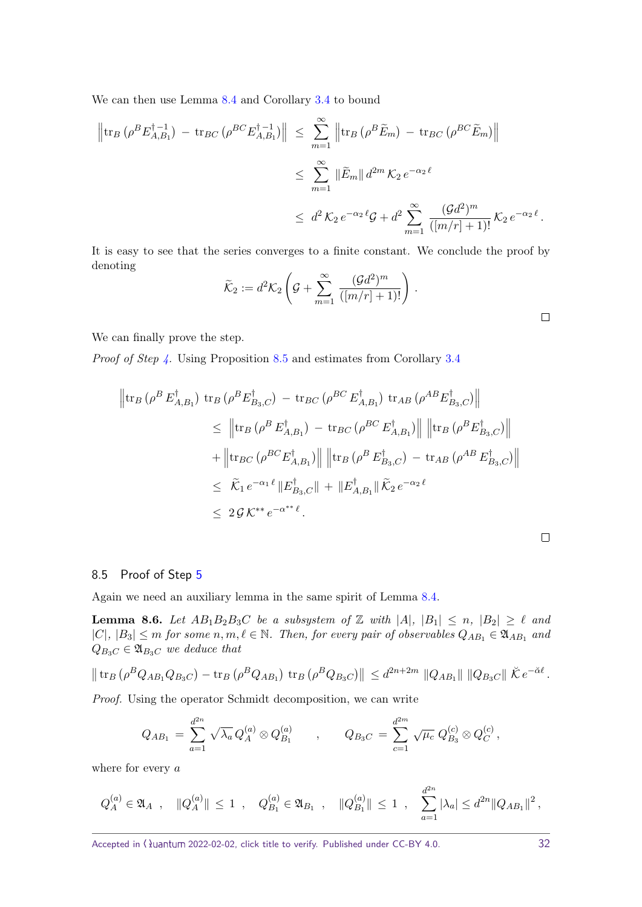We can then use Lemma [8.4](#page-29-3) and Corollary [3.4](#page-9-0) to bound

$$
\left\|\operatorname{tr}_{B}\left(\rho^{B}E_{A,B_{1}}^{\dagger-1}\right) - \operatorname{tr}_{BC}\left(\rho^{BC}E_{A,B_{1}}^{\dagger-1}\right)\right\| \leq \sum_{m=1}^{\infty} \left\|\operatorname{tr}_{B}\left(\rho^{B}\widetilde{E}_{m}\right) - \operatorname{tr}_{BC}\left(\rho^{BC}\widetilde{E}_{m}\right)\right\|
$$
  

$$
\leq \sum_{m=1}^{\infty} \left\|\widetilde{E}_{m}\right\| d^{2m} \mathcal{K}_{2} e^{-\alpha_{2}\ell}
$$
  

$$
\leq d^{2} \mathcal{K}_{2} e^{-\alpha_{2}\ell} \mathcal{G} + d^{2} \sum_{m=1}^{\infty} \frac{(\mathcal{G}d^{2})^{m}}{([m/r] + 1)!} \mathcal{K}_{2} e^{-\alpha_{2}\ell}.
$$

It is easy to see that the series converges to a finite constant. We conclude the proof by denoting

$$
\widetilde{\mathcal{K}}_2 := d^2 \mathcal{K}_2 \left( \mathcal{G} + \sum_{m=1}^{\infty} \frac{(\mathcal{G}d^2)^m}{([m/r] + 1)!} \right) .
$$

We can finally prove the step.

Proof of Step [4.](#page-29-0) Using Proposition [8.5](#page-30-0) and estimates from Corollary [3.4](#page-9-0)

$$
\begin{aligned}\n\left\| \operatorname{tr}_{B} \left( \rho^{B} E_{A,B_{1}}^{\dagger} \right) \operatorname{tr}_{B} \left( \rho^{B} E_{B_{3},C}^{\dagger} \right) - \operatorname{tr}_{BC} \left( \rho^{BC} E_{A,B_{1}}^{\dagger} \right) \operatorname{tr}_{AB} \left( \rho^{AB} E_{B_{3},C}^{\dagger} \right) \right\| \\
&\leq \left\| \operatorname{tr}_{B} \left( \rho^{B} E_{A,B_{1}}^{\dagger} \right) - \operatorname{tr}_{BC} \left( \rho^{BC} E_{A,B_{1}}^{\dagger} \right) \right\| \left\| \operatorname{tr}_{B} \left( \rho^{B} E_{B_{3},C}^{\dagger} \right) \right\| \\
&+ \left\| \operatorname{tr}_{BC} \left( \rho^{BC} E_{A,B_{1}}^{\dagger} \right) \right\| \left\| \operatorname{tr}_{B} \left( \rho^{B} E_{B_{3},C}^{\dagger} \right) - \operatorname{tr}_{AB} \left( \rho^{AB} E_{B_{3},C}^{\dagger} \right) \right\| \\
&\leq \widetilde{K}_{1} e^{-\alpha_{1} \ell} \left\| E_{B_{3},C}^{\dagger} \right\| + \left\| E_{A,B_{1}}^{\dagger} \right\| \widetilde{K}_{2} e^{-\alpha_{2} \ell} \\
&\leq 2 \mathcal{G} K^{**} e^{-\alpha^{**} \ell}.\n\end{aligned}
$$

#### <span id="page-31-0"></span>8.5 Proof of Step [5](#page-29-2)

Again we need an auxiliary lemma in the same spirit of Lemma [8.4.](#page-29-3)

<span id="page-31-1"></span>**Lemma 8.6.** *Let*  $AB_1B_2B_3C$  *be a subsystem of* Z *with*  $|A|, |B_1| \le n, |B_2| \ge \ell$  *and*  $|C|, |B_3| \leq m$  *for some*  $n, m, \ell \in \mathbb{N}$ . Then, for every pair of observables  $Q_{AB_1} \in \mathfrak{A}_{AB_1}$  and  $Q_{B_3C} \in \mathfrak{A}_{B_3C}$  *we deduce that* 

$$
\|\operatorname{tr}_{B}(\rho^{B}Q_{AB_{1}}Q_{B_{3}C}) - \operatorname{tr}_{B}(\rho^{B}Q_{AB_{1}}) \operatorname{tr}_{B}(\rho^{B}Q_{B_{3}C})\| \leq d^{2n+2m} \|Q_{AB_{1}}\| \|Q_{B_{3}C}\| \tilde{K} e^{-\check{\alpha} \ell}.
$$

Proof. Using the operator Schmidt decomposition, we can write

$$
Q_{AB_1} = \sum_{a=1}^{d^{2n}} \sqrt{\lambda_a} Q_A^{(a)} \otimes Q_{B_1}^{(a)} , \qquad Q_{B_3C} = \sum_{c=1}^{d^{2m}} \sqrt{\mu_c} Q_{B_3}^{(c)} \otimes Q_C^{(c)} ,
$$

where for every *a*

$$
Q_A^{(a)} \in \mathfrak{A}_A
$$
,  $||Q_A^{(a)}|| \le 1$ ,  $Q_{B_1}^{(a)} \in \mathfrak{A}_{B_1}$ ,  $||Q_{B_1}^{(a)}|| \le 1$ ,  $\sum_{a=1}^{d^{2n}} |\lambda_a| \le d^{2n} ||Q_{AB_1}||^2$ ,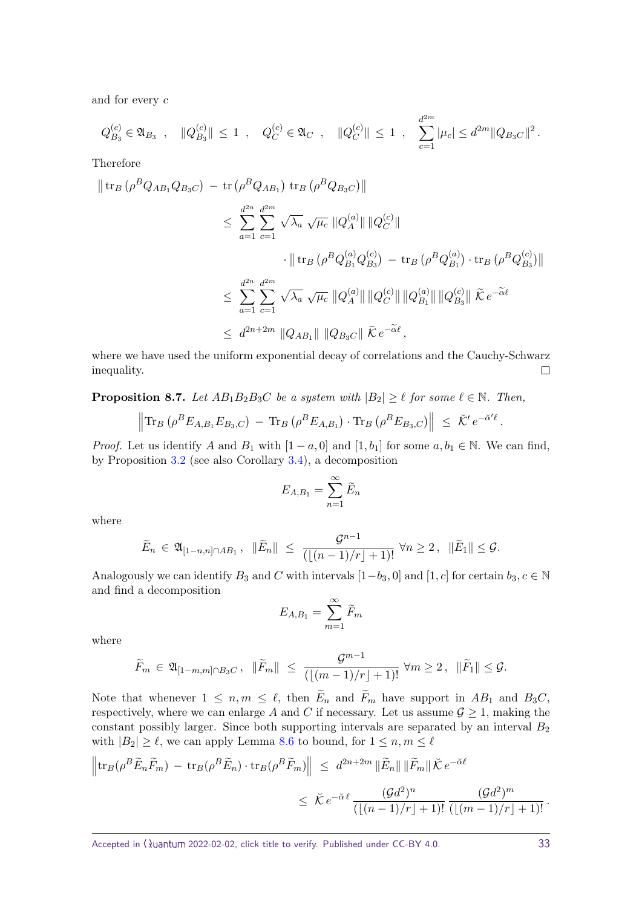and for every *c*

$$
Q_{B_3}^{(c)} \in \mathfrak{A}_{B_3}
$$
,  $||Q_{B_3}^{(c)}|| \le 1$ ,  $Q_C^{(c)} \in \mathfrak{A}_C$ ,  $||Q_C^{(c)}|| \le 1$ ,  $\sum_{c=1}^{d^{2m}} |\mu_c| \le d^{2m} ||Q_{B_3}C||^2$ .

Therefore

$$
\|\operatorname{tr}_{B}(\rho^{B}Q_{AB_{1}}Q_{B_{3}C}) - \operatorname{tr}(\rho^{B}Q_{AB_{1}}) \operatorname{tr}_{B}(\rho^{B}Q_{B_{3}C})\|
$$
  
\n
$$
\leq \sum_{a=1}^{d^{2n}} \sum_{c=1}^{d^{2m}} \sqrt{\lambda_{a}} \sqrt{\mu_{c}} \|Q_{A}^{(a)}\| \|Q_{C}^{(c)}\|
$$
  
\n
$$
\cdot \| \operatorname{tr}_{B}(\rho^{B}Q_{B_{1}}^{(a)}Q_{B_{3}}^{(c)}) - \operatorname{tr}_{B}(\rho^{B}Q_{B_{1}}^{(a)}) \cdot \operatorname{tr}_{B}(\rho^{B}Q_{B_{3}}^{(c)})\|
$$
  
\n
$$
\leq \sum_{a=1}^{d^{2n}} \sum_{c=1}^{d^{2m}} \sqrt{\lambda_{a}} \sqrt{\mu_{c}} \|Q_{A}^{(a)}\| \|Q_{C}^{(c)}\| \|Q_{B_{1}}^{(a)}\| \|Q_{B_{3}}^{(c)}\| \tilde{\kappa} e^{-\tilde{\alpha}\ell}
$$
  
\n
$$
\leq d^{2n+2m} \|Q_{AB_{1}}\| \|Q_{B_{3}C}\| \tilde{\kappa} e^{-\tilde{\alpha}\ell},
$$

where we have used the uniform exponential decay of correlations and the Cauchy-Schwarz inequality.  $\Box$ 

<span id="page-32-0"></span>**Proposition 8.7.** *Let*  $AB_1B_2B_3C$  *be a system with*  $|B_2| \geq \ell$  *for some*  $\ell \in \mathbb{N}$ *. Then,* 

$$
\left\|\text{Tr}_B\left(\rho^B E_{A,B_1} E_{B_3,C}\right) - \text{Tr}_B\left(\rho^B E_{A,B_1}\right) \cdot \text{Tr}_B\left(\rho^B E_{B_3,C}\right)\right\| \leq \tilde{\mathcal{K}}' e^{-\tilde{\alpha}'\ell}
$$

*Proof.* Let us identify *A* and *B*<sub>1</sub> with  $[1 - a, 0]$  and  $[1, b_1]$  for some  $a, b_1 \in \mathbb{N}$ . We can find, by Proposition [3.2](#page-8-2) (see also Corollary [3.4\)](#page-9-0), a decomposition

$$
E_{A,B_1} = \sum_{n=1}^{\infty} \tilde{E}_n
$$

where

$$
\widetilde{E}_n \in \mathfrak{A}_{[1-n,n]\cap AB_1}, \|\widetilde{E}_n\| \leq \frac{\mathcal{G}^{n-1}}{(\lfloor (n-1)/r \rfloor + 1)!} \forall n \geq 2, \|\widetilde{E}_1\| \leq \mathcal{G}.
$$

Analogously we can identify  $B_3$  and  $C$  with intervals  $[1-b_3, 0]$  and  $[1, c]$  for certain  $b_3, c \in \mathbb{N}$ and find a decomposition

$$
E_{A,B_1} = \sum_{m=1}^{\infty} \widetilde{F}_m
$$

where

$$
\widetilde{F}_m \in \mathfrak{A}_{[1-m,m]\cap B_3C}, \ \ \|\widetilde{F}_m\| \ \leq \ \frac{\mathcal{G}^{m-1}}{(\lfloor (m-1)/r \rfloor + 1)!} \ \forall m \geq 2 \,, \ \ \|\widetilde{F}_1\| \leq \mathcal{G}.
$$

Note that whenever  $1 \leq n, m \leq \ell$ , then  $E_n$  and  $F_m$  have support in  $AB_1$  and  $B_3C$ , respectively, where we can enlarge A and C if necessary. Let us assume  $\mathcal{G} \geq 1$ , making the constant possibly larger. Since both supporting intervals are separated by an interval *B*<sup>2</sup> with  $|B_2| \geq \ell$ , we can apply Lemma [8.6](#page-31-1) to bound, for  $1 \leq n, m \leq \ell$ 

$$
\left\|\operatorname{tr}_{B}(\rho^{B}\widetilde{E}_{n}\widetilde{F}_{m}) - \operatorname{tr}_{B}(\rho^{B}\widetilde{E}_{n}) \cdot \operatorname{tr}_{B}(\rho^{B}\widetilde{F}_{m})\right\| \leq d^{2n+2m} \|\widetilde{E}_{n}\| \|\widetilde{F}_{m}\| \breve{K} e^{-\breve{\alpha}\ell}
$$
  

$$
\leq \breve{K} e^{-\breve{\alpha}\ell} \frac{(\mathcal{G}d^{2})^{n}}{(\lfloor (n-1)/r \rfloor + 1)!} \frac{(\mathcal{G}d^{2})^{m}}{(\lfloor (m-1)/r \rfloor + 1)!}.
$$

*.*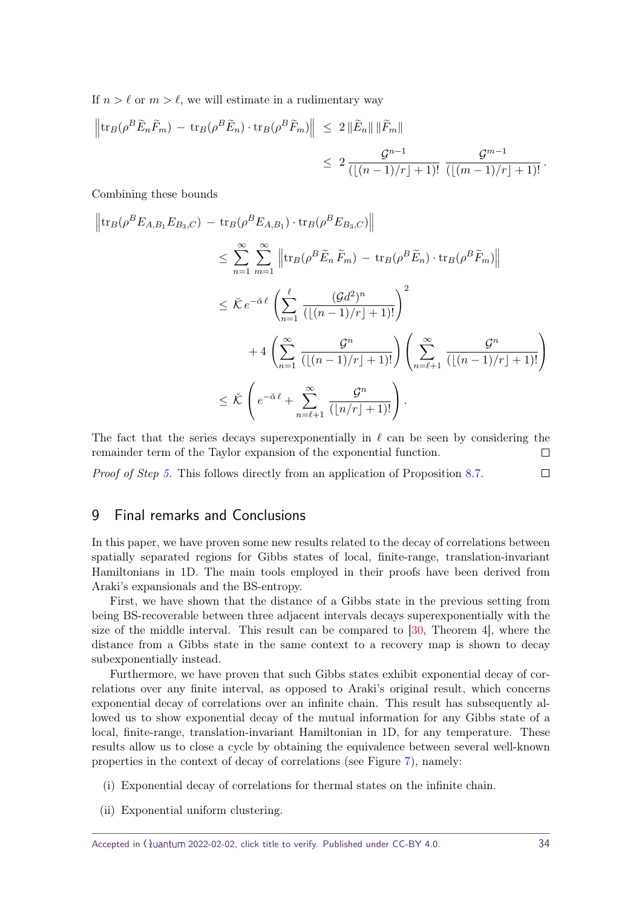<span id="page-33-1"></span>If  $n > \ell$  or  $m > \ell$ , we will estimate in a rudimentary way

$$
\left\|\operatorname{tr}_{B}(\rho^{B}\widetilde{E}_{n}\widetilde{F}_{m}) - \operatorname{tr}_{B}(\rho^{B}\widetilde{E}_{n}) \cdot \operatorname{tr}_{B}(\rho^{B}\widetilde{F}_{m})\right\| \leq 2 \left\|\widetilde{E}_{n}\right\| \left\|\widetilde{F}_{m}\right\|
$$
  

$$
\leq 2 \frac{\mathcal{G}^{n-1}}{(\lfloor (n-1)/r \rfloor + 1)!} \frac{\mathcal{G}^{m-1}}{(\lfloor (m-1)/r \rfloor + 1)!}.
$$

Combining these bounds

$$
\left\| \operatorname{tr}_{B}(\rho^{B}E_{A,B_{1}}E_{B_{3},C}) - \operatorname{tr}_{B}(\rho^{B}E_{A,B_{1}}) \cdot \operatorname{tr}_{B}(\rho^{B}E_{B_{3},C}) \right\|
$$
  
\n
$$
\leq \sum_{n=1}^{\infty} \sum_{m=1}^{\infty} \left\| \operatorname{tr}_{B}(\rho^{B}\widetilde{E}_{n}\widetilde{F}_{m}) - \operatorname{tr}_{B}(\rho^{B}\widetilde{E}_{n}) \cdot \operatorname{tr}_{B}(\rho^{B}\widetilde{F}_{m}) \right\|
$$
  
\n
$$
\leq \check{K} e^{-\check{\alpha} \ell} \left( \sum_{n=1}^{\ell} \frac{(\mathcal{G}d^{2})^{n}}{(\lfloor (n-1)/r \rfloor + 1)!} \right)^{2}
$$
  
\n
$$
+ 4 \left( \sum_{n=1}^{\infty} \frac{\mathcal{G}^{n}}{(\lfloor (n-1)/r \rfloor + 1)!} \right) \left( \sum_{n=\ell+1}^{\infty} \frac{\mathcal{G}^{n}}{(\lfloor (n-1)/r \rfloor + 1)!} \right)
$$
  
\n
$$
\leq \check{K} \left( e^{-\check{\alpha} \ell} + \sum_{n=\ell+1}^{\infty} \frac{\mathcal{G}^{n}}{(\lfloor n/r \rfloor + 1)!} \right).
$$

The fact that the series decays superexponentially in  $\ell$  can be seen by considering the remainder term of the Taylor expansion of the exponential function.  $\Box$ 

 $\Box$ *Proof of Step [5.](#page-29-2)* This follows directly from an application of Proposition [8.7.](#page-32-0)

# <span id="page-33-0"></span>9 Final remarks and Conclusions

In this paper, we have proven some new results related to the decay of correlations between spatially separated regions for Gibbs states of local, finite-range, translation-invariant Hamiltonians in 1D. The main tools employed in their proofs have been derived from Araki's expansionals and the BS-entropy.

First, we have shown that the distance of a Gibbs state in the previous setting from being BS-recoverable between three adjacent intervals decays superexponentially with the size of the middle interval. This result can be compared to  $[30,$  Theorem 4], where the distance from a Gibbs state in the same context to a recovery map is shown to decay subexponentially instead.

Furthermore, we have proven that such Gibbs states exhibit exponential decay of correlations over any finite interval, as opposed to Araki's original result, which concerns exponential decay of correlations over an infinite chain. This result has subsequently allowed us to show exponential decay of the mutual information for any Gibbs state of a local, finite-range, translation-invariant Hamiltonian in 1D, for any temperature. These results allow us to close a cycle by obtaining the equivalence between several well-known properties in the context of decay of correlations (see Figure [7\)](#page-35-0), namely:

- (i) Exponential decay of correlations for thermal states on the infinite chain.
- (ii) Exponential uniform clustering.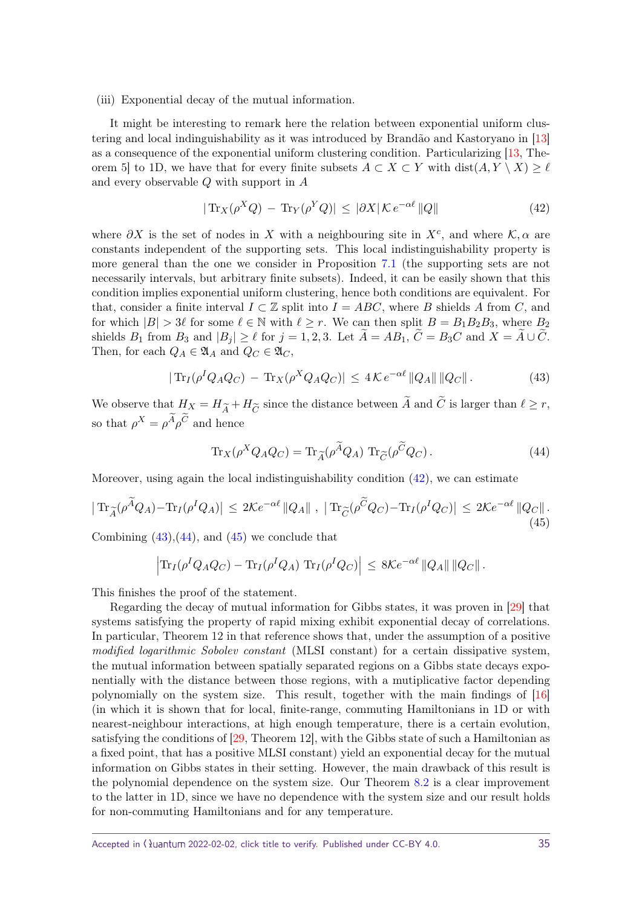<span id="page-34-4"></span>(iii) Exponential decay of the mutual information.

It might be interesting to remark here the relation between exponential uniform clustering and local indinguishability as it was introduced by Brandão and Kastoryano in [\[13\]](#page-37-12) as a consequence of the exponential uniform clustering condition. Particularizing [\[13,](#page-37-12) Theorem 5] to 1D, we have that for every finite subsets  $A \subset X \subset Y$  with  $dist(A, Y \setminus X) \geq \ell$ and every observable *Q* with support in *A*

<span id="page-34-0"></span>
$$
|\operatorname{Tr}_X(\rho^X Q) - \operatorname{Tr}_Y(\rho^Y Q)| \le |\partial X| \mathcal{K} e^{-\alpha \ell} ||Q|| \tag{42}
$$

where  $\partial X$  is the set of nodes in X with a neighbouring site in  $X^c$ , and where  $\mathcal{K}, \alpha$  are constants independent of the supporting sets. This local indistinguishability property is more general than the one we consider in Proposition [7.1](#page-22-4) (the supporting sets are not necessarily intervals, but arbitrary finite subsets). Indeed, it can be easily shown that this condition implies exponential uniform clustering, hence both conditions are equivalent. For that, consider a finite interval  $I \subset \mathbb{Z}$  split into  $I = ABC$ , where *B* shields *A* from *C*, and for which  $|B| > 3\ell$  for some  $\ell \in \mathbb{N}$  with  $\ell \geq r$ . We can then split  $B = B_1 B_2 B_3$ , where  $B_2$ shields  $B_1$  from  $B_3$  and  $|B_j| \geq \ell$  for  $j = 1, 2, 3$ . Let  $\tilde{A} = AB_1$ ,  $\tilde{C} = B_3 C$  and  $X = \tilde{A} \cup \tilde{C}$ . Then, for each  $Q_A \in \mathfrak{A}_A$  and  $Q_C \in \mathfrak{A}_C$ ,

<span id="page-34-1"></span>
$$
|\operatorname{Tr}_I(\rho^I Q_A Q_C) - \operatorname{Tr}_X(\rho^X Q_A Q_C)| \leq 4\mathcal{K} e^{-\alpha \ell} ||Q_A|| ||Q_C||. \tag{43}
$$

We observe that  $H_X = H_{\widetilde{A}} + H_{\widetilde{C}}$  since the distance between *A* and *C* is larger than  $\ell \geq r$ , so that  $\rho^X = \rho^A \rho^C$  and hence

<span id="page-34-2"></span>
$$
\operatorname{Tr}_X(\rho^X Q_A Q_C) = \operatorname{Tr}_{\widetilde{A}}(\rho^{\widetilde{A}} Q_A) \operatorname{Tr}_{\widetilde{C}}(\rho^{\widetilde{C}} Q_C). \tag{44}
$$

Moreover, using again the local indistinguishability condition  $(42)$ , we can estimate

<span id="page-34-3"></span>
$$
|\operatorname{Tr}_{\widetilde{A}}(\rho^{\widetilde{A}}Q_{A}) - \operatorname{Tr}_{I}(\rho^{I}Q_{A})| \leq 2\mathcal{K}e^{-\alpha\ell} \|Q_{A}\|, \ |\operatorname{Tr}_{\widetilde{C}}(\rho^{\widetilde{C}}Q_{C}) - \operatorname{Tr}_{I}(\rho^{I}Q_{C})| \leq 2\mathcal{K}e^{-\alpha\ell} \|Q_{C}\|.
$$
\n
$$
(45)
$$

Combining  $(43),(44)$  $(43),(44)$  $(43),(44)$ , and  $(45)$  we conclude that

$$
\left|\text{Tr}_I(\rho^I Q_A Q_C) - \text{Tr}_I(\rho^I Q_A) \text{Tr}_I(\rho^I Q_C)\right| \leq 8\mathcal{K}e^{-\alpha \ell} \|Q_A\| \|Q_C\|.
$$

This finishes the proof of the statement.

Regarding the decay of mutual information for Gibbs states, it was proven in [\[29\]](#page-38-3) that systems satisfying the property of rapid mixing exhibit exponential decay of correlations. In particular, Theorem 12 in that reference shows that, under the assumption of a positive modified logarithmic Sobolev constant (MLSI constant) for a certain dissipative system, the mutual information between spatially separated regions on a Gibbs state decays exponentially with the distance between those regions, with a mutiplicative factor depending polynomially on the system size. This result, together with the main findings of [\[16\]](#page-37-17) (in which it is shown that for local, finite-range, commuting Hamiltonians in 1D or with nearest-neighbour interactions, at high enough temperature, there is a certain evolution, satisfying the conditions of [\[29,](#page-38-3) Theorem 12], with the Gibbs state of such a Hamiltonian as a fixed point, that has a positive MLSI constant) yield an exponential decay for the mutual information on Gibbs states in their setting. However, the main drawback of this result is the polynomial dependence on the system size. Our Theorem [8.2](#page-25-1) is a clear improvement to the latter in 1D, since we have no dependence with the system size and our result holds for non-commuting Hamiltonians and for any temperature.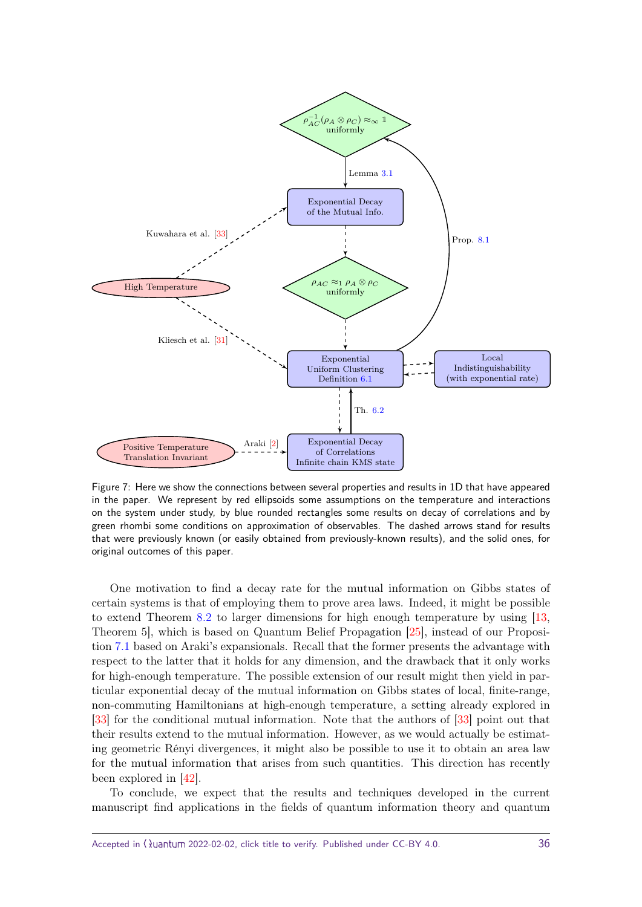<span id="page-35-1"></span><span id="page-35-0"></span>

Figure 7: Here we show the connections between several properties and results in 1D that have appeared in the paper. We represent by red ellipsoids some assumptions on the temperature and interactions on the system under study, by blue rounded rectangles some results on decay of correlations and by green rhombi some conditions on approximation of observables. The dashed arrows stand for results that were previously known (or easily obtained from previously-known results), and the solid ones, for original outcomes of this paper.

One motivation to find a decay rate for the mutual information on Gibbs states of certain systems is that of employing them to prove area laws. Indeed, it might be possible to extend Theorem [8.2](#page-25-1) to larger dimensions for high enough temperature by using [\[13,](#page-37-12) Theorem 5], which is based on Quantum Belief Propagation [\[25\]](#page-38-17), instead of our Proposition [7.1](#page-22-4) based on Araki's expansionals. Recall that the former presents the advantage with respect to the latter that it holds for any dimension, and the drawback that it only works for high-enough temperature. The possible extension of our result might then yield in particular exponential decay of the mutual information on Gibbs states of local, finite-range, non-commuting Hamiltonians at high-enough temperature, a setting already explored in [\[33\]](#page-38-10) for the conditional mutual information. Note that the authors of [\[33\]](#page-38-10) point out that their results extend to the mutual information. However, as we would actually be estimating geometric Rényi divergences, it might also be possible to use it to obtain an area law for the mutual information that arises from such quantities. This direction has recently been explored in [\[42\]](#page-38-8).

To conclude, we expect that the results and techniques developed in the current manuscript find applications in the fields of quantum information theory and quantum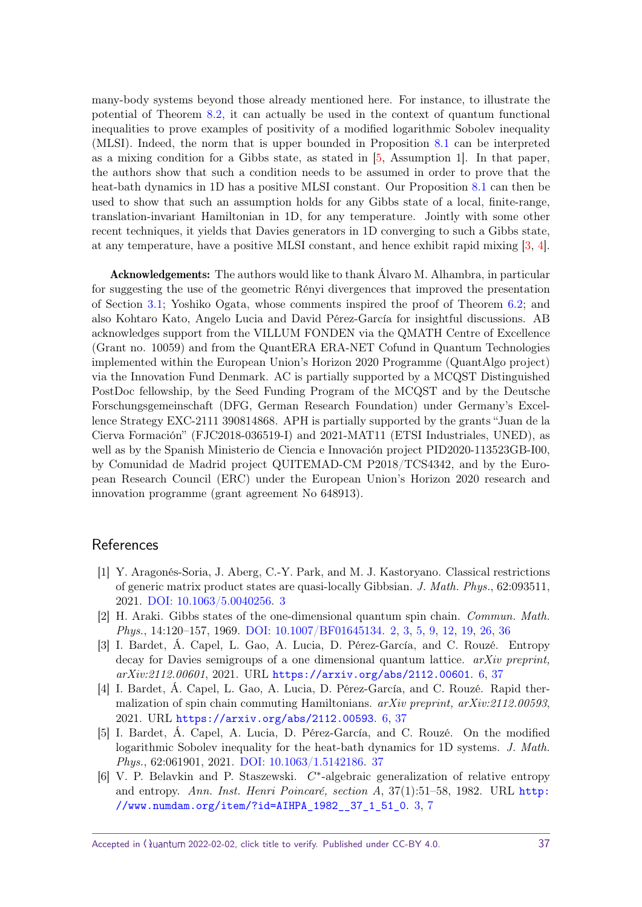<span id="page-36-6"></span>many-body systems beyond those already mentioned here. For instance, to illustrate the potential of Theorem [8.2,](#page-25-1) it can actually be used in the context of quantum functional inequalities to prove examples of positivity of a modified logarithmic Sobolev inequality (MLSI). Indeed, the norm that is upper bounded in Proposition [8.1](#page-25-2) can be interpreted as a mixing condition for a Gibbs state, as stated in [\[5,](#page-36-5) Assumption 1]. In that paper, the authors show that such a condition needs to be assumed in order to prove that the heat-bath dynamics in 1D has a positive MLSI constant. Our Proposition [8.1](#page-25-2) can then be used to show that such an assumption holds for any Gibbs state of a local, finite-range, translation-invariant Hamiltonian in 1D, for any temperature. Jointly with some other recent techniques, it yields that Davies generators in 1D converging to such a Gibbs state, at any temperature, have a positive MLSI constant, and hence exhibit rapid mixing [\[3,](#page-36-3) [4\]](#page-36-4).

Acknowledgements: The authors would like to thank Álvaro M. Alhambra, in particular for suggesting the use of the geometric Rényi divergences that improved the presentation of Section [3.1;](#page-5-1) Yoshiko Ogata, whose comments inspired the proof of Theorem [6.2;](#page-19-0) and also Kohtaro Kato, Angelo Lucia and David Pérez-García for insightful discussions. AB acknowledges support from the VILLUM FONDEN via the QMATH Centre of Excellence (Grant no. 10059) and from the QuantERA ERA-NET Cofund in Quantum Technologies implemented within the European Union's Horizon 2020 Programme (QuantAlgo project) via the Innovation Fund Denmark. AC is partially supported by a MCQST Distinguished PostDoc fellowship, by the Seed Funding Program of the MCQST and by the Deutsche Forschungsgemeinschaft (DFG, German Research Foundation) under Germany's Excellence Strategy EXC-2111 390814868. APH is partially supported by the grants "Juan de la Cierva Formación" (FJC2018-036519-I) and 2021-MAT11 (ETSI Industriales, UNED), as well as by the Spanish Ministerio de Ciencia e Innovación project PID2020-113523GB-I00, by Comunidad de Madrid project QUITEMAD-CM P2018/TCS4342, and by the European Research Council (ERC) under the European Union's Horizon 2020 research and innovation programme (grant agreement No 648913).

## References

- <span id="page-36-1"></span>[1] Y. Aragonés-Soria, J. Aberg, C.-Y. Park, and M. J. Kastoryano. Classical restrictions of generic matrix product states are quasi-locally Gibbsian. J. Math. Phys., 62:093511, 2021. [DOI: 10.1063/5.0040256.](https://doi.org/10.1063/5.0040256) [3](#page-2-0)
- <span id="page-36-0"></span>[2] H. Araki. Gibbs states of the one-dimensional quantum spin chain. Commun. Math. Phys., 14:120–157, 1969. [DOI: 10.1007/BF01645134.](https://doi.org/10.1007/BF01645134) [2,](#page-1-2) [3,](#page-2-0) [5,](#page-4-0) [9,](#page-8-3) [12,](#page-11-4) [19,](#page-18-1) [26,](#page-25-3) [36](#page-35-1)
- <span id="page-36-3"></span>[3] I. Bardet, Á. Capel, L. Gao, A. Lucia, D. Pérez-García, and C. Rouzé. Entropy decay for Davies semigroups of a one dimensional quantum lattice.  $arXiv$  preprint, arXiv:2112.00601, 2021. URL <https://arxiv.org/abs/2112.00601>. [6,](#page-5-2) [37](#page-36-6)
- <span id="page-36-4"></span>[4] I. Bardet, Á. Capel, L. Gao, A. Lucia, D. Pérez-García, and C. Rouzé. Rapid thermalization of spin chain commuting Hamiltonians.  $a_rXiv$  preprint,  $a_rXiv:2112.00593$ . 2021. URL <https://arxiv.org/abs/2112.00593>. [6,](#page-5-2) [37](#page-36-6)
- <span id="page-36-5"></span>[5] I. Bardet, Á. Capel, A. Lucia, D. Pérez-García, and C. Rouzé. On the modified logarithmic Sobolev inequality for the heat-bath dynamics for 1D systems. J. Math. Phys., 62:061901, 2021. [DOI: 10.1063/1.5142186.](https://doi.org/10.1063/1.5142186) [37](#page-36-6)
- <span id="page-36-2"></span>[6] V. P. Belavkin and P. Staszewski. *C* ∗ -algebraic generalization of relative entropy and entropy. Ann. Inst. Henri Poincaré, section A, 37(1):51–58, 1982. URL [http:](http://www.numdam.org/item/?id=AIHPA_1982__37_1_51_0) [//www.numdam.org/item/?id=AIHPA\\_1982\\_\\_37\\_1\\_51\\_0](http://www.numdam.org/item/?id=AIHPA_1982__37_1_51_0). [3,](#page-2-0) [7](#page-6-4)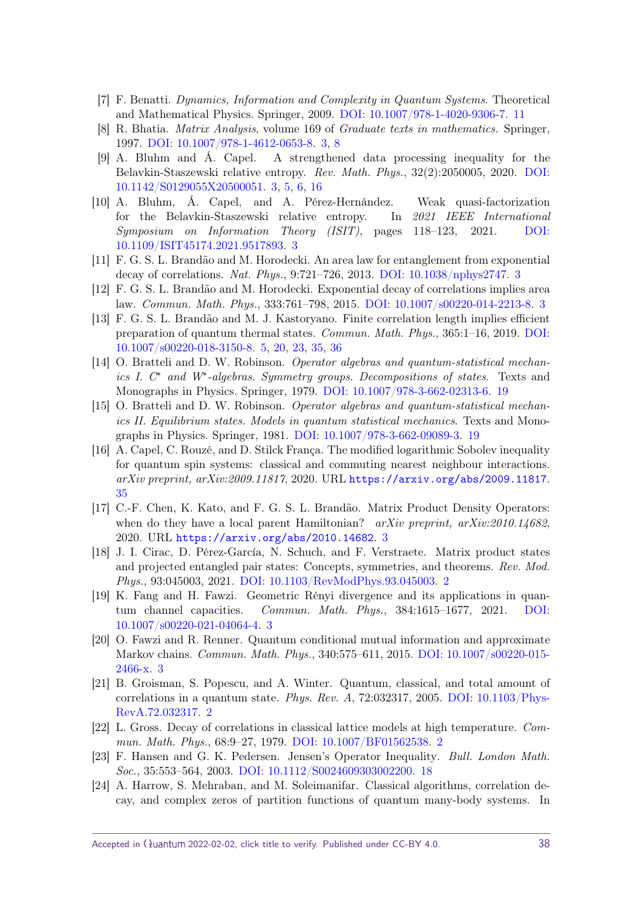- <span id="page-37-13"></span>[7] F. Benatti. Dynamics, Information and Complexity in Quantum Systems. Theoretical and Mathematical Physics. Springer, 2009. [DOI: 10.1007/978-1-4020-9306-7.](https://doi.org/10.1007/978-1-4020-9306-7) [11](#page-10-2)
- <span id="page-37-4"></span>[8] R. Bhatia. Matrix Analysis, volume 169 of Graduate texts in mathematics. Springer, 1997. [DOI: 10.1007/978-1-4612-0653-8.](https://doi.org/10.1007/978-1-4612-0653-8) [3,](#page-2-0) [8](#page-7-0)
- <span id="page-37-9"></span>[9] A. Bluhm and Á. Capel. A strengthened data processing inequality for the Belavkin-Staszewski relative entropy. Rev. Math. Phys., 32(2):2050005, 2020. [DOI:](https://doi.org/10.1142/S0129055X20500051) [10.1142/S0129055X20500051.](https://doi.org/10.1142/S0129055X20500051) [3,](#page-2-0) [5,](#page-4-0) [6,](#page-5-2) [16](#page-15-3)
- <span id="page-37-10"></span>[10] A. Bluhm, Á. Capel, and A. Pérez-Hernández. Weak quasi-factorization for the Belavkin-Staszewski relative entropy. In 2021 IEEE International Symposium on Information Theory (ISIT), pages 118–123, 2021. [DOI:](https://doi.org/10.1109/ISIT45174.2021.9517893) [10.1109/ISIT45174.2021.9517893.](https://doi.org/10.1109/ISIT45174.2021.9517893) [3](#page-2-0)
- <span id="page-37-5"></span>[11] F. G. S. L. Brandão and M. Horodecki. An area law for entanglement from exponential decay of correlations. Nat. Phys., 9:721–726, 2013. [DOI: 10.1038/nphys2747.](https://doi.org/10.1038/nphys2747) [3](#page-2-0)
- <span id="page-37-6"></span>[12] F. G. S. L. Brandão and M. Horodecki. Exponential decay of correlations implies area law. Commun. Math. Phys., 333:761–798, 2015. [DOI: 10.1007/s00220-014-2213-8.](https://doi.org/10.1007/s00220-014-2213-8) [3](#page-2-0)
- <span id="page-37-12"></span>[13] F. G. S. L. Brandão and M. J. Kastoryano. Finite correlation length implies efficient preparation of quantum thermal states. Commun. Math. Phys., 365:1–16, 2019. [DOI:](https://doi.org/10.1007/s00220-018-3150-8) [10.1007/s00220-018-3150-8.](https://doi.org/10.1007/s00220-018-3150-8) [5,](#page-4-0) [20,](#page-19-5) [23,](#page-22-5) [35,](#page-34-4) [36](#page-35-1)
- <span id="page-37-16"></span>[14] O. Bratteli and D. W. Robinson. Operator algebras and quantum-statistical mechanics I. C<sup>\*</sup> and W<sup>\*</sup>-algebras. Symmetry groups. Decompositions of states. Texts and Monographs in Physics. Springer, 1979. [DOI: 10.1007/978-3-662-02313-6.](https://doi.org/10.1007/978-3-662-02313-6) [19](#page-18-1)
- <span id="page-37-15"></span>[15] O. Bratteli and D. W. Robinson. Operator algebras and quantum-statistical mechanics II. Equilibrium states. Models in quantum statistical mechanics. Texts and Monographs in Physics. Springer, 1981. [DOI: 10.1007/978-3-662-09089-3.](https://doi.org/10.1007/978-3-662-09089-3) [19](#page-18-1)
- <span id="page-37-17"></span>[16] A. Capel, C. Rouzé, and D. Stilck França. The modified logarithmic Sobolev inequality for quantum spin systems: classical and commuting nearest neighbour interactions. arXiv preprint, arXiv:2009.11817, 2020. URL <https://arxiv.org/abs/2009.11817>. [35](#page-34-4)
- <span id="page-37-8"></span>[17] C.-F. Chen, K. Kato, and F. G. S. L. Brandão. Matrix Product Density Operators: when do they have a local parent Hamiltonian?  $arXiv$  preprint,  $arXiv:2010.14682$ , 2020. URL <https://arxiv.org/abs/2010.14682>. [3](#page-2-0)
- <span id="page-37-0"></span>[18] J. I. Cirac, D. Pérez-García, N. Schuch, and F. Verstraete. Matrix product states and projected entangled pair states: Concepts, symmetries, and theorems. Rev. Mod. Phys., 93:045003, 2021. [DOI: 10.1103/RevModPhys.93.045003.](https://doi.org/10.1103/RevModPhys.93.045003) [2](#page-1-2)
- <span id="page-37-11"></span>[19] K. Fang and H. Fawzi. Geometric Rényi divergence and its applications in quantum channel capacities. Commun. Math. Phys., 384:1615–1677, 2021. [DOI:](https://doi.org/10.1007/s00220-021-04064-4) [10.1007/s00220-021-04064-4.](https://doi.org/10.1007/s00220-021-04064-4) [3](#page-2-0)
- <span id="page-37-7"></span>[20] O. Fawzi and R. Renner. Quantum conditional mutual information and approximate Markov chains. Commun. Math. Phys., 340:575–611, 2015. [DOI: 10.1007/s00220-015-](https://doi.org/10.1007/s00220-015-2466-x) [2466-x.](https://doi.org/10.1007/s00220-015-2466-x) [3](#page-2-0)
- <span id="page-37-3"></span>[21] B. Groisman, S. Popescu, and A. Winter. Quantum, classical, and total amount of correlations in a quantum state. Phys. Rev. A, 72:032317, 2005. DOI:  $10.1103$ /Phys-[RevA.72.032317.](https://doi.org/10.1103/PhysRevA.72.032317) [2](#page-1-2)
- <span id="page-37-1"></span>[22] L. Gross. Decay of correlations in classical lattice models at high temperature. Commun. Math. Phys., 68:9–27, 1979. [DOI: 10.1007/BF01562538.](https://doi.org/10.1007/BF01562538) [2](#page-1-2)
- <span id="page-37-14"></span>[23] F. Hansen and G. K. Pedersen. Jensen's Operator Inequality. Bull. London Math. Soc., 35:553–564, 2003. [DOI: 10.1112/S0024609303002200.](https://doi.org/10.1112/S0024609303002200) [18](#page-17-2)
- <span id="page-37-2"></span>[24] A. Harrow, S. Mehraban, and M. Soleimanifar. Classical algorithms, correlation decay, and complex zeros of partition functions of quantum many-body systems. In

Accepted in  $\lambda$ uantum 2022-02-02, click title to verify. Published under CC-BY 4.0. 38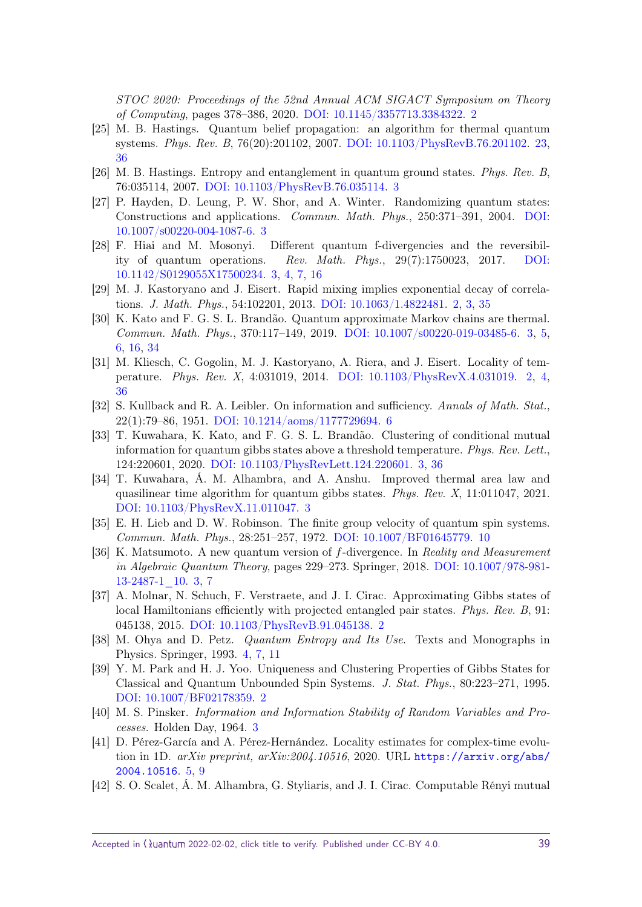STOC 2020: Proceedings of the 52nd Annual ACM SIGACT Symposium on Theory of Computing, pages 378–386, 2020. [DOI: 10.1145/3357713.3384322.](https://doi.org/10.1145/3357713.3384322) [2](#page-1-2)

- <span id="page-38-17"></span>[25] M. B. Hastings. Quantum belief propagation: an algorithm for thermal quantum systems. Phys. Rev. B, 76(20):201102, 2007. [DOI: 10.1103/PhysRevB.76.201102.](https://doi.org/10.1103/PhysRevB.76.201102) [23,](#page-22-5) [36](#page-35-1)
- <span id="page-38-5"></span>[26] M. B. Hastings. Entropy and entanglement in quantum ground states. Phys. Rev. B, 76:035114, 2007. [DOI: 10.1103/PhysRevB.76.035114.](https://doi.org/10.1103/PhysRevB.76.035114) [3](#page-2-0)
- <span id="page-38-6"></span>[27] P. Hayden, D. Leung, P. W. Shor, and A. Winter. Randomizing quantum states: Constructions and applications. Commun. Math. Phys., 250:371–391, 2004. [DOI:](https://doi.org/10.1007/s00220-004-1087-6) [10.1007/s00220-004-1087-6.](https://doi.org/10.1007/s00220-004-1087-6) [3](#page-2-0)
- <span id="page-38-11"></span>[28] F. Hiai and M. Mosonyi. Different quantum f-divergencies and the reversibility of quantum operations. Rev. Math. Phys., 29(7):1750023, 2017. [DOI:](https://doi.org/10.1142/S0129055X17500234) [10.1142/S0129055X17500234.](https://doi.org/10.1142/S0129055X17500234) [3,](#page-2-0) [4,](#page-3-2) [7,](#page-6-4) [16](#page-15-3)
- <span id="page-38-3"></span>[29] M. J. Kastoryano and J. Eisert. Rapid mixing implies exponential decay of correlations. J. Math. Phys., 54:102201, 2013. [DOI: 10.1063/1.4822481.](https://doi.org/10.1063/1.4822481) [2,](#page-1-2) [3,](#page-2-0) [35](#page-34-4)
- <span id="page-38-9"></span>[30] K. Kato and F. G. S. L. Brandão. Quantum approximate Markov chains are thermal. Commun. Math. Phys., 370:117–149, 2019. [DOI: 10.1007/s00220-019-03485-6.](https://doi.org/10.1007/s00220-019-03485-6) [3,](#page-2-0) [5,](#page-4-0) [6,](#page-5-2) [16,](#page-15-3) [34](#page-33-1)
- <span id="page-38-1"></span>[31] M. Kliesch, C. Gogolin, M. J. Kastoryano, A. Riera, and J. Eisert. Locality of temperature. Phys. Rev. X, 4:031019, 2014. [DOI: 10.1103/PhysRevX.4.031019.](https://doi.org/10.1103/PhysRevX.4.031019) [2,](#page-1-2) [4,](#page-3-2) [36](#page-35-1)
- <span id="page-38-15"></span>[32] S. Kullback and R. A. Leibler. On information and sufficiency. Annals of Math. Stat., 22(1):79–86, 1951. [DOI: 10.1214/aoms/1177729694.](https://doi.org/10.1214/aoms/1177729694) [6](#page-5-2)
- <span id="page-38-10"></span>[33] T. Kuwahara, K. Kato, and F. G. S. L. Brandão. Clustering of conditional mutual information for quantum gibbs states above a threshold temperature. Phys. Rev. Lett., 124:220601, 2020. [DOI: 10.1103/PhysRevLett.124.220601.](https://doi.org/10.1103/PhysRevLett.124.220601) [3,](#page-2-0) [36](#page-35-1)
- <span id="page-38-7"></span>[34] T. Kuwahara, Á. M. Alhambra, and A. Anshu. Improved thermal area law and quasilinear time algorithm for quantum gibbs states. Phys. Rev. X, 11:011047, 2021. [DOI: 10.1103/PhysRevX.11.011047.](https://doi.org/10.1103/PhysRevX.11.011047) [3](#page-2-0)
- <span id="page-38-16"></span>[35] E. H. Lieb and D. W. Robinson. The finite group velocity of quantum spin systems. Commun. Math. Phys., 28:251–257, 1972. [DOI: 10.1007/BF01645779.](https://doi.org/10.1007/BF01645779) [10](#page-9-2)
- <span id="page-38-12"></span>[36] K. Matsumoto. A new quantum version of *f*-divergence. In Reality and Measurement in Algebraic Quantum Theory, pages 229–273. Springer, 2018. [DOI: 10.1007/978-981-](https://doi.org/10.1007/978-981-13-2487-1_10) [13-2487-1\\_10.](https://doi.org/10.1007/978-981-13-2487-1_10) [3,](#page-2-0) [7](#page-6-4)
- <span id="page-38-0"></span>[37] A. Molnar, N. Schuch, F. Verstraete, and J. I. Cirac. Approximating Gibbs states of local Hamiltonians efficiently with projected entangled pair states. Phys. Rev. B, 91: 045138, 2015. [DOI: 10.1103/PhysRevB.91.045138.](https://doi.org/10.1103/PhysRevB.91.045138) [2](#page-1-2)
- <span id="page-38-13"></span>[38] M. Ohya and D. Petz. Quantum Entropy and Its Use. Texts and Monographs in Physics. Springer, 1993. [4,](#page-3-2) [7,](#page-6-4) [11](#page-10-2)
- <span id="page-38-2"></span>[39] Y. M. Park and H. J. Yoo. Uniqueness and Clustering Properties of Gibbs States for Classical and Quantum Unbounded Spin Systems. J. Stat. Phys., 80:223–271, 1995. [DOI: 10.1007/BF02178359.](https://doi.org/10.1007/BF02178359) [2](#page-1-2)
- <span id="page-38-4"></span>[40] M. S. Pinsker. Information and Information Stability of Random Variables and Processes. Holden Day, 1964. [3](#page-2-0)
- <span id="page-38-14"></span>[41] D. Pérez-García and A. Pérez-Hernández. Locality estimates for complex-time evolution in 1D.  $arXiv$  preprint,  $arXiv:2004.10516$ , 2020. URL [https://arxiv.org/abs/](https://arxiv.org/abs/2004.10516) [2004.10516](https://arxiv.org/abs/2004.10516). [5,](#page-4-0) [9](#page-8-3)
- <span id="page-38-8"></span>[42] S. O. Scalet, Á. M. Alhambra, G. Styliaris, and J. I. Cirac. Computable Rényi mutual